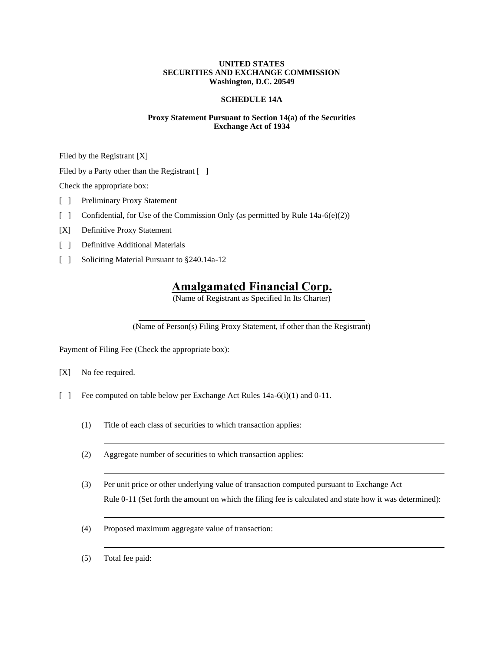# **UNITED STATES SECURITIES AND EXCHANGE COMMISSION Washington, D.C. 20549**

# **SCHEDULE 14A**

# **Proxy Statement Pursuant to Section 14(a) of the Securities Exchange Act of 1934**

Filed by the Registrant [X]

Filed by a Party other than the Registrant [ ]

Check the appropriate box:

- [ ] Preliminary Proxy Statement
- [ ] Confidential, for Use of the Commission Only (as permitted by Rule 14a-6(e)(2))
- [X] Definitive Proxy Statement
- [ ] Definitive Additional Materials
- [ ] Soliciting Material Pursuant to §240.14a-12

# **Amalgamated Financial Corp.**

(Name of Registrant as Specified In Its Charter)

(Name of Person(s) Filing Proxy Statement, if other than the Registrant)

Payment of Filing Fee (Check the appropriate box):

- [X] No fee required.
- [ ] Fee computed on table below per Exchange Act Rules 14a-6(i)(1) and 0-11.
	- (1) Title of each class of securities to which transaction applies:
	- (2) Aggregate number of securities to which transaction applies:
	- (3) Per unit price or other underlying value of transaction computed pursuant to Exchange Act Rule 0-11 (Set forth the amount on which the filing fee is calculated and state how it was determined):
	- (4) Proposed maximum aggregate value of transaction:
	- (5) Total fee paid: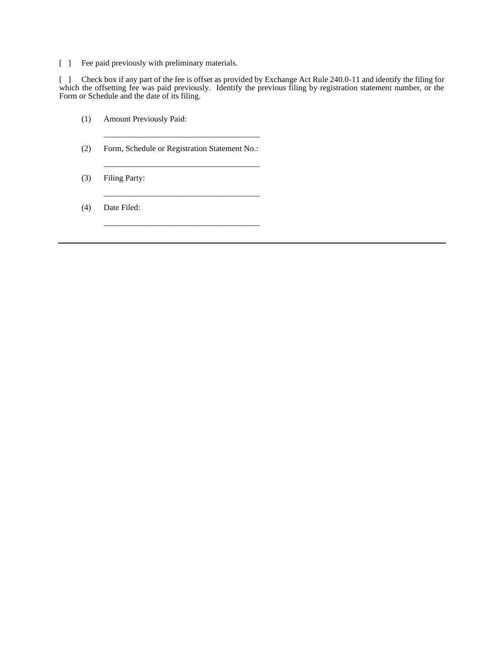[ ] Fee paid previously with preliminary materials.

[ ] Check box if any part of the fee is offset as provided by Exchange Act Rule 240.0-11 and identify the filing for which the offsetting fee was paid previously. Identify the previous filing by registration statement number, or the Form or Schedule and the date of its filing.

- (1) Amount Previously Paid:
- (2) Form, Schedule or Registration Statement No.:

\_\_\_\_\_\_\_\_\_\_\_\_\_\_\_\_\_\_\_\_\_\_\_\_\_\_\_\_\_\_\_\_\_\_\_\_\_\_

\_\_\_\_\_\_\_\_\_\_\_\_\_\_\_\_\_\_\_\_\_\_\_\_\_\_\_\_\_\_\_\_\_\_\_\_\_\_

\_\_\_\_\_\_\_\_\_\_\_\_\_\_\_\_\_\_\_\_\_\_\_\_\_\_\_\_\_\_\_\_\_\_\_\_\_\_

\_\_\_\_\_\_\_\_\_\_\_\_\_\_\_\_\_\_\_\_\_\_\_\_\_\_\_\_\_\_\_\_\_\_\_\_\_\_

(3) Filing Party:

(4) Date Filed: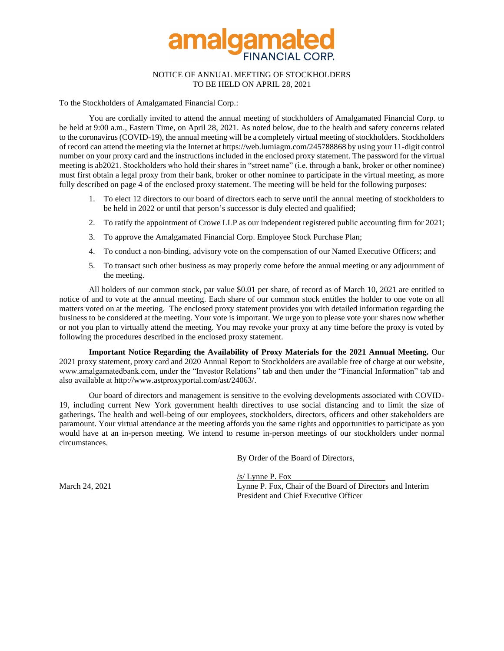

# NOTICE OF ANNUAL MEETING OF STOCKHOLDERS TO BE HELD ON APRIL 28, 2021

To the Stockholders of Amalgamated Financial Corp.:

You are cordially invited to attend the annual meeting of stockholders of Amalgamated Financial Corp. to be held at 9:00 a.m., Eastern Time, on April 28, 2021. As noted below, due to the health and safety concerns related to the coronavirus (COVID-19), the annual meeting will be a completely virtual meeting of stockholders. Stockholders of record can attend the meeting via the Internet at https://web.lumiagm.com/245788868 by using your 11-digit control number on your proxy card and the instructions included in the enclosed proxy statement. The password for the virtual meeting is ab2021. Stockholders who hold their shares in "street name" (i.e. through a bank, broker or other nominee) must first obtain a legal proxy from their bank, broker or other nominee to participate in the virtual meeting, as more fully described on page 4 of the enclosed proxy statement. The meeting will be held for the following purposes:

- 1. To elect 12 directors to our board of directors each to serve until the annual meeting of stockholders to be held in 2022 or until that person's successor is duly elected and qualified;
- 2. To ratify the appointment of Crowe LLP as our independent registered public accounting firm for 2021;
- 3. To approve the Amalgamated Financial Corp. Employee Stock Purchase Plan;
- 4. To conduct a non-binding, advisory vote on the compensation of our Named Executive Officers; and
- 5. To transact such other business as may properly come before the annual meeting or any adjournment of the meeting.

All holders of our common stock, par value \$0.01 per share, of record as of March 10, 2021 are entitled to notice of and to vote at the annual meeting. Each share of our common stock entitles the holder to one vote on all matters voted on at the meeting. The enclosed proxy statement provides you with detailed information regarding the business to be considered at the meeting. Your vote is important. We urge you to please vote your shares now whether or not you plan to virtually attend the meeting. You may revoke your proxy at any time before the proxy is voted by following the procedures described in the enclosed proxy statement.

**Important Notice Regarding the Availability of Proxy Materials for the 2021 Annual Meeting.** Our 2021 proxy statement, proxy card and 2020 Annual Report to Stockholders are available free of charge at our website, www.amalgamatedbank.com, under the "Investor Relations" tab and then under the "Financial Information" tab and also available at http://www.astproxyportal.com/ast/24063/.

Our board of directors and management is sensitive to the evolving developments associated with COVID-19, including current New York government health directives to use social distancing and to limit the size of gatherings. The health and well-being of our employees, stockholders, directors, officers and other stakeholders are paramount. Your virtual attendance at the meeting affords you the same rights and opportunities to participate as you would have at an in-person meeting. We intend to resume in-person meetings of our stockholders under normal circumstances.

By Order of the Board of Directors,

/s/ Lynne P. Fox March 24, 2021 Lynne P. Fox, Chair of the Board of Directors and Interim President and Chief Executive Officer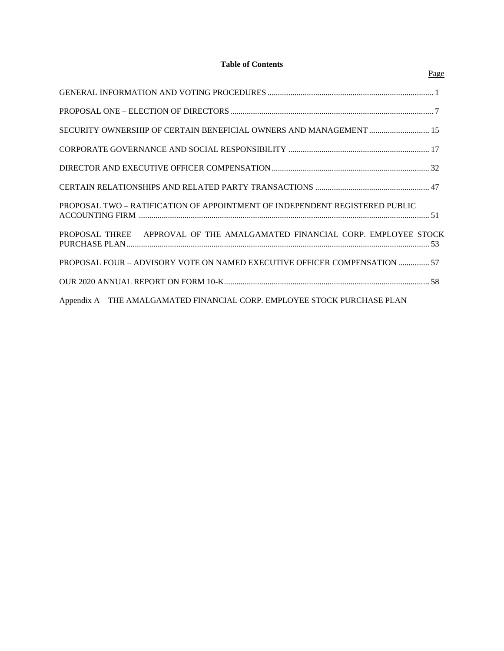# **Table of Contents**

| SECURITY OWNERSHIP OF CERTAIN BENEFICIAL OWNERS AND MANAGEMENT  15          |  |
|-----------------------------------------------------------------------------|--|
|                                                                             |  |
|                                                                             |  |
|                                                                             |  |
| PROPOSAL TWO - RATIFICATION OF APPOINTMENT OF INDEPENDENT REGISTERED PUBLIC |  |
| PROPOSAL THREE - APPROVAL OF THE AMALGAMATED FINANCIAL CORP. EMPLOYEE STOCK |  |
| PROPOSAL FOUR – ADVISORY VOTE ON NAMED EXECUTIVE OFFICER COMPENSATION  57   |  |
|                                                                             |  |
| Appendix A - THE AMALGAMATED FINANCIAL CORP. EMPLOYEE STOCK PURCHASE PLAN   |  |

# Page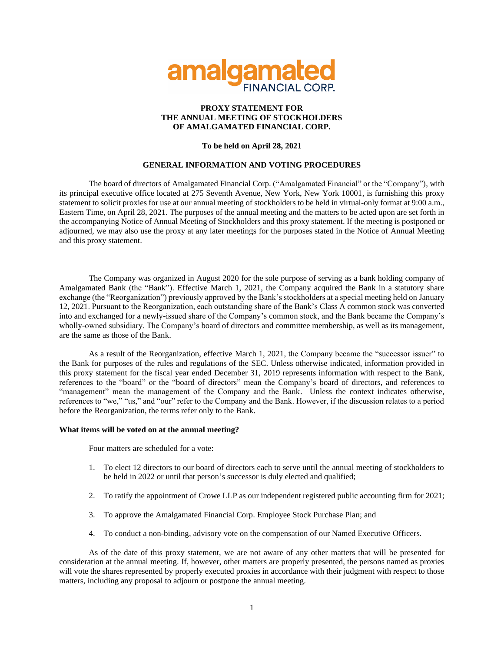

# **PROXY STATEMENT FOR THE ANNUAL MEETING OF STOCKHOLDERS OF AMALGAMATED FINANCIAL CORP.**

# **To be held on April 28, 2021**

# **GENERAL INFORMATION AND VOTING PROCEDURES**

The board of directors of Amalgamated Financial Corp. ("Amalgamated Financial" or the "Company"), with its principal executive office located at 275 Seventh Avenue, New York, New York 10001, is furnishing this proxy statement to solicit proxies for use at our annual meeting of stockholders to be held in virtual-only format at 9:00 a.m., Eastern Time, on April 28, 2021. The purposes of the annual meeting and the matters to be acted upon are set forth in the accompanying Notice of Annual Meeting of Stockholders and this proxy statement. If the meeting is postponed or adjourned, we may also use the proxy at any later meetings for the purposes stated in the Notice of Annual Meeting and this proxy statement.

The Company was organized in August 2020 for the sole purpose of serving as a bank holding company of Amalgamated Bank (the "Bank"). Effective March 1, 2021, the Company acquired the Bank in a statutory share exchange (the "Reorganization") previously approved by the Bank's stockholders at a special meeting held on January 12, 2021. Pursuant to the Reorganization, each outstanding share of the Bank's Class A common stock was converted into and exchanged for a newly-issued share of the Company's common stock, and the Bank became the Company's wholly-owned subsidiary. The Company's board of directors and committee membership, as well as its management, are the same as those of the Bank.

As a result of the Reorganization, effective March 1, 2021, the Company became the "successor issuer" to the Bank for purposes of the rules and regulations of the SEC. Unless otherwise indicated, information provided in this proxy statement for the fiscal year ended December 31, 2019 represents information with respect to the Bank, references to the "board" or the "board of directors" mean the Company's board of directors, and references to "management" mean the management of the Company and the Bank. Unless the context indicates otherwise, references to "we," "us," and "our" refer to the Company and the Bank. However, if the discussion relates to a period before the Reorganization, the terms refer only to the Bank.

# **What items will be voted on at the annual meeting?**

Four matters are scheduled for a vote:

- 1. To elect 12 directors to our board of directors each to serve until the annual meeting of stockholders to be held in 2022 or until that person's successor is duly elected and qualified;
- 2. To ratify the appointment of Crowe LLP as our independent registered public accounting firm for 2021;
- 3. To approve the Amalgamated Financial Corp. Employee Stock Purchase Plan; and
- 4. To conduct a non-binding, advisory vote on the compensation of our Named Executive Officers.

As of the date of this proxy statement, we are not aware of any other matters that will be presented for consideration at the annual meeting. If, however, other matters are properly presented, the persons named as proxies will vote the shares represented by properly executed proxies in accordance with their judgment with respect to those matters, including any proposal to adjourn or postpone the annual meeting.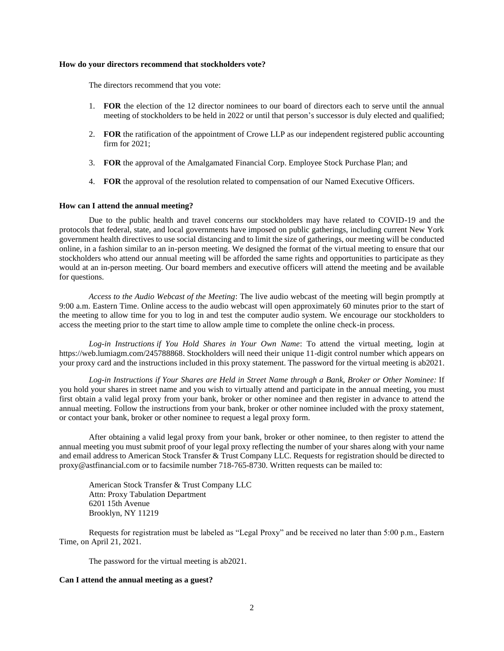# **How do your directors recommend that stockholders vote?**

The directors recommend that you vote:

- 1. **FOR** the election of the 12 director nominees to our board of directors each to serve until the annual meeting of stockholders to be held in 2022 or until that person's successor is duly elected and qualified;
- 2. **FOR** the ratification of the appointment of Crowe LLP as our independent registered public accounting firm for 2021;
- 3. **FOR** the approval of the Amalgamated Financial Corp. Employee Stock Purchase Plan; and
- 4. **FOR** the approval of the resolution related to compensation of our Named Executive Officers.

#### **How can I attend the annual meeting?**

Due to the public health and travel concerns our stockholders may have related to COVID-19 and the protocols that federal, state, and local governments have imposed on public gatherings, including current New York government health directives to use social distancing and to limit the size of gatherings, our meeting will be conducted online, in a fashion similar to an in-person meeting. We designed the format of the virtual meeting to ensure that our stockholders who attend our annual meeting will be afforded the same rights and opportunities to participate as they would at an in-person meeting. Our board members and executive officers will attend the meeting and be available for questions.

*Access to the Audio Webcast of the Meeting*: The live audio webcast of the meeting will begin promptly at 9:00 a.m. Eastern Time. Online access to the audio webcast will open approximately 60 minutes prior to the start of the meeting to allow time for you to log in and test the computer audio system. We encourage our stockholders to access the meeting prior to the start time to allow ample time to complete the online check-in process.

*Log-in Instructions if You Hold Shares in Your Own Name*: To attend the virtual meeting, login at https://web.lumiagm.com/245788868. Stockholders will need their unique 11-digit control number which appears on your proxy card and the instructions included in this proxy statement. The password for the virtual meeting is ab2021.

*Log-in Instructions if Your Shares are Held in Street Name through a Bank, Broker or Other Nominee:* If you hold your shares in street name and you wish to virtually attend and participate in the annual meeting, you must first obtain a valid legal proxy from your bank, broker or other nominee and then register in advance to attend the annual meeting. Follow the instructions from your bank, broker or other nominee included with the proxy statement, or contact your bank, broker or other nominee to request a legal proxy form.

After obtaining a valid legal proxy from your bank, broker or other nominee, to then register to attend the annual meeting you must submit proof of your legal proxy reflecting the number of your shares along with your name and email address to American Stock Transfer & Trust Company LLC. Requests for registration should be directed to proxy@astfinancial.com or to facsimile number 718-765-8730. Written requests can be mailed to:

American Stock Transfer & Trust Company LLC Attn: Proxy Tabulation Department 6201 15th Avenue Brooklyn, NY 11219

Requests for registration must be labeled as "Legal Proxy" and be received no later than 5:00 p.m., Eastern Time, on April 21, 2021.

The password for the virtual meeting is ab2021.

### **Can I attend the annual meeting as a guest?**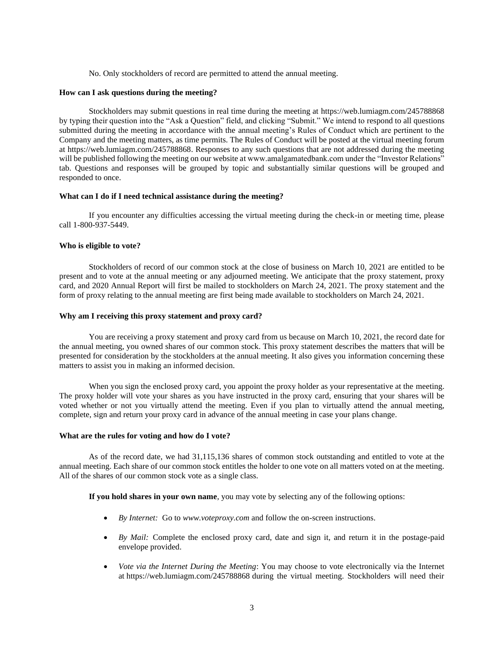No. Only stockholders of record are permitted to attend the annual meeting.

### **How can I ask questions during the meeting?**

Stockholders may submit questions in real time during the meeting at https://web.lumiagm.com/245788868 by typing their question into the "Ask a Question" field, and clicking "Submit." We intend to respond to all questions submitted during the meeting in accordance with the annual meeting's Rules of Conduct which are pertinent to the Company and the meeting matters, as time permits. The Rules of Conduct will be posted at the virtual meeting forum at https://web.lumiagm.com/245788868. Responses to any such questions that are not addressed during the meeting will be published following the meeting on our website at www.amalgamatedbank.com under the "Investor Relations" tab. Questions and responses will be grouped by topic and substantially similar questions will be grouped and responded to once.

### **What can I do if I need technical assistance during the meeting?**

If you encounter any difficulties accessing the virtual meeting during the check-in or meeting time, please call 1-800-937-5449.

# **Who is eligible to vote?**

Stockholders of record of our common stock at the close of business on March 10, 2021 are entitled to be present and to vote at the annual meeting or any adjourned meeting. We anticipate that the proxy statement, proxy card, and 2020 Annual Report will first be mailed to stockholders on March 24, 2021. The proxy statement and the form of proxy relating to the annual meeting are first being made available to stockholders on March 24, 2021.

# **Why am I receiving this proxy statement and proxy card?**

You are receiving a proxy statement and proxy card from us because on March 10, 2021, the record date for the annual meeting, you owned shares of our common stock. This proxy statement describes the matters that will be presented for consideration by the stockholders at the annual meeting. It also gives you information concerning these matters to assist you in making an informed decision.

When you sign the enclosed proxy card, you appoint the proxy holder as your representative at the meeting. The proxy holder will vote your shares as you have instructed in the proxy card, ensuring that your shares will be voted whether or not you virtually attend the meeting. Even if you plan to virtually attend the annual meeting, complete, sign and return your proxy card in advance of the annual meeting in case your plans change.

### **What are the rules for voting and how do I vote?**

As of the record date, we had 31,115,136 shares of common stock outstanding and entitled to vote at the annual meeting. Each share of our common stock entitles the holder to one vote on all matters voted on at the meeting. All of the shares of our common stock vote as a single class.

**If you hold shares in your own name**, you may vote by selecting any of the following options:

- *By Internet:* Go to *www.voteproxy.com* and follow the on-screen instructions.
- *By Mail:* Complete the enclosed proxy card, date and sign it, and return it in the postage-paid envelope provided.
- *Vote via the Internet During the Meeting*: You may choose to vote electronically via the Internet at https://web.lumiagm.com/245788868 during the virtual meeting. Stockholders will need their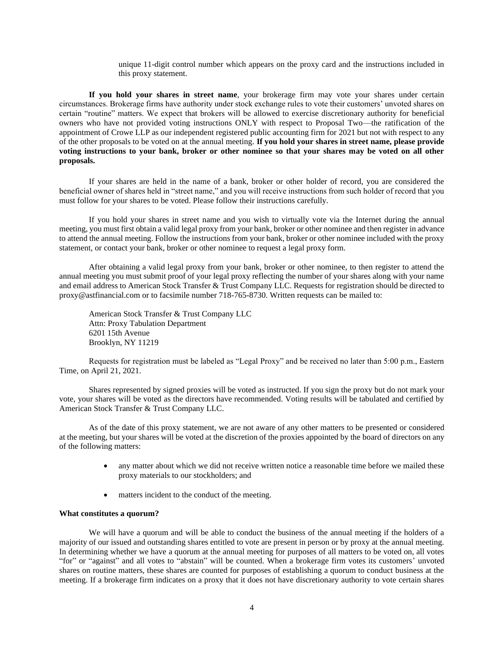unique 11-digit control number which appears on the proxy card and the instructions included in this proxy statement.

**If you hold your shares in street name**, your brokerage firm may vote your shares under certain circumstances. Brokerage firms have authority under stock exchange rules to vote their customers' unvoted shares on certain "routine" matters. We expect that brokers will be allowed to exercise discretionary authority for beneficial owners who have not provided voting instructions ONLY with respect to Proposal Two—the ratification of the appointment of Crowe LLP as our independent registered public accounting firm for 2021 but not with respect to any of the other proposals to be voted on at the annual meeting. **If you hold your shares in street name, please provide voting instructions to your bank, broker or other nominee so that your shares may be voted on all other proposals.**

If your shares are held in the name of a bank, broker or other holder of record, you are considered the beneficial owner of shares held in "street name," and you will receive instructions from such holder of record that you must follow for your shares to be voted. Please follow their instructions carefully.

If you hold your shares in street name and you wish to virtually vote via the Internet during the annual meeting, you must first obtain a valid legal proxy from your bank, broker or other nominee and then register in advance to attend the annual meeting. Follow the instructions from your bank, broker or other nominee included with the proxy statement, or contact your bank, broker or other nominee to request a legal proxy form.

After obtaining a valid legal proxy from your bank, broker or other nominee, to then register to attend the annual meeting you must submit proof of your legal proxy reflecting the number of your shares along with your name and email address to American Stock Transfer & Trust Company LLC. Requests for registration should be directed to proxy@astfinancial.com or to facsimile number 718-765-8730. Written requests can be mailed to:

American Stock Transfer & Trust Company LLC Attn: Proxy Tabulation Department 6201 15th Avenue Brooklyn, NY 11219

Requests for registration must be labeled as "Legal Proxy" and be received no later than 5:00 p.m., Eastern Time, on April 21, 2021.

Shares represented by signed proxies will be voted as instructed. If you sign the proxy but do not mark your vote, your shares will be voted as the directors have recommended. Voting results will be tabulated and certified by American Stock Transfer & Trust Company LLC.

As of the date of this proxy statement, we are not aware of any other matters to be presented or considered at the meeting, but your shares will be voted at the discretion of the proxies appointed by the board of directors on any of the following matters:

- any matter about which we did not receive written notice a reasonable time before we mailed these proxy materials to our stockholders; and
- matters incident to the conduct of the meeting.

### **What constitutes a quorum?**

We will have a quorum and will be able to conduct the business of the annual meeting if the holders of a majority of our issued and outstanding shares entitled to vote are present in person or by proxy at the annual meeting. In determining whether we have a quorum at the annual meeting for purposes of all matters to be voted on, all votes "for" or "against" and all votes to "abstain" will be counted. When a brokerage firm votes its customers' unvoted shares on routine matters, these shares are counted for purposes of establishing a quorum to conduct business at the meeting. If a brokerage firm indicates on a proxy that it does not have discretionary authority to vote certain shares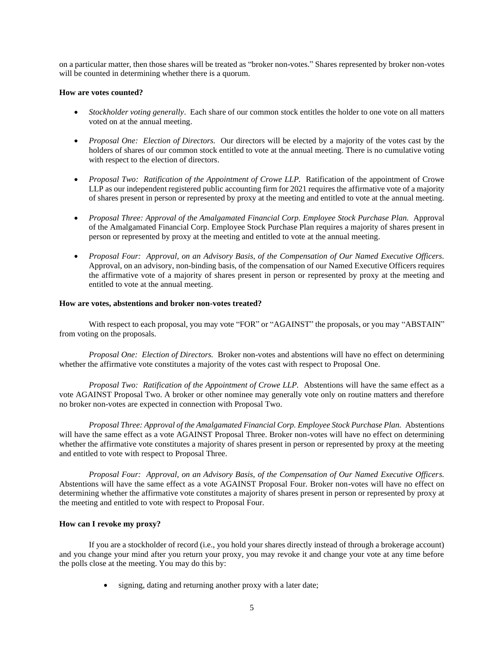on a particular matter, then those shares will be treated as "broker non-votes." Shares represented by broker non-votes will be counted in determining whether there is a quorum.

### **How are votes counted?**

- *Stockholder voting generally*. Each share of our common stock entitles the holder to one vote on all matters voted on at the annual meeting.
- *Proposal One: Election of Directors.* Our directors will be elected by a majority of the votes cast by the holders of shares of our common stock entitled to vote at the annual meeting. There is no cumulative voting with respect to the election of directors.
- *Proposal Two: Ratification of the Appointment of Crowe LLP.* Ratification of the appointment of Crowe LLP as our independent registered public accounting firm for 2021 requires the affirmative vote of a majority of shares present in person or represented by proxy at the meeting and entitled to vote at the annual meeting.
- *Proposal Three: Approval of the Amalgamated Financial Corp. Employee Stock Purchase Plan.* Approval of the Amalgamated Financial Corp. Employee Stock Purchase Plan requires a majority of shares present in person or represented by proxy at the meeting and entitled to vote at the annual meeting.
- *Proposal Four: Approval, on an Advisory Basis, of the Compensation of Our Named Executive Officers.*  Approval, on an advisory, non-binding basis, of the compensation of our Named Executive Officers requires the affirmative vote of a majority of shares present in person or represented by proxy at the meeting and entitled to vote at the annual meeting.

### **How are votes, abstentions and broker non-votes treated?**

With respect to each proposal, you may vote "FOR" or "AGAINST" the proposals, or you may "ABSTAIN" from voting on the proposals.

*Proposal One: Election of Directors.* Broker non-votes and abstentions will have no effect on determining whether the affirmative vote constitutes a majority of the votes cast with respect to Proposal One.

*Proposal Two: Ratification of the Appointment of Crowe LLP.* Abstentions will have the same effect as a vote AGAINST Proposal Two. A broker or other nominee may generally vote only on routine matters and therefore no broker non-votes are expected in connection with Proposal Two.

*Proposal Three: Approval of the Amalgamated Financial Corp. Employee Stock Purchase Plan.* Abstentions will have the same effect as a vote AGAINST Proposal Three. Broker non-votes will have no effect on determining whether the affirmative vote constitutes a majority of shares present in person or represented by proxy at the meeting and entitled to vote with respect to Proposal Three.

*Proposal Four: Approval, on an Advisory Basis, of the Compensation of Our Named Executive Officers.*  Abstentions will have the same effect as a vote AGAINST Proposal Four. Broker non-votes will have no effect on determining whether the affirmative vote constitutes a majority of shares present in person or represented by proxy at the meeting and entitled to vote with respect to Proposal Four.

# **How can I revoke my proxy?**

If you are a stockholder of record (i.e., you hold your shares directly instead of through a brokerage account) and you change your mind after you return your proxy, you may revoke it and change your vote at any time before the polls close at the meeting. You may do this by:

• signing, dating and returning another proxy with a later date;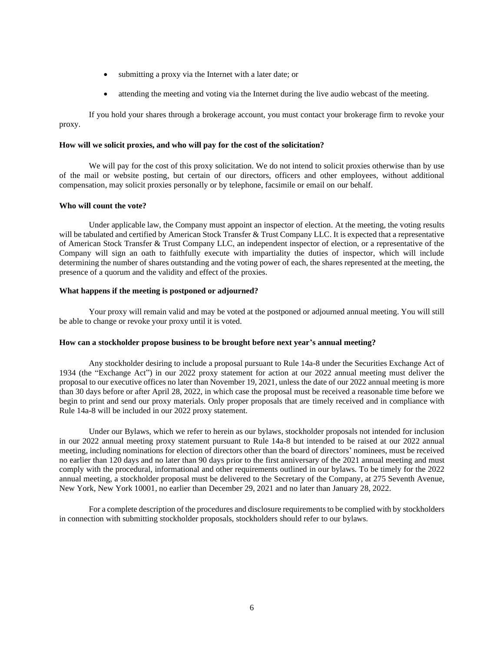- submitting a proxy via the Internet with a later date; or
- attending the meeting and voting via the Internet during the live audio webcast of the meeting.

If you hold your shares through a brokerage account, you must contact your brokerage firm to revoke your proxy.

# **How will we solicit proxies, and who will pay for the cost of the solicitation?**

We will pay for the cost of this proxy solicitation. We do not intend to solicit proxies otherwise than by use of the mail or website posting, but certain of our directors, officers and other employees, without additional compensation, may solicit proxies personally or by telephone, facsimile or email on our behalf.

#### **Who will count the vote?**

Under applicable law, the Company must appoint an inspector of election. At the meeting, the voting results will be tabulated and certified by American Stock Transfer & Trust Company LLC. It is expected that a representative of American Stock Transfer & Trust Company LLC, an independent inspector of election, or a representative of the Company will sign an oath to faithfully execute with impartiality the duties of inspector, which will include determining the number of shares outstanding and the voting power of each, the shares represented at the meeting, the presence of a quorum and the validity and effect of the proxies.

### **What happens if the meeting is postponed or adjourned?**

Your proxy will remain valid and may be voted at the postponed or adjourned annual meeting. You will still be able to change or revoke your proxy until it is voted.

# **How can a stockholder propose business to be brought before next year's annual meeting?**

Any stockholder desiring to include a proposal pursuant to Rule 14a-8 under the Securities Exchange Act of 1934 (the "Exchange Act") in our 2022 proxy statement for action at our 2022 annual meeting must deliver the proposal to our executive offices no later than November 19, 2021, unless the date of our 2022 annual meeting is more than 30 days before or after April 28, 2022, in which case the proposal must be received a reasonable time before we begin to print and send our proxy materials. Only proper proposals that are timely received and in compliance with Rule 14a-8 will be included in our 2022 proxy statement.

Under our Bylaws, which we refer to herein as our bylaws, stockholder proposals not intended for inclusion in our 2022 annual meeting proxy statement pursuant to Rule 14a-8 but intended to be raised at our 2022 annual meeting, including nominations for election of directors other than the board of directors' nominees, must be received no earlier than 120 days and no later than 90 days prior to the first anniversary of the 2021 annual meeting and must comply with the procedural, informational and other requirements outlined in our bylaws. To be timely for the 2022 annual meeting, a stockholder proposal must be delivered to the Secretary of the Company, at 275 Seventh Avenue, New York, New York 10001, no earlier than December 29, 2021 and no later than January 28, 2022.

 For a complete description of the procedures and disclosure requirements to be complied with by stockholders in connection with submitting stockholder proposals, stockholders should refer to our bylaws.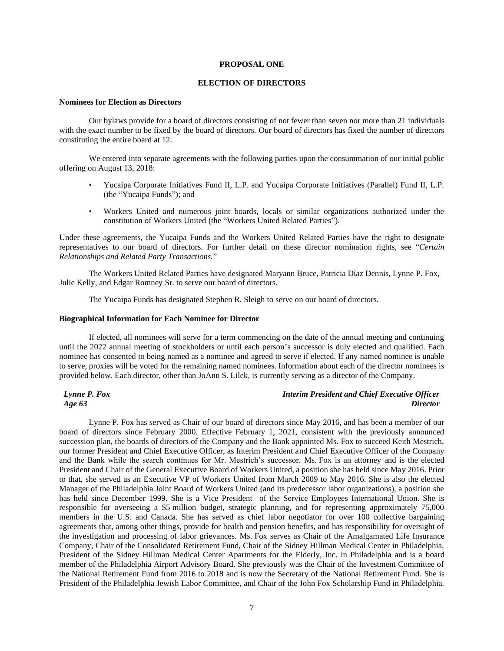### **PROPOSAL ONE**

### **ELECTION OF DIRECTORS**

#### **Nominees for Election as Directors**

Our bylaws provide for a board of directors consisting of not fewer than seven nor more than 21 individuals with the exact number to be fixed by the board of directors. Our board of directors has fixed the number of directors constituting the entire board at 12.

We entered into separate agreements with the following parties upon the consummation of our initial public offering on August 13, 2018:

- Yucaipa Corporate Initiatives Fund II, L.P. and Yucaipa Corporate Initiatives (Parallel) Fund II, L.P. (the "Yucaipa Funds"); and
- Workers United and numerous joint boards, locals or similar organizations authorized under the constitution of Workers United (the "Workers United Related Parties").

Under these agreements, the Yucaipa Funds and the Workers United Related Parties have the right to designate representatives to our board of directors. For further detail on these director nomination rights, see "*Certain Relationships and Related Party Transactions.*"

The Workers United Related Parties have designated Maryann Bruce, Patricia Diaz Dennis, Lynne P. Fox, Julie Kelly, and Edgar Romney Sr. to serve our board of directors.

The Yucaipa Funds has designated Stephen R. Sleigh to serve on our board of directors.

### **Biographical Information for Each Nominee for Director**

If elected, all nominees will serve for a term commencing on the date of the annual meeting and continuing until the 2022 annual meeting of stockholders or until each person's successor is duly elected and qualified. Each nominee has consented to being named as a nominee and agreed to serve if elected. If any named nominee is unable to serve, proxies will be voted for the remaining named nominees. Information about each of the director nominees is provided below. Each director, other than JoAnn S. Lilek, is currently serving as a director of the Company.

*Lynne P. Fox Age 63*

# *Interim President and Chief Executive Officer Director*

Lynne P. Fox has served as Chair of our board of directors since May 2016, and has been a member of our board of directors since February 2000. Effective February 1, 2021, consistent with the previously announced succession plan, the boards of directors of the Company and the Bank appointed Ms. Fox to succeed Keith Mestrich, our former President and Chief Executive Officer, as Interim President and Chief Executive Officer of the Company and the Bank while the search continues for Mr. Mestrich's successor. Ms. Fox is an attorney and is the elected President and Chair of the General Executive Board of Workers United, a position she has held since May 2016. Prior to that, she served as an Executive VP of Workers United from March 2009 to May 2016. She is also the elected Manager of the Philadelphia Joint Board of Workers United (and its predecessor labor organizations), a position she has held since December 1999. She is a Vice President of the Service Employees International Union. She is responsible for overseeing a \$5 million budget, strategic planning, and for representing approximately 75,000 members in the U.S. and Canada. She has served as chief labor negotiator for over 100 collective bargaining agreements that, among other things, provide for health and pension benefits, and has responsibility for oversight of the investigation and processing of labor grievances. Ms. Fox serves as Chair of the Amalgamated Life Insurance Company, Chair of the Consolidated Retirement Fund, Chair of the Sidney Hillman Medical Center in Philadelphia, President of the Sidney Hillman Medical Center Apartments for the Elderly, Inc. in Philadelphia and is a board member of the Philadelphia Airport Advisory Board. She previously was the Chair of the Investment Committee of the National Retirement Fund from 2016 to 2018 and is now the Secretary of the National Retirement Fund. She is President of the Philadelphia Jewish Labor Committee, and Chair of the John Fox Scholarship Fund in Philadelphia.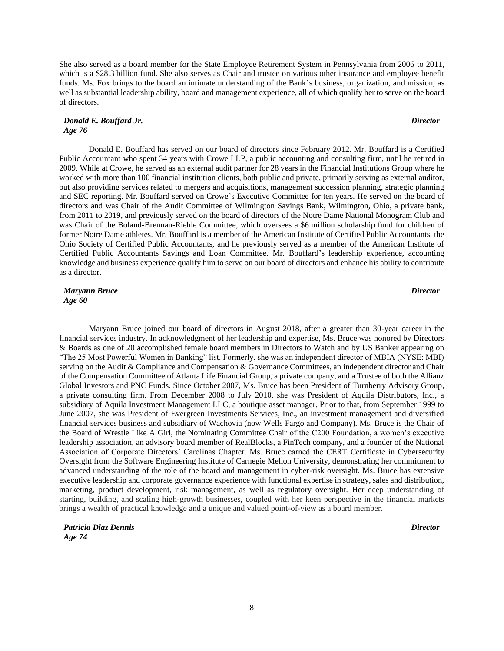She also served as a board member for the State Employee Retirement System in Pennsylvania from 2006 to 2011, which is a \$28.3 billion fund. She also serves as Chair and trustee on various other insurance and employee benefit funds. Ms. Fox brings to the board an intimate understanding of the Bank's business, organization, and mission, as well as substantial leadership ability, board and management experience, all of which qualify her to serve on the board of directors.

### *Donald E. Bouffard Jr. Age 76*

Donald E. Bouffard has served on our board of directors since February 2012. Mr. Bouffard is a Certified Public Accountant who spent 34 years with Crowe LLP, a public accounting and consulting firm, until he retired in 2009. While at Crowe, he served as an external audit partner for 28 years in the Financial Institutions Group where he worked with more than 100 financial institution clients, both public and private, primarily serving as external auditor, but also providing services related to mergers and acquisitions, management succession planning, strategic planning and SEC reporting. Mr. Bouffard served on Crowe's Executive Committee for ten years. He served on the board of directors and was Chair of the Audit Committee of Wilmington Savings Bank, Wilmington, Ohio, a private bank, from 2011 to 2019, and previously served on the board of directors of the Notre Dame National Monogram Club and was Chair of the Boland-Brennan-Riehle Committee, which oversees a \$6 million scholarship fund for children of former Notre Dame athletes. Mr. Bouffard is a member of the American Institute of Certified Public Accountants, the Ohio Society of Certified Public Accountants, and he previously served as a member of the American Institute of Certified Public Accountants Savings and Loan Committee. Mr. Bouffard's leadership experience, accounting knowledge and business experience qualify him to serve on our board of directors and enhance his ability to contribute as a director.

*Maryann Bruce Age 60*

Maryann Bruce joined our board of directors in August 2018, after a greater than 30-year career in the financial services industry. In acknowledgment of her leadership and expertise, Ms. Bruce was honored by Directors & Boards as one of 20 accomplished female board members in Directors to Watch and by US Banker appearing on "The 25 Most Powerful Women in Banking" list. Formerly, she was an independent director of MBIA (NYSE: MBI) serving on the Audit & Compliance and Compensation & Governance Committees, an independent director and Chair of the Compensation Committee of Atlanta Life Financial Group, a private company, and a Trustee of both the Allianz Global Investors and PNC Funds. Since October 2007, Ms. Bruce has been President of Turnberry Advisory Group, a private consulting firm. From December 2008 to July 2010, she was President of Aquila Distributors, Inc., a subsidiary of Aquila Investment Management LLC, a boutique asset manager. Prior to that, from September 1999 to June 2007, she was President of Evergreen Investments Services, Inc., an investment management and diversified financial services business and subsidiary of Wachovia (now Wells Fargo and Company). Ms. Bruce is the Chair of the Board of Wrestle Like A Girl, the Nominating Committee Chair of the C200 Foundation, a women's executive leadership association, an advisory board member of RealBlocks, a FinTech company, and a founder of the National Association of Corporate Directors' Carolinas Chapter. Ms. Bruce earned the CERT Certificate in Cybersecurity Oversight from the Software Engineering Institute of Carnegie Mellon University, demonstrating her commitment to advanced understanding of the role of the board and management in cyber-risk oversight. Ms. Bruce has extensive executive leadership and corporate governance experience with functional expertise in strategy, sales and distribution, marketing, product development, risk management, as well as regulatory oversight. Her deep understanding of starting, building, and scaling high-growth businesses, coupled with her keen perspective in the financial markets brings a wealth of practical knowledge and a unique and valued point-of-view as a board member.

*Patricia Diaz Dennis Age 74*

*Director*

*Director*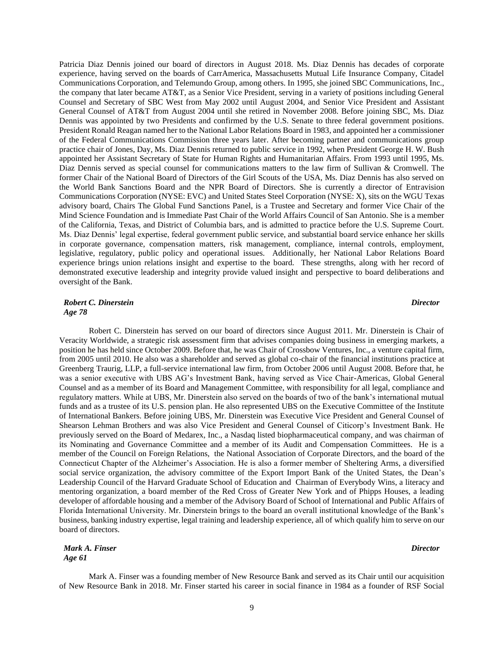Patricia Diaz Dennis joined our board of directors in August 2018. Ms. Diaz Dennis has decades of corporate experience, having served on the boards of CarrAmerica, Massachusetts Mutual Life Insurance Company, Citadel Communications Corporation, and Telemundo Group, among others. In 1995, she joined SBC Communications, Inc., the company that later became AT&T, as a Senior Vice President, serving in a variety of positions including General Counsel and Secretary of SBC West from May 2002 until August 2004, and Senior Vice President and Assistant General Counsel of AT&T from August 2004 until she retired in November 2008. Before joining SBC, Ms. Diaz Dennis was appointed by two Presidents and confirmed by the U.S. Senate to three federal government positions. President Ronald Reagan named her to the National Labor Relations Board in 1983, and appointed her a commissioner of the Federal Communications Commission three years later. After becoming partner and communications group practice chair of Jones, Day, Ms. Diaz Dennis returned to public service in 1992, when President George H. W. Bush appointed her Assistant Secretary of State for Human Rights and Humanitarian Affairs. From 1993 until 1995, Ms. Diaz Dennis served as special counsel for communications matters to the law firm of Sullivan & Cromwell. The former Chair of the National Board of Directors of the Girl Scouts of the USA, Ms. Diaz Dennis has also served on the World Bank Sanctions Board and the NPR Board of Directors. She is currently a director of Entravision Communications Corporation (NYSE: EVC) and United States Steel Corporation (NYSE: X), sits on the WGU Texas advisory board, Chairs The Global Fund Sanctions Panel, is a Trustee and Secretary and former Vice Chair of the Mind Science Foundation and is Immediate Past Chair of the World Affairs Council of San Antonio. She is a member of the California, Texas, and District of Columbia bars, and is admitted to practice before the U.S. Supreme Court. Ms. Diaz Dennis' legal expertise, federal government public service, and substantial board service enhance her skills in corporate governance, compensation matters, risk management, compliance, internal controls, employment, legislative, regulatory, public policy and operational issues. Additionally, her National Labor Relations Board experience brings union relations insight and expertise to the board. These strengths, along with her record of demonstrated executive leadership and integrity provide valued insight and perspective to board deliberations and oversight of the Bank.

*Robert C. Dinerstein Age 78*

Robert C. Dinerstein has served on our board of directors since August 2011. Mr. Dinerstein is Chair of Veracity Worldwide, a strategic risk assessment firm that advises companies doing business in emerging markets, a position he has held since October 2009. Before that, he was Chair of Crossbow Ventures, Inc., a venture capital firm, from 2005 until 2010. He also was a shareholder and served as global co-chair of the financial institutions practice at Greenberg Traurig, LLP, a full-service international law firm, from October 2006 until August 2008. Before that, he was a senior executive with UBS AG's Investment Bank, having served as Vice Chair-Americas, Global General Counsel and as a member of its Board and Management Committee, with responsibility for all legal, compliance and regulatory matters. While at UBS, Mr. Dinerstein also served on the boards of two of the bank's international mutual funds and as a trustee of its U.S. pension plan. He also represented UBS on the Executive Committee of the Institute of International Bankers. Before joining UBS, Mr. Dinerstein was Executive Vice President and General Counsel of Shearson Lehman Brothers and was also Vice President and General Counsel of Citicorp's Investment Bank. He previously served on the Board of Medarex, Inc., a Nasdaq listed biopharmaceutical company, and was chairman of its Nominating and Governance Committee and a member of its Audit and Compensation Committees. He is a member of the Council on Foreign Relations, the National Association of Corporate Directors, and the board of the Connecticut Chapter of the Alzheimer's Association. He is also a former member of Sheltering Arms, a diversified social service organization, the advisory committee of the Export Import Bank of the United States, the Dean's Leadership Council of the Harvard Graduate School of Education and Chairman of Everybody Wins, a literacy and mentoring organization, a board member of the Red Cross of Greater New York and of Phipps Houses, a leading developer of affordable housing and a member of the Advisory Board of School of International and Public Affairs of Florida International University. Mr. Dinerstein brings to the board an overall institutional knowledge of the Bank's business, banking industry expertise, legal training and leadership experience, all of which qualify him to serve on our board of directors.

*Mark A. Finser Age 61*

Mark A. Finser was a founding member of New Resource Bank and served as its Chair until our acquisition of New Resource Bank in 2018. Mr. Finser started his career in social finance in 1984 as a founder of RSF Social

9

# *Director*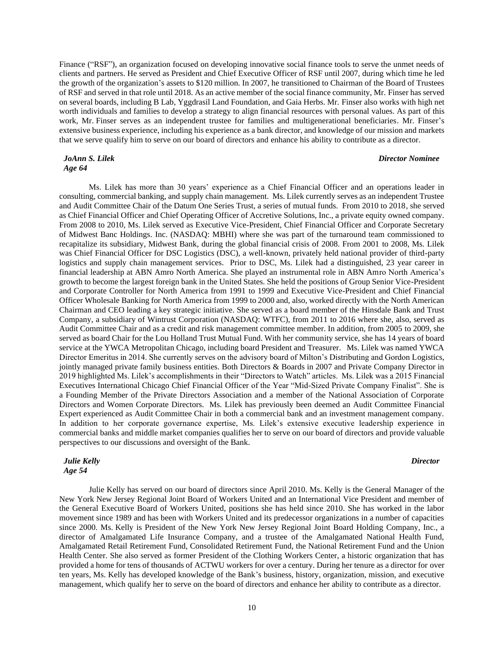Finance ("RSF"), an organization focused on developing innovative social finance tools to serve the unmet needs of clients and partners. He served as President and Chief Executive Officer of RSF until 2007, during which time he led the growth of the organization's assets to \$120 million. In 2007, he transitioned to Chairman of the Board of Trustees of RSF and served in that role until 2018. As an active member of the social finance community, Mr. Finser has served on several boards, including B Lab, Yggdrasil Land Foundation, and Gaia Herbs. Mr. Finser also works with high net worth individuals and families to develop a strategy to align financial resources with personal values. As part of this work, Mr. Finser serves as an independent trustee for families and multigenerational beneficiaries. Mr. Finser's extensive business experience, including his experience as a bank director, and knowledge of our mission and markets that we serve qualify him to serve on our board of directors and enhance his ability to contribute as a director.

### *JoAnn S. Lilek Age 64*

### *Director Nominee*

Ms. Lilek has more than 30 years' experience as a Chief Financial Officer and an operations leader in consulting, commercial banking, and supply chain management. Ms. Lilek currently serves as an independent Trustee and Audit Committee Chair of the Datum One Series Trust, a series of mutual funds. From 2010 to 2018, she served as Chief Financial Officer and Chief Operating Officer of Accretive Solutions, Inc., a private equity owned company. From 2008 to 2010, Ms. Lilek served as Executive Vice-President, Chief Financial Officer and Corporate Secretary of Midwest Banc Holdings. Inc. (NASDAQ: MBHI) where she was part of the turnaround team commissioned to recapitalize its subsidiary, Midwest Bank, during the global financial crisis of 2008. From 2001 to 2008, Ms. Lilek was Chief Financial Officer for DSC Logistics (DSC), a well-known, privately held national provider of third-party logistics and supply chain management services. Prior to DSC, Ms. Lilek had a distinguished, 23 year career in financial leadership at ABN Amro North America. She played an instrumental role in ABN Amro North America's growth to become the largest foreign bank in the United States. She held the positions of Group Senior Vice-President and Corporate Controller for North America from 1991 to 1999 and Executive Vice-President and Chief Financial Officer Wholesale Banking for North America from 1999 to 2000 and, also, worked directly with the North American Chairman and CEO leading a key strategic initiative. She served as a board member of the Hinsdale Bank and Trust Company, a subsidiary of Wintrust Corporation (NASDAQ: WTFC), from 2011 to 2016 where she, also, served as Audit Committee Chair and as a credit and risk management committee member. In addition, from 2005 to 2009, she served as board Chair for the Lou Holland Trust Mutual Fund. With her community service, she has 14 years of board service at the YWCA Metropolitan Chicago, including board President and Treasurer. Ms. Lilek was named YWCA Director Emeritus in 2014. She currently serves on the advisory board of Milton's Distributing and Gordon Logistics, jointly managed private family business entities. Both Directors & Boards in 2007 and Private Company Director in 2019 highlighted Ms. Lilek's accomplishments in their "Directors to Watch" articles. Ms. Lilek was a 2015 Financial Executives International Chicago Chief Financial Officer of the Year "Mid-Sized Private Company Finalist". She is a Founding Member of the Private Directors Association and a member of the National Association of Corporate Directors and Women Corporate Directors. Ms. Lilek has previously been deemed an Audit Committee Financial Expert experienced as Audit Committee Chair in both a commercial bank and an investment management company. In addition to her corporate governance expertise, Ms. Lilek's extensive executive leadership experience in commercial banks and middle market companies qualifies her to serve on our board of directors and provide valuable perspectives to our discussions and oversight of the Bank.

# *Julie Kelly Age 54*

Julie Kelly has served on our board of directors since April 2010. Ms. Kelly is the General Manager of the New York New Jersey Regional Joint Board of Workers United and an International Vice President and member of the General Executive Board of Workers United, positions she has held since 2010. She has worked in the labor movement since 1989 and has been with Workers United and its predecessor organizations in a number of capacities since 2000. Ms. Kelly is President of the New York New Jersey Regional Joint Board Holding Company, Inc., a director of Amalgamated Life Insurance Company, and a trustee of the Amalgamated National Health Fund, Amalgamated Retail Retirement Fund, Consolidated Retirement Fund, the National Retirement Fund and the Union Health Center. She also served as former President of the Clothing Workers Center, a historic organization that has provided a home for tens of thousands of ACTWU workers for over a century. During her tenure as a director for over ten years, Ms. Kelly has developed knowledge of the Bank's business, history, organization, mission, and executive management, which qualify her to serve on the board of directors and enhance her ability to contribute as a director.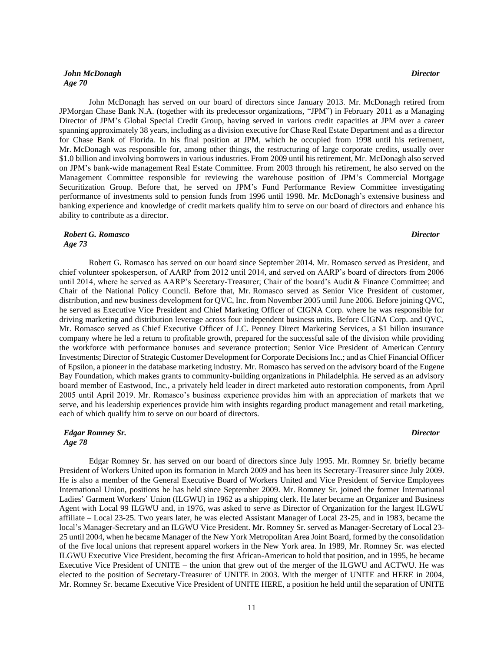# *John McDonagh Age 70*

John McDonagh has served on our board of directors since January 2013. Mr. McDonagh retired from JPMorgan Chase Bank N.A. (together with its predecessor organizations, "JPM") in February 2011 as a Managing Director of JPM's Global Special Credit Group, having served in various credit capacities at JPM over a career spanning approximately 38 years, including as a division executive for Chase Real Estate Department and as a director for Chase Bank of Florida. In his final position at JPM, which he occupied from 1998 until his retirement, Mr. McDonagh was responsible for, among other things, the restructuring of large corporate credits, usually over \$1.0 billion and involving borrowers in various industries. From 2009 until his retirement, Mr. McDonagh also served on JPM's bank-wide management Real Estate Committee. From 2003 through his retirement, he also served on the Management Committee responsible for reviewing the warehouse position of JPM's Commercial Mortgage Securitization Group. Before that, he served on JPM's Fund Performance Review Committee investigating performance of investments sold to pension funds from 1996 until 1998. Mr. McDonagh's extensive business and banking experience and knowledge of credit markets qualify him to serve on our board of directors and enhance his ability to contribute as a director.

### *Robert G. Romasco Age 73*

Robert G. Romasco has served on our board since September 2014. Mr. Romasco served as President, and chief volunteer spokesperson, of AARP from 2012 until 2014, and served on AARP's board of directors from 2006 until 2014, where he served as AARP's Secretary-Treasurer; Chair of the board's Audit & Finance Committee; and Chair of the National Policy Council. Before that, Mr. Romasco served as Senior Vice President of customer, distribution, and new business development for QVC, Inc. from November 2005 until June 2006. Before joining QVC, he served as Executive Vice President and Chief Marketing Officer of CIGNA Corp. where he was responsible for driving marketing and distribution leverage across four independent business units. Before CIGNA Corp. and QVC, Mr. Romasco served as Chief Executive Officer of J.C. Penney Direct Marketing Services, a \$1 billon insurance company where he led a return to profitable growth, prepared for the successful sale of the division while providing the workforce with performance bonuses and severance protection; Senior Vice President of American Century Investments; Director of Strategic Customer Development for Corporate Decisions Inc.; and as Chief Financial Officer of Epsilon, a pioneer in the database marketing industry. Mr. Romasco has served on the advisory board of the Eugene Bay Foundation, which makes grants to community-building organizations in Philadelphia. He served as an advisory board member of Eastwood, Inc., a privately held leader in direct marketed auto restoration components, from April 2005 until April 2019. Mr. Romasco's business experience provides him with an appreciation of markets that we serve, and his leadership experiences provide him with insights regarding product management and retail marketing, each of which qualify him to serve on our board of directors.

# *Edgar Romney Sr. Age 78*

Edgar Romney Sr. has served on our board of directors since July 1995. Mr. Romney Sr. briefly became President of Workers United upon its formation in March 2009 and has been its Secretary-Treasurer since July 2009. He is also a member of the General Executive Board of Workers United and Vice President of Service Employees International Union, positions he has held since September 2009. Mr. Romney Sr. joined the former International Ladies' Garment Workers' Union (ILGWU) in 1962 as a shipping clerk. He later became an Organizer and Business Agent with Local 99 ILGWU and, in 1976, was asked to serve as Director of Organization for the largest ILGWU affiliate – Local 23-25. Two years later, he was elected Assistant Manager of Local 23-25, and in 1983, became the local's Manager-Secretary and an ILGWU Vice President. Mr. Romney Sr. served as Manager-Secretary of Local 23- 25 until 2004, when he became Manager of the New York Metropolitan Area Joint Board, formed by the consolidation of the five local unions that represent apparel workers in the New York area. In 1989, Mr. Romney Sr. was elected ILGWU Executive Vice President, becoming the first African-American to hold that position, and in 1995, he became Executive Vice President of UNITE – the union that grew out of the merger of the ILGWU and ACTWU. He was elected to the position of Secretary-Treasurer of UNITE in 2003. With the merger of UNITE and HERE in 2004, Mr. Romney Sr. became Executive Vice President of UNITE HERE, a position he held until the separation of UNITE

# *Director*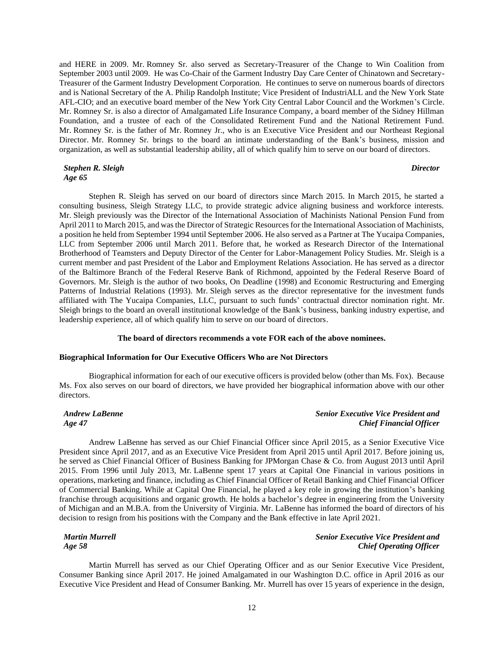and HERE in 2009. Mr. Romney Sr. also served as Secretary-Treasurer of the Change to Win Coalition from September 2003 until 2009. He was Co-Chair of the Garment Industry Day Care Center of Chinatown and Secretary-Treasurer of the Garment Industry Development Corporation. He continues to serve on numerous boards of directors and is National Secretary of the A. Philip Randolph Institute; Vice President of IndustriALL and the New York State AFL-CIO; and an executive board member of the New York City Central Labor Council and the Workmen's Circle. Mr. Romney Sr. is also a director of Amalgamated Life Insurance Company, a board member of the Sidney Hillman Foundation, and a trustee of each of the Consolidated Retirement Fund and the National Retirement Fund. Mr. Romney Sr. is the father of Mr. Romney Jr., who is an Executive Vice President and our Northeast Regional Director. Mr. Romney Sr. brings to the board an intimate understanding of the Bank's business, mission and organization, as well as substantial leadership ability, all of which qualify him to serve on our board of directors.

### *Stephen R. Sleigh Age 65*

### *Director*

Stephen R. Sleigh has served on our board of directors since March 2015. In March 2015, he started a consulting business, Sleigh Strategy LLC, to provide strategic advice aligning business and workforce interests. Mr. Sleigh previously was the Director of the International Association of Machinists National Pension Fund from April 2011 to March 2015, and was the Director of Strategic Resources for the International Association of Machinists, a position he held from September 1994 until September 2006. He also served as a Partner at The Yucaipa Companies, LLC from September 2006 until March 2011. Before that, he worked as Research Director of the International Brotherhood of Teamsters and Deputy Director of the Center for Labor-Management Policy Studies. Mr. Sleigh is a current member and past President of the Labor and Employment Relations Association. He has served as a director of the Baltimore Branch of the Federal Reserve Bank of Richmond, appointed by the Federal Reserve Board of Governors. Mr. Sleigh is the author of two books, On Deadline (1998) and Economic Restructuring and Emerging Patterns of Industrial Relations (1993). Mr. Sleigh serves as the director representative for the investment funds affiliated with The Yucaipa Companies, LLC, pursuant to such funds' contractual director nomination right. Mr. Sleigh brings to the board an overall institutional knowledge of the Bank's business, banking industry expertise, and leadership experience, all of which qualify him to serve on our board of directors.

# **The board of directors recommends a vote FOR each of the above nominees.**

# **Biographical Information for Our Executive Officers Who are Not Directors**

Biographical information for each of our executive officers is provided below (other than Ms. Fox). Because Ms. Fox also serves on our board of directors, we have provided her biographical information above with our other directors.

*Andrew LaBenne Age 47*

# *Senior Executive Vice President and Chief Financial Officer*

Andrew LaBenne has served as our Chief Financial Officer since April 2015, as a Senior Executive Vice President since April 2017, and as an Executive Vice President from April 2015 until April 2017. Before joining us, he served as Chief Financial Officer of Business Banking for JPMorgan Chase & Co. from August 2013 until April 2015. From 1996 until July 2013, Mr. LaBenne spent 17 years at Capital One Financial in various positions in operations, marketing and finance, including as Chief Financial Officer of Retail Banking and Chief Financial Officer of Commercial Banking. While at Capital One Financial, he played a key role in growing the institution's banking franchise through acquisitions and organic growth. He holds a bachelor's degree in engineering from the University of Michigan and an M.B.A. from the University of Virginia. Mr. LaBenne has informed the board of directors of his decision to resign from his positions with the Company and the Bank effective in late April 2021.

*Martin Murrell Age 58*

# *Senior Executive Vice President and Chief Operating Officer*

Martin Murrell has served as our Chief Operating Officer and as our Senior Executive Vice President, Consumer Banking since April 2017. He joined Amalgamated in our Washington D.C. office in April 2016 as our Executive Vice President and Head of Consumer Banking. Mr. Murrell has over 15 years of experience in the design,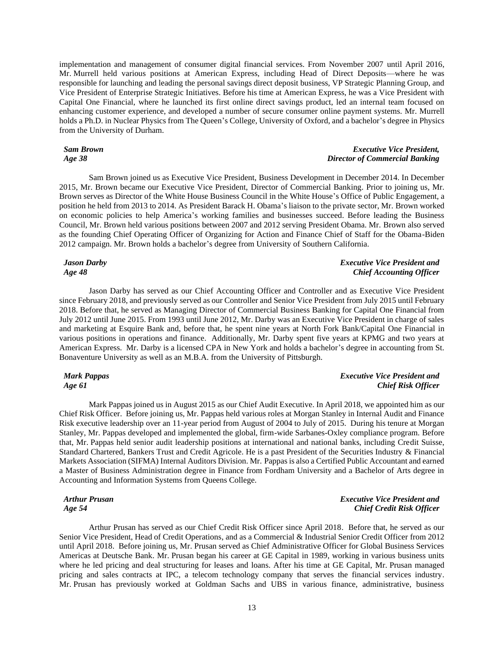implementation and management of consumer digital financial services. From November 2007 until April 2016, Mr. Murrell held various positions at American Express, including Head of Direct Deposits—where he was responsible for launching and leading the personal savings direct deposit business, VP Strategic Planning Group, and Vice President of Enterprise Strategic Initiatives. Before his time at American Express, he was a Vice President with Capital One Financial, where he launched its first online direct savings product, led an internal team focused on enhancing customer experience, and developed a number of secure consumer online payment systems. Mr. Murrell holds a Ph.D. in Nuclear Physics from The Queen's College, University of Oxford, and a bachelor's degree in Physics from the University of Durham.

### *Sam Brown Age 38*

# *Executive Vice President, Director of Commercial Banking*

Sam Brown joined us as Executive Vice President, Business Development in December 2014. In December 2015, Mr. Brown became our Executive Vice President, Director of Commercial Banking. Prior to joining us, Mr. Brown serves as Director of the White House Business Council in the White House's Office of Public Engagement, a position he held from 2013 to 2014. As President Barack H. Obama's liaison to the private sector, Mr. Brown worked on economic policies to help America's working families and businesses succeed. Before leading the Business Council, Mr. Brown held various positions between 2007 and 2012 serving President Obama. Mr. Brown also served as the founding Chief Operating Officer of Organizing for Action and Finance Chief of Staff for the Obama-Biden 2012 campaign. Mr. Brown holds a bachelor's degree from University of Southern California.

# *Jason Darby Age 48*

# Jason Darby has served as our Chief Accounting Officer and Controller and as Executive Vice President since February 2018, and previously served as our Controller and Senior Vice President from July 2015 until February 2018. Before that, he served as Managing Director of Commercial Business Banking for Capital One Financial from July 2012 until June 2015. From 1993 until June 2012, Mr. Darby was an Executive Vice President in charge of sales and marketing at Esquire Bank and, before that, he spent nine years at North Fork Bank/Capital One Financial in various positions in operations and finance. Additionally, Mr. Darby spent five years at KPMG and two years at American Express. Mr. Darby is a licensed CPA in New York and holds a bachelor's degree in accounting from St. Bonaventure University as well as an M.B.A. from the University of Pittsburgh.

# *Mark Pappas Age 61*

# *Executive Vice President and Chief Risk Officer*

*Executive Vice President and Chief Accounting Officer*

Mark Pappas joined us in August 2015 as our Chief Audit Executive. In April 2018, we appointed him as our Chief Risk Officer. Before joining us, Mr. Pappas held various roles at Morgan Stanley in Internal Audit and Finance Risk executive leadership over an 11-year period from August of 2004 to July of 2015. During his tenure at Morgan Stanley, Mr. Pappas developed and implemented the global, firm-wide Sarbanes-Oxley compliance program. Before that, Mr. Pappas held senior audit leadership positions at international and national banks, including Credit Suisse, Standard Chartered, Bankers Trust and Credit Agricole. He is a past President of the Securities Industry & Financial Markets Association (SIFMA) Internal Auditors Division. Mr. Pappas is also a Certified Public Accountant and earned a Master of Business Administration degree in Finance from Fordham University and a Bachelor of Arts degree in Accounting and Information Systems from Queens College.

# *Arthur Prusan Age 54*

*Executive Vice President and Chief Credit Risk Officer*

Arthur Prusan has served as our Chief Credit Risk Officer since April 2018. Before that, he served as our Senior Vice President, Head of Credit Operations, and as a Commercial & Industrial Senior Credit Officer from 2012 until April 2018. Before joining us, Mr. Prusan served as Chief Administrative Officer for Global Business Services Americas at Deutsche Bank. Mr. Prusan began his career at GE Capital in 1989, working in various business units where he led pricing and deal structuring for leases and loans. After his time at GE Capital, Mr. Prusan managed pricing and sales contracts at IPC, a telecom technology company that serves the financial services industry. Mr. Prusan has previously worked at Goldman Sachs and UBS in various finance, administrative, business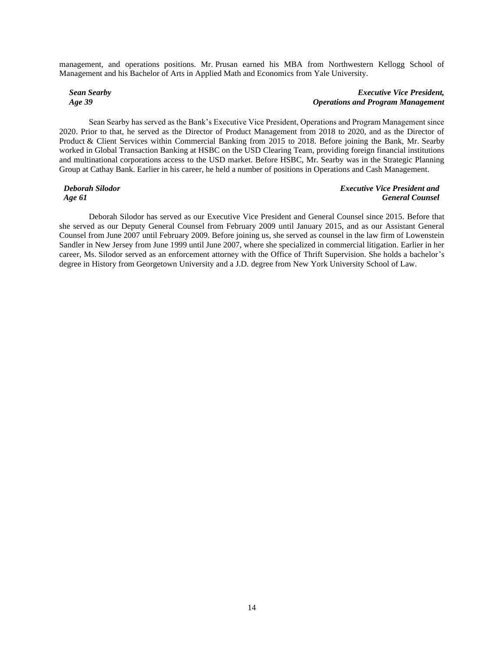management, and operations positions. Mr. Prusan earned his MBA from Northwestern Kellogg School of Management and his Bachelor of Arts in Applied Math and Economics from Yale University.

# *Sean Searby Age 39*

# *Executive Vice President, Operations and Program Management*

Sean Searby has served as the Bank's Executive Vice President, Operations and Program Management since 2020. Prior to that, he served as the Director of Product Management from 2018 to 2020, and as the Director of Product & Client Services within Commercial Banking from 2015 to 2018. Before joining the Bank, Mr. Searby worked in Global Transaction Banking at HSBC on the USD Clearing Team, providing foreign financial institutions and multinational corporations access to the USD market. Before HSBC, Mr. Searby was in the Strategic Planning Group at Cathay Bank. Earlier in his career, he held a number of positions in Operations and Cash Management.

### *Deborah Silodor Age 61*

## *Executive Vice President and General Counsel*

Deborah Silodor has served as our Executive Vice President and General Counsel since 2015. Before that she served as our Deputy General Counsel from February 2009 until January 2015, and as our Assistant General Counsel from June 2007 until February 2009. Before joining us, she served as counsel in the law firm of Lowenstein Sandler in New Jersey from June 1999 until June 2007, where she specialized in commercial litigation. Earlier in her career, Ms. Silodor served as an enforcement attorney with the Office of Thrift Supervision. She holds a bachelor's degree in History from Georgetown University and a J.D. degree from New York University School of Law.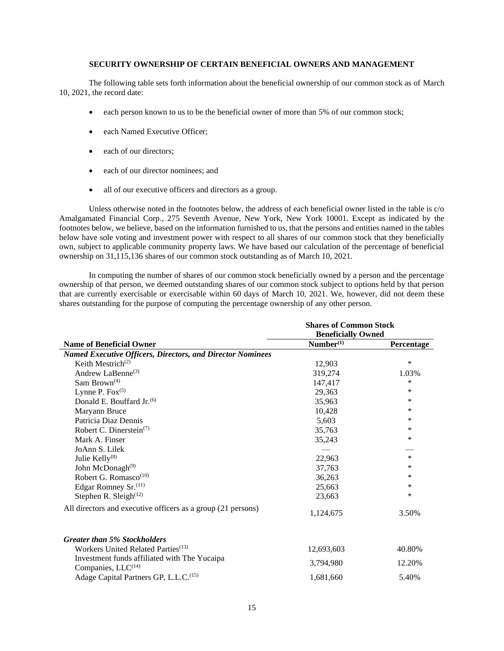# **SECURITY OWNERSHIP OF CERTAIN BENEFICIAL OWNERS AND MANAGEMENT**

The following table sets forth information about the beneficial ownership of our common stock as of March 10, 2021, the record date:

- each person known to us to be the beneficial owner of more than 5% of our common stock;
- each Named Executive Officer;
- each of our directors:
- each of our director nominees; and
- all of our executive officers and directors as a group.

Unless otherwise noted in the footnotes below, the address of each beneficial owner listed in the table is c/o Amalgamated Financial Corp., 275 Seventh Avenue, New York, New York 10001. Except as indicated by the footnotes below, we believe, based on the information furnished to us, that the persons and entities named in the tables below have sole voting and investment power with respect to all shares of our common stock that they beneficially own, subject to applicable community property laws. We have based our calculation of the percentage of beneficial ownership on 31,115,136 shares of our common stock outstanding as of March 10, 2021.

 In computing the number of shares of our common stock beneficially owned by a person and the percentage ownership of that person, we deemed outstanding shares of our common stock subject to options held by that person that are currently exercisable or exercisable within 60 days of March 10, 2021. We, however, did not deem these shares outstanding for the purpose of computing the percentage ownership of any other person.

|                                                                                | <b>Shares of Common Stock</b> |            |  |  |
|--------------------------------------------------------------------------------|-------------------------------|------------|--|--|
|                                                                                | <b>Beneficially Owned</b>     |            |  |  |
| <b>Name of Beneficial Owner</b>                                                | Number <sup>(1)</sup>         | Percentage |  |  |
| <b>Named Executive Officers, Directors, and Director Nominees</b>              |                               |            |  |  |
| Keith Mestrich <sup>(2)</sup>                                                  | 12,903                        | $\ast$     |  |  |
| Andrew LaBenne <sup>(3)</sup>                                                  | 319,274                       | 1.03%      |  |  |
| Sam Brown <sup>(4)</sup>                                                       | 147,417                       | $\ast$     |  |  |
| Lynne P. $Fox^{(5)}$                                                           | 29,363                        | $\ast$     |  |  |
| Donald E. Bouffard Jr. <sup>(6)</sup>                                          | 35,963                        | ∗          |  |  |
| Maryann Bruce                                                                  | 10,428                        | *          |  |  |
| Patricia Diaz Dennis                                                           | 5.603                         | *          |  |  |
| Robert C. Dinerstein <sup>(7)</sup>                                            | 35,763                        | *          |  |  |
| Mark A. Finser                                                                 | 35,243                        | ∗          |  |  |
| JoAnn S. Lilek                                                                 |                               |            |  |  |
| Julie Kelly <sup>(8)</sup>                                                     | 22,963                        | $\ast$     |  |  |
| John McDonagh <sup>(9)</sup>                                                   | 37,763                        | *          |  |  |
| Robert G. Romasco <sup>(10)</sup>                                              | 36,263                        | *          |  |  |
| Edgar Romney Sr. <sup>(11)</sup>                                               | 25,663                        | *          |  |  |
| Stephen R. Sleigh $(12)$                                                       | 23,663                        | $\ast$     |  |  |
| All directors and executive officers as a group (21 persons)                   | 1,124,675                     | 3.50%      |  |  |
| <b>Greater than 5% Stockholders</b>                                            |                               |            |  |  |
| Workers United Related Parties <sup>(13)</sup>                                 | 12,693,603                    | 40.80%     |  |  |
| Investment funds affiliated with The Yucaipa<br>Companies, LLC <sup>(14)</sup> | 3,794,980                     | 12.20%     |  |  |
| Adage Capital Partners GP, L.L.C. <sup>(15)</sup>                              | 1,681,660                     | 5.40%      |  |  |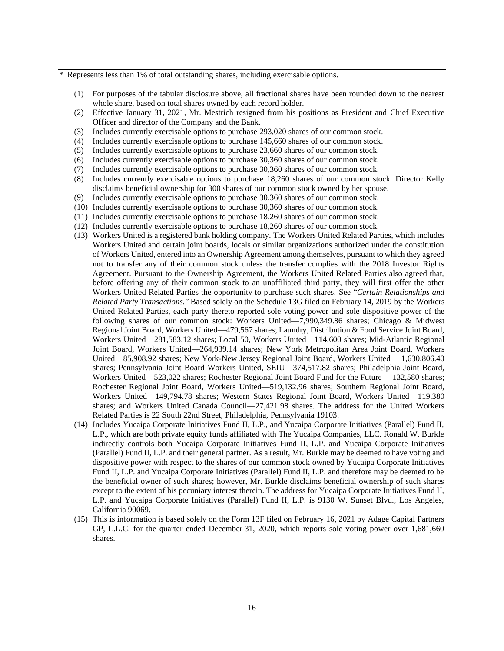Represents less than 1% of total outstanding shares, including exercisable options.

- (1) For purposes of the tabular disclosure above, all fractional shares have been rounded down to the nearest whole share, based on total shares owned by each record holder.
- (2) Effective January 31, 2021, Mr. Mestrich resigned from his positions as President and Chief Executive Officer and director of the Company and the Bank.
- (3) Includes currently exercisable options to purchase 293,020 shares of our common stock.
- (4) Includes currently exercisable options to purchase 145,660 shares of our common stock.
- (5) Includes currently exercisable options to purchase 23,660 shares of our common stock.
- (6) Includes currently exercisable options to purchase 30,360 shares of our common stock.
- (7) Includes currently exercisable options to purchase 30,360 shares of our common stock.
- (8) Includes currently exercisable options to purchase 18,260 shares of our common stock. Director Kelly disclaims beneficial ownership for 300 shares of our common stock owned by her spouse.
- (9) Includes currently exercisable options to purchase 30,360 shares of our common stock.
- (10) Includes currently exercisable options to purchase 30,360 shares of our common stock.
- (11) Includes currently exercisable options to purchase 18,260 shares of our common stock.
- (12) Includes currently exercisable options to purchase 18,260 shares of our common stock.
- (13) Workers United is a registered bank holding company. The Workers United Related Parties, which includes Workers United and certain joint boards, locals or similar organizations authorized under the constitution of Workers United, entered into an Ownership Agreement among themselves, pursuant to which they agreed not to transfer any of their common stock unless the transfer complies with the 2018 Investor Rights Agreement. Pursuant to the Ownership Agreement, the Workers United Related Parties also agreed that, before offering any of their common stock to an unaffiliated third party, they will first offer the other Workers United Related Parties the opportunity to purchase such shares. See "*Certain Relationships and Related Party Transactions.*" Based solely on the Schedule 13G filed on February 14, 2019 by the Workers United Related Parties, each party thereto reported sole voting power and sole dispositive power of the following shares of our common stock: Workers United—7,990,349.86 shares; Chicago & Midwest Regional Joint Board, Workers United—479,567 shares; Laundry, Distribution & Food Service Joint Board, Workers United—281,583.12 shares; Local 50, Workers United—114,600 shares; Mid-Atlantic Regional Joint Board, Workers United—264,939.14 shares; New York Metropolitan Area Joint Board, Workers United—85,908.92 shares; New York-New Jersey Regional Joint Board, Workers United —1,630,806.40 shares; Pennsylvania Joint Board Workers United, SEIU—374,517.82 shares; Philadelphia Joint Board, Workers United—523,022 shares; Rochester Regional Joint Board Fund for the Future— 132,580 shares; Rochester Regional Joint Board, Workers United—519,132.96 shares; Southern Regional Joint Board, Workers United—149,794.78 shares; Western States Regional Joint Board, Workers United—119,380 shares; and Workers United Canada Council—27,421.98 shares. The address for the United Workers Related Parties is 22 South 22nd Street, Philadelphia, Pennsylvania 19103.
- (14) Includes Yucaipa Corporate Initiatives Fund II, L.P., and Yucaipa Corporate Initiatives (Parallel) Fund II, L.P., which are both private equity funds affiliated with The Yucaipa Companies, LLC. Ronald W. Burkle indirectly controls both Yucaipa Corporate Initiatives Fund II, L.P. and Yucaipa Corporate Initiatives (Parallel) Fund II, L.P. and their general partner. As a result, Mr. Burkle may be deemed to have voting and dispositive power with respect to the shares of our common stock owned by Yucaipa Corporate Initiatives Fund II, L.P. and Yucaipa Corporate Initiatives (Parallel) Fund II, L.P. and therefore may be deemed to be the beneficial owner of such shares; however, Mr. Burkle disclaims beneficial ownership of such shares except to the extent of his pecuniary interest therein. The address for Yucaipa Corporate Initiatives Fund II, L.P. and Yucaipa Corporate Initiatives (Parallel) Fund II, L.P. is 9130 W. Sunset Blvd., Los Angeles, California 90069.
- (15) This is information is based solely on the Form 13F filed on February 16, 2021 by Adage Capital Partners GP, L.L.C. for the quarter ended December 31, 2020, which reports sole voting power over 1,681,660 shares.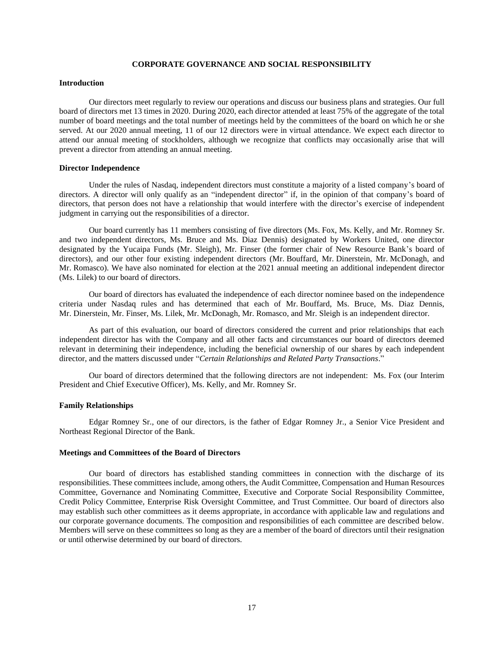# **CORPORATE GOVERNANCE AND SOCIAL RESPONSIBILITY**

### **Introduction**

 Our directors meet regularly to review our operations and discuss our business plans and strategies. Our full board of directors met 13 times in 2020. During 2020, each director attended at least 75% of the aggregate of the total number of board meetings and the total number of meetings held by the committees of the board on which he or she served. At our 2020 annual meeting, 11 of our 12 directors were in virtual attendance. We expect each director to attend our annual meeting of stockholders, although we recognize that conflicts may occasionally arise that will prevent a director from attending an annual meeting.

# **Director Independence**

Under the rules of Nasdaq, independent directors must constitute a majority of a listed company's board of directors. A director will only qualify as an "independent director" if, in the opinion of that company's board of directors, that person does not have a relationship that would interfere with the director's exercise of independent judgment in carrying out the responsibilities of a director.

Our board currently has 11 members consisting of five directors (Ms. Fox, Ms. Kelly, and Mr. Romney Sr. and two independent directors, Ms. Bruce and Ms. Diaz Dennis) designated by Workers United, one director designated by the Yucaipa Funds (Mr. Sleigh), Mr. Finser (the former chair of New Resource Bank's board of directors), and our other four existing independent directors (Mr. Bouffard, Mr. Dinerstein, Mr. McDonagh, and Mr. Romasco). We have also nominated for election at the 2021 annual meeting an additional independent director (Ms. Lilek) to our board of directors.

Our board of directors has evaluated the independence of each director nominee based on the independence criteria under Nasdaq rules and has determined that each of Mr. Bouffard, Ms. Bruce, Ms. Diaz Dennis, Mr. Dinerstein, Mr. Finser, Ms. Lilek, Mr. McDonagh, Mr. Romasco, and Mr. Sleigh is an independent director.

As part of this evaluation, our board of directors considered the current and prior relationships that each independent director has with the Company and all other facts and circumstances our board of directors deemed relevant in determining their independence, including the beneficial ownership of our shares by each independent director, and the matters discussed under "*Certain Relationships and Related Party Transactions*."

Our board of directors determined that the following directors are not independent: Ms. Fox (our Interim President and Chief Executive Officer), Ms. Kelly, and Mr. Romney Sr.

### **Family Relationships**

Edgar Romney Sr., one of our directors, is the father of Edgar Romney Jr., a Senior Vice President and Northeast Regional Director of the Bank.

### **Meetings and Committees of the Board of Directors**

Our board of directors has established standing committees in connection with the discharge of its responsibilities. These committees include, among others, the Audit Committee, Compensation and Human Resources Committee, Governance and Nominating Committee, Executive and Corporate Social Responsibility Committee, Credit Policy Committee, Enterprise Risk Oversight Committee, and Trust Committee. Our board of directors also may establish such other committees as it deems appropriate, in accordance with applicable law and regulations and our corporate governance documents. The composition and responsibilities of each committee are described below. Members will serve on these committees so long as they are a member of the board of directors until their resignation or until otherwise determined by our board of directors.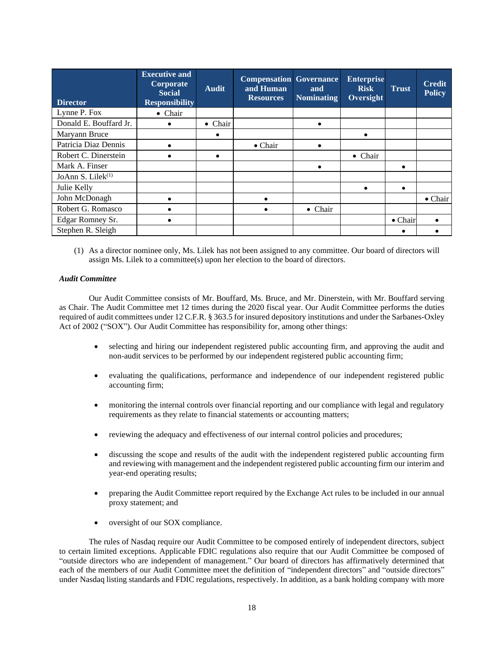| <b>Director</b>               | <b>Executive and</b><br>Corporate<br><b>Social</b><br><b>Responsibility</b> | <b>Audit</b>    | <b>Compensation Governance</b><br>and Human<br><b>Resources</b> | and<br><b>Nominating</b> | <b>Enterprise</b><br><b>Risk</b><br>Oversight | <b>Trust</b>    | <b>Credit</b><br><b>Policy</b> |
|-------------------------------|-----------------------------------------------------------------------------|-----------------|-----------------------------------------------------------------|--------------------------|-----------------------------------------------|-----------------|--------------------------------|
| Lynne P. Fox                  | $\bullet$ Chair                                                             |                 |                                                                 |                          |                                               |                 |                                |
| Donald E. Bouffard Jr.        |                                                                             | $\bullet$ Chair |                                                                 |                          |                                               |                 |                                |
| Maryann Bruce                 |                                                                             |                 |                                                                 |                          | $\bullet$                                     |                 |                                |
| Patricia Diaz Dennis          |                                                                             |                 | $\bullet$ Chair                                                 |                          |                                               |                 |                                |
| Robert C. Dinerstein          |                                                                             |                 |                                                                 |                          | $\bullet$ Chair                               |                 |                                |
| Mark A. Finser                |                                                                             |                 |                                                                 |                          |                                               |                 |                                |
| JoAnn S. Lilek <sup>(1)</sup> |                                                                             |                 |                                                                 |                          |                                               |                 |                                |
| Julie Kelly                   |                                                                             |                 |                                                                 |                          | $\bullet$                                     | ٠               |                                |
| John McDonagh                 |                                                                             |                 |                                                                 |                          |                                               |                 | $\bullet$ Chair                |
| Robert G. Romasco             |                                                                             |                 |                                                                 | • Chair                  |                                               |                 |                                |
| Edgar Romney Sr.              |                                                                             |                 |                                                                 |                          |                                               | $\bullet$ Chair |                                |
| Stephen R. Sleigh             |                                                                             |                 |                                                                 |                          |                                               |                 |                                |

(1) As a director nominee only, Ms. Lilek has not been assigned to any committee. Our board of directors will assign Ms. Lilek to a committee(s) upon her election to the board of directors.

### *Audit Committee*

Our Audit Committee consists of Mr. Bouffard, Ms. Bruce, and Mr. Dinerstein, with Mr. Bouffard serving as Chair. The Audit Committee met 12 times during the 2020 fiscal year. Our Audit Committee performs the duties required of audit committees under 12 C.F.R. § 363.5 for insured depository institutions and under the Sarbanes-Oxley Act of 2002 ("SOX"). Our Audit Committee has responsibility for, among other things:

- selecting and hiring our independent registered public accounting firm, and approving the audit and non-audit services to be performed by our independent registered public accounting firm;
- evaluating the qualifications, performance and independence of our independent registered public accounting firm;
- monitoring the internal controls over financial reporting and our compliance with legal and regulatory requirements as they relate to financial statements or accounting matters;
- reviewing the adequacy and effectiveness of our internal control policies and procedures;
- discussing the scope and results of the audit with the independent registered public accounting firm and reviewing with management and the independent registered public accounting firm our interim and year-end operating results;
- preparing the Audit Committee report required by the Exchange Act rules to be included in our annual proxy statement; and
- oversight of our SOX compliance.

The rules of Nasdaq require our Audit Committee to be composed entirely of independent directors, subject to certain limited exceptions. Applicable FDIC regulations also require that our Audit Committee be composed of "outside directors who are independent of management." Our board of directors has affirmatively determined that each of the members of our Audit Committee meet the definition of "independent directors" and "outside directors" under Nasdaq listing standards and FDIC regulations, respectively. In addition, as a bank holding company with more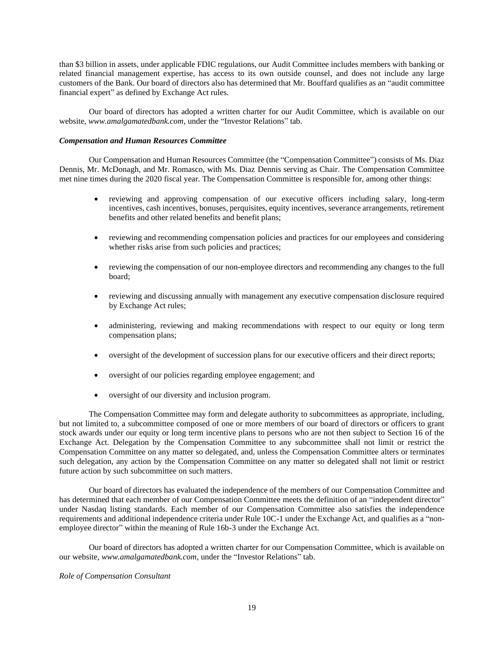than \$3 billion in assets, under applicable FDIC regulations, our Audit Committee includes members with banking or related financial management expertise, has access to its own outside counsel, and does not include any large customers of the Bank. Our board of directors also has determined that Mr. Bouffard qualifies as an "audit committee financial expert" as defined by Exchange Act rules.

Our board of directors has adopted a written charter for our Audit Committee, which is available on our website, *www.amalgamatedbank.com*, under the "Investor Relations" tab.

### *Compensation and Human Resources Committee*

Our Compensation and Human Resources Committee (the "Compensation Committee") consists of Ms. Diaz Dennis, Mr. McDonagh, and Mr. Romasco, with Ms. Diaz Dennis serving as Chair. The Compensation Committee met nine times during the 2020 fiscal year. The Compensation Committee is responsible for, among other things:

- reviewing and approving compensation of our executive officers including salary, long-term incentives, cash incentives, bonuses, perquisites, equity incentives, severance arrangements, retirement benefits and other related benefits and benefit plans;
- reviewing and recommending compensation policies and practices for our employees and considering whether risks arise from such policies and practices;
- reviewing the compensation of our non-employee directors and recommending any changes to the full board;
- reviewing and discussing annually with management any executive compensation disclosure required by Exchange Act rules;
- administering, reviewing and making recommendations with respect to our equity or long term compensation plans;
- oversight of the development of succession plans for our executive officers and their direct reports;
- oversight of our policies regarding employee engagement; and
- oversight of our diversity and inclusion program.

The Compensation Committee may form and delegate authority to subcommittees as appropriate, including, but not limited to, a subcommittee composed of one or more members of our board of directors or officers to grant stock awards under our equity or long term incentive plans to persons who are not then subject to Section 16 of the Exchange Act. Delegation by the Compensation Committee to any subcommittee shall not limit or restrict the Compensation Committee on any matter so delegated, and, unless the Compensation Committee alters or terminates such delegation, any action by the Compensation Committee on any matter so delegated shall not limit or restrict future action by such subcommittee on such matters.

Our board of directors has evaluated the independence of the members of our Compensation Committee and has determined that each member of our Compensation Committee meets the definition of an "independent director" under Nasdaq listing standards. Each member of our Compensation Committee also satisfies the independence requirements and additional independence criteria under Rule 10C-1 under the Exchange Act, and qualifies as a "nonemployee director" within the meaning of Rule 16b-3 under the Exchange Act.

Our board of directors has adopted a written charter for our Compensation Committee, which is available on our website, *www.amalgamatedbank.com*, under the "Investor Relations" tab.

# *Role of Compensation Consultant*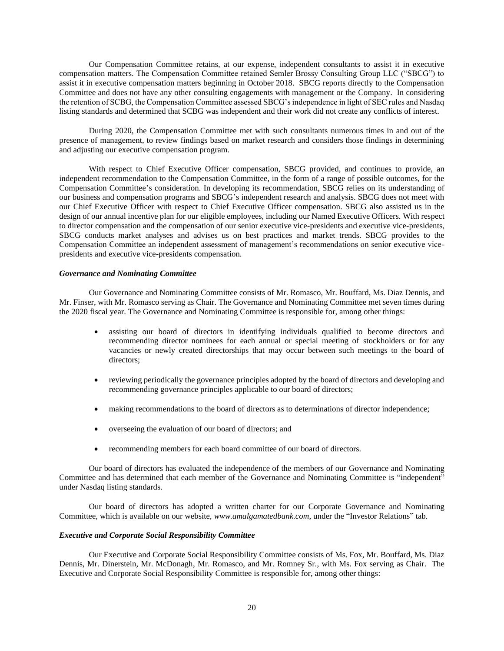Our Compensation Committee retains, at our expense, independent consultants to assist it in executive compensation matters. The Compensation Committee retained Semler Brossy Consulting Group LLC ("SBCG") to assist it in executive compensation matters beginning in October 2018. SBCG reports directly to the Compensation Committee and does not have any other consulting engagements with management or the Company. In considering the retention of SCBG, the Compensation Committee assessed SBCG's independence in light of SEC rules and Nasdaq listing standards and determined that SCBG was independent and their work did not create any conflicts of interest.

During 2020, the Compensation Committee met with such consultants numerous times in and out of the presence of management, to review findings based on market research and considers those findings in determining and adjusting our executive compensation program.

With respect to Chief Executive Officer compensation, SBCG provided, and continues to provide, an independent recommendation to the Compensation Committee, in the form of a range of possible outcomes, for the Compensation Committee's consideration. In developing its recommendation, SBCG relies on its understanding of our business and compensation programs and SBCG's independent research and analysis. SBCG does not meet with our Chief Executive Officer with respect to Chief Executive Officer compensation. SBCG also assisted us in the design of our annual incentive plan for our eligible employees, including our Named Executive Officers. With respect to director compensation and the compensation of our senior executive vice-presidents and executive vice-presidents, SBCG conducts market analyses and advises us on best practices and market trends. SBCG provides to the Compensation Committee an independent assessment of management's recommendations on senior executive vicepresidents and executive vice-presidents compensation.

### *Governance and Nominating Committee*

Our Governance and Nominating Committee consists of Mr. Romasco, Mr. Bouffard, Ms. Diaz Dennis, and Mr. Finser, with Mr. Romasco serving as Chair. The Governance and Nominating Committee met seven times during the 2020 fiscal year. The Governance and Nominating Committee is responsible for, among other things:

- assisting our board of directors in identifying individuals qualified to become directors and recommending director nominees for each annual or special meeting of stockholders or for any vacancies or newly created directorships that may occur between such meetings to the board of directors;
- reviewing periodically the governance principles adopted by the board of directors and developing and recommending governance principles applicable to our board of directors;
- making recommendations to the board of directors as to determinations of director independence;
- overseeing the evaluation of our board of directors; and
- recommending members for each board committee of our board of directors.

Our board of directors has evaluated the independence of the members of our Governance and Nominating Committee and has determined that each member of the Governance and Nominating Committee is "independent" under Nasdaq listing standards.

Our board of directors has adopted a written charter for our Corporate Governance and Nominating Committee, which is available on our website, *www.amalgamatedbank.com*, under the "Investor Relations" tab.

### *Executive and Corporate Social Responsibility Committee*

Our Executive and Corporate Social Responsibility Committee consists of Ms. Fox, Mr. Bouffard, Ms. Diaz Dennis, Mr. Dinerstein, Mr. McDonagh, Mr. Romasco, and Mr. Romney Sr., with Ms. Fox serving as Chair. The Executive and Corporate Social Responsibility Committee is responsible for, among other things: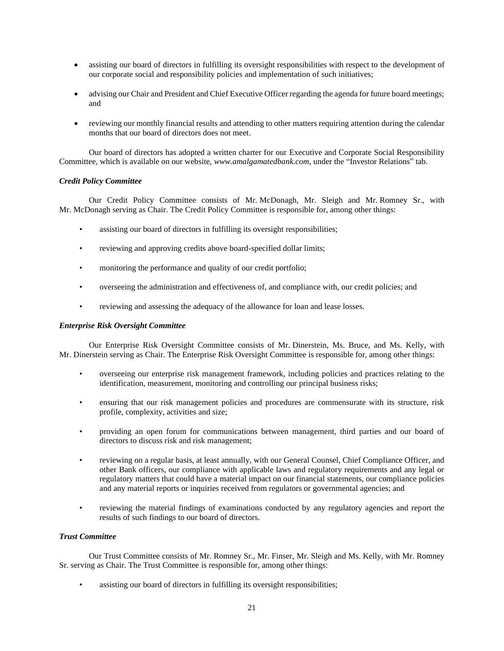- assisting our board of directors in fulfilling its oversight responsibilities with respect to the development of our corporate social and responsibility policies and implementation of such initiatives;
- advising our Chair and President and Chief Executive Officer regarding the agenda for future board meetings; and
- reviewing our monthly financial results and attending to other matters requiring attention during the calendar months that our board of directors does not meet.

Our board of directors has adopted a written charter for our Executive and Corporate Social Responsibility Committee, which is available on our website, *www.amalgamatedbank.com*, under the "Investor Relations" tab.

# *Credit Policy Committee*

Our Credit Policy Committee consists of Mr. McDonagh, Mr. Sleigh and Mr. Romney Sr., with Mr. McDonagh serving as Chair. The Credit Policy Committee is responsible for, among other things:

- assisting our board of directors in fulfilling its oversight responsibilities;
- reviewing and approving credits above board-specified dollar limits;
- monitoring the performance and quality of our credit portfolio;
- overseeing the administration and effectiveness of, and compliance with, our credit policies; and
- reviewing and assessing the adequacy of the allowance for loan and lease losses.

# *Enterprise Risk Oversight Committee*

Our Enterprise Risk Oversight Committee consists of Mr. Dinerstein, Ms. Bruce, and Ms. Kelly, with Mr. Dinerstein serving as Chair. The Enterprise Risk Oversight Committee is responsible for, among other things:

- overseeing our enterprise risk management framework, including policies and practices relating to the identification, measurement, monitoring and controlling our principal business risks;
- ensuring that our risk management policies and procedures are commensurate with its structure, risk profile, complexity, activities and size;
- providing an open forum for communications between management, third parties and our board of directors to discuss risk and risk management;
- reviewing on a regular basis, at least annually, with our General Counsel, Chief Compliance Officer, and other Bank officers, our compliance with applicable laws and regulatory requirements and any legal or regulatory matters that could have a material impact on our financial statements, our compliance policies and any material reports or inquiries received from regulators or governmental agencies; and
- reviewing the material findings of examinations conducted by any regulatory agencies and report the results of such findings to our board of directors.

# *Trust Committee*

Our Trust Committee consists of Mr. Romney Sr., Mr. Finser, Mr. Sleigh and Ms. Kelly, with Mr. Romney Sr. serving as Chair. The Trust Committee is responsible for, among other things:

assisting our board of directors in fulfilling its oversight responsibilities;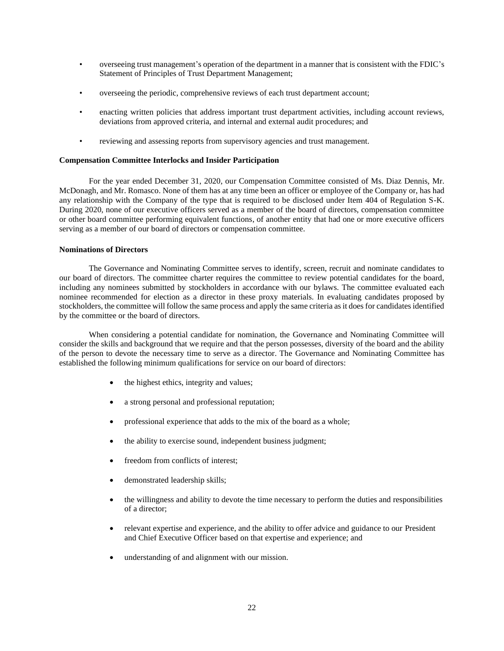- overseeing trust management's operation of the department in a manner that is consistent with the FDIC's Statement of Principles of Trust Department Management;
- overseeing the periodic, comprehensive reviews of each trust department account;
- enacting written policies that address important trust department activities, including account reviews, deviations from approved criteria, and internal and external audit procedures; and
- reviewing and assessing reports from supervisory agencies and trust management.

# **Compensation Committee Interlocks and Insider Participation**

For the year ended December 31, 2020, our Compensation Committee consisted of Ms. Diaz Dennis, Mr. McDonagh, and Mr. Romasco. None of them has at any time been an officer or employee of the Company or, has had any relationship with the Company of the type that is required to be disclosed under Item 404 of Regulation S-K. During 2020, none of our executive officers served as a member of the board of directors, compensation committee or other board committee performing equivalent functions, of another entity that had one or more executive officers serving as a member of our board of directors or compensation committee.

### **Nominations of Directors**

 The Governance and Nominating Committee serves to identify, screen, recruit and nominate candidates to our board of directors. The committee charter requires the committee to review potential candidates for the board, including any nominees submitted by stockholders in accordance with our bylaws. The committee evaluated each nominee recommended for election as a director in these proxy materials. In evaluating candidates proposed by stockholders, the committee will follow the same process and apply the same criteria as it does for candidates identified by the committee or the board of directors.

When considering a potential candidate for nomination, the Governance and Nominating Committee will consider the skills and background that we require and that the person possesses, diversity of the board and the ability of the person to devote the necessary time to serve as a director. The Governance and Nominating Committee has established the following minimum qualifications for service on our board of directors:

- the highest ethics, integrity and values;
- a strong personal and professional reputation;
- professional experience that adds to the mix of the board as a whole;
- the ability to exercise sound, independent business judgment;
- freedom from conflicts of interest;
- demonstrated leadership skills;
- the willingness and ability to devote the time necessary to perform the duties and responsibilities of a director;
- relevant expertise and experience, and the ability to offer advice and guidance to our President and Chief Executive Officer based on that expertise and experience; and
- understanding of and alignment with our mission.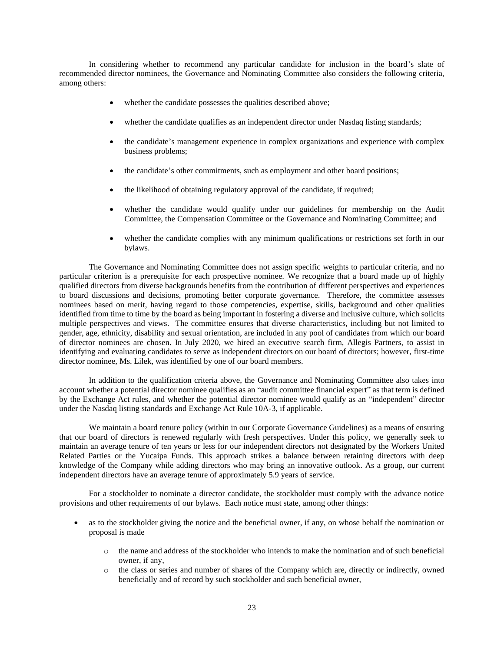In considering whether to recommend any particular candidate for inclusion in the board's slate of recommended director nominees, the Governance and Nominating Committee also considers the following criteria, among others:

- whether the candidate possesses the qualities described above;
- whether the candidate qualifies as an independent director under Nasdaq listing standards;
- the candidate's management experience in complex organizations and experience with complex business problems;
- the candidate's other commitments, such as employment and other board positions;
- the likelihood of obtaining regulatory approval of the candidate, if required;
- whether the candidate would qualify under our guidelines for membership on the Audit Committee, the Compensation Committee or the Governance and Nominating Committee; and
- whether the candidate complies with any minimum qualifications or restrictions set forth in our bylaws.

The Governance and Nominating Committee does not assign specific weights to particular criteria, and no particular criterion is a prerequisite for each prospective nominee. We recognize that a board made up of highly qualified directors from diverse backgrounds benefits from the contribution of different perspectives and experiences to board discussions and decisions, promoting better corporate governance. Therefore, the committee assesses nominees based on merit, having regard to those competencies, expertise, skills, background and other qualities identified from time to time by the board as being important in fostering a diverse and inclusive culture, which solicits multiple perspectives and views. The committee ensures that diverse characteristics, including but not limited to gender, age, ethnicity, disability and sexual orientation, are included in any pool of candidates from which our board of director nominees are chosen. In July 2020, we hired an executive search firm, Allegis Partners, to assist in identifying and evaluating candidates to serve as independent directors on our board of directors; however, first-time director nominee, Ms. Lilek, was identified by one of our board members.

 In addition to the qualification criteria above, the Governance and Nominating Committee also takes into account whether a potential director nominee qualifies as an "audit committee financial expert" as that term is defined by the Exchange Act rules, and whether the potential director nominee would qualify as an "independent" director under the Nasdaq listing standards and Exchange Act Rule 10A-3, if applicable.

We maintain a board tenure policy (within in our Corporate Governance Guidelines) as a means of ensuring that our board of directors is renewed regularly with fresh perspectives. Under this policy, we generally seek to maintain an average tenure of ten years or less for our independent directors not designated by the Workers United Related Parties or the Yucaipa Funds. This approach strikes a balance between retaining directors with deep knowledge of the Company while adding directors who may bring an innovative outlook. As a group, our current independent directors have an average tenure of approximately 5.9 years of service.

For a stockholder to nominate a director candidate, the stockholder must comply with the advance notice provisions and other requirements of our bylaws. Each notice must state, among other things:

- as to the stockholder giving the notice and the beneficial owner, if any, on whose behalf the nomination or proposal is made
	- o the name and address of the stockholder who intends to make the nomination and of such beneficial owner, if any,
	- o the class or series and number of shares of the Company which are, directly or indirectly, owned beneficially and of record by such stockholder and such beneficial owner,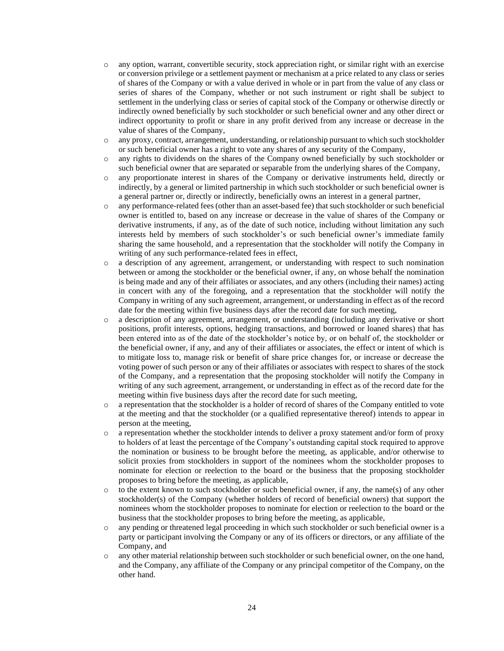- o any option, warrant, convertible security, stock appreciation right, or similar right with an exercise or conversion privilege or a settlement payment or mechanism at a price related to any class or series of shares of the Company or with a value derived in whole or in part from the value of any class or series of shares of the Company, whether or not such instrument or right shall be subject to settlement in the underlying class or series of capital stock of the Company or otherwise directly or indirectly owned beneficially by such stockholder or such beneficial owner and any other direct or indirect opportunity to profit or share in any profit derived from any increase or decrease in the value of shares of the Company,
- o any proxy, contract, arrangement, understanding, or relationship pursuant to which such stockholder or such beneficial owner has a right to vote any shares of any security of the Company,
- o any rights to dividends on the shares of the Company owned beneficially by such stockholder or such beneficial owner that are separated or separable from the underlying shares of the Company,
- o any proportionate interest in shares of the Company or derivative instruments held, directly or indirectly, by a general or limited partnership in which such stockholder or such beneficial owner is a general partner or, directly or indirectly, beneficially owns an interest in a general partner,
- o any performance-related fees (other than an asset-based fee) that such stockholder or such beneficial owner is entitled to, based on any increase or decrease in the value of shares of the Company or derivative instruments, if any, as of the date of such notice, including without limitation any such interests held by members of such stockholder's or such beneficial owner's immediate family sharing the same household, and a representation that the stockholder will notify the Company in writing of any such performance-related fees in effect,
- o a description of any agreement, arrangement, or understanding with respect to such nomination between or among the stockholder or the beneficial owner, if any, on whose behalf the nomination is being made and any of their affiliates or associates, and any others (including their names) acting in concert with any of the foregoing, and a representation that the stockholder will notify the Company in writing of any such agreement, arrangement, or understanding in effect as of the record date for the meeting within five business days after the record date for such meeting,
- o a description of any agreement, arrangement, or understanding (including any derivative or short positions, profit interests, options, hedging transactions, and borrowed or loaned shares) that has been entered into as of the date of the stockholder's notice by, or on behalf of, the stockholder or the beneficial owner, if any, and any of their affiliates or associates, the effect or intent of which is to mitigate loss to, manage risk or benefit of share price changes for, or increase or decrease the voting power of such person or any of their affiliates or associates with respect to shares of the stock of the Company, and a representation that the proposing stockholder will notify the Company in writing of any such agreement, arrangement, or understanding in effect as of the record date for the meeting within five business days after the record date for such meeting,
- o a representation that the stockholder is a holder of record of shares of the Company entitled to vote at the meeting and that the stockholder (or a qualified representative thereof) intends to appear in person at the meeting,
- o a representation whether the stockholder intends to deliver a proxy statement and/or form of proxy to holders of at least the percentage of the Company's outstanding capital stock required to approve the nomination or business to be brought before the meeting, as applicable, and/or otherwise to solicit proxies from stockholders in support of the nominees whom the stockholder proposes to nominate for election or reelection to the board or the business that the proposing stockholder proposes to bring before the meeting, as applicable,
- $\circ$  to the extent known to such stockholder or such beneficial owner, if any, the name(s) of any other stockholder(s) of the Company (whether holders of record of beneficial owners) that support the nominees whom the stockholder proposes to nominate for election or reelection to the board or the business that the stockholder proposes to bring before the meeting, as applicable,
- o any pending or threatened legal proceeding in which such stockholder or such beneficial owner is a party or participant involving the Company or any of its officers or directors, or any affiliate of the Company, and
- o any other material relationship between such stockholder or such beneficial owner, on the one hand, and the Company, any affiliate of the Company or any principal competitor of the Company, on the other hand.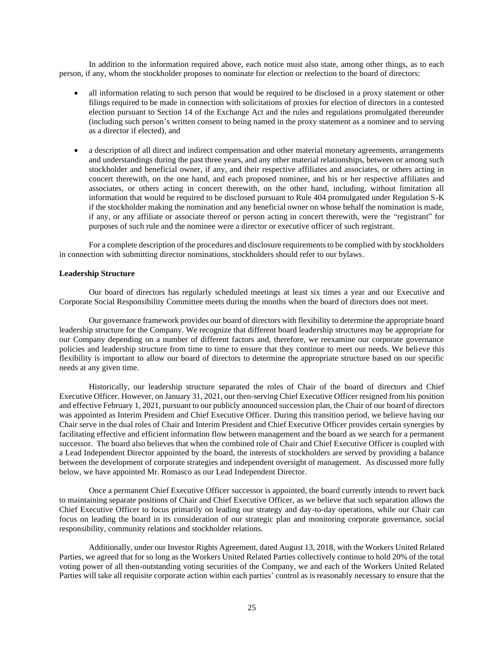In addition to the information required above, each notice must also state, among other things, as to each person, if any, whom the stockholder proposes to nominate for election or reelection to the board of directors:

- all information relating to such person that would be required to be disclosed in a proxy statement or other filings required to be made in connection with solicitations of proxies for election of directors in a contested election pursuant to Section 14 of the Exchange Act and the rules and regulations promulgated thereunder (including such person's written consent to being named in the proxy statement as a nominee and to serving as a director if elected), and
- a description of all direct and indirect compensation and other material monetary agreements, arrangements and understandings during the past three years, and any other material relationships, between or among such stockholder and beneficial owner, if any, and their respective affiliates and associates, or others acting in concert therewith, on the one hand, and each proposed nominee, and his or her respective affiliates and associates, or others acting in concert therewith, on the other hand, including, without limitation all information that would be required to be disclosed pursuant to Rule 404 promulgated under Regulation S-K if the stockholder making the nomination and any beneficial owner on whose behalf the nomination is made, if any, or any affiliate or associate thereof or person acting in concert therewith, were the "registrant" for purposes of such rule and the nominee were a director or executive officer of such registrant.

For a complete description of the procedures and disclosure requirements to be complied with by stockholders in connection with submitting director nominations, stockholders should refer to our bylaws.

# **Leadership Structure**

Our board of directors has regularly scheduled meetings at least six times a year and our Executive and Corporate Social Responsibility Committee meets during the months when the board of directors does not meet.

Our governance framework provides our board of directors with flexibility to determine the appropriate board leadership structure for the Company. We recognize that different board leadership structures may be appropriate for our Company depending on a number of different factors and, therefore, we reexamine our corporate governance policies and leadership structure from time to time to ensure that they continue to meet our needs. We believe this flexibility is important to allow our board of directors to determine the appropriate structure based on our specific needs at any given time.

Historically, our leadership structure separated the roles of Chair of the board of directors and Chief Executive Officer. However, on January 31, 2021, our then-serving Chief Executive Officer resigned from his position and effective February 1, 2021, pursuant to our publicly announced succession plan, the Chair of our board of directors was appointed as Interim President and Chief Executive Officer. During this transition period, we believe having our Chair serve in the dual roles of Chair and Interim President and Chief Executive Officer provides certain synergies by facilitating effective and efficient information flow between management and the board as we search for a permanent successor. The board also believes that when the combined role of Chair and Chief Executive Officer is coupled with a Lead Independent Director appointed by the board, the interests of stockholders are served by providing a balance between the development of corporate strategies and independent oversight of management. As discussed more fully below, we have appointed Mr. Romasco as our Lead Independent Director.

Once a permanent Chief Executive Officer successor is appointed, the board currently intends to revert back to maintaining separate positions of Chair and Chief Executive Officer, as we believe that such separation allows the Chief Executive Officer to focus primarily on leading our strategy and day-to-day operations, while our Chair can focus on leading the board in its consideration of our strategic plan and monitoring corporate governance, social responsibility, community relations and stockholder relations.

Additionally, under our Investor Rights Agreement, dated August 13, 2018, with the Workers United Related Parties, we agreed that for so long as the Workers United Related Parties collectively continue to hold 20% of the total voting power of all then-outstanding voting securities of the Company, we and each of the Workers United Related Parties will take all requisite corporate action within each parties' control as is reasonably necessary to ensure that the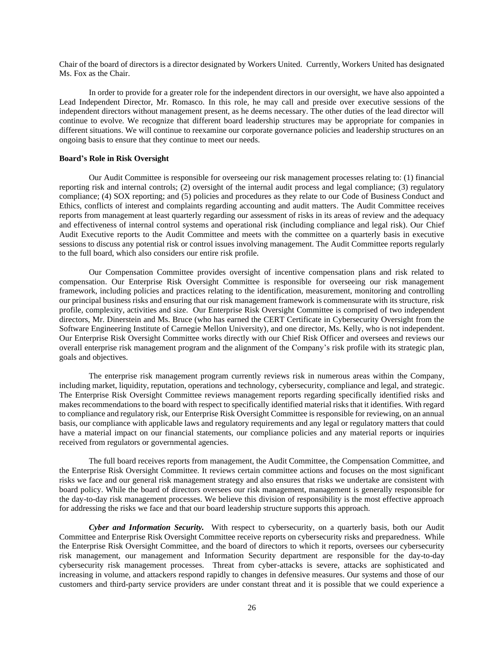Chair of the board of directors is a director designated by Workers United. Currently, Workers United has designated Ms. Fox as the Chair.

In order to provide for a greater role for the independent directors in our oversight, we have also appointed a Lead Independent Director, Mr. Romasco. In this role, he may call and preside over executive sessions of the independent directors without management present, as he deems necessary. The other duties of the lead director will continue to evolve. We recognize that different board leadership structures may be appropriate for companies in different situations. We will continue to reexamine our corporate governance policies and leadership structures on an ongoing basis to ensure that they continue to meet our needs.

# **Board's Role in Risk Oversight**

Our Audit Committee is responsible for overseeing our risk management processes relating to: (1) financial reporting risk and internal controls; (2) oversight of the internal audit process and legal compliance; (3) regulatory compliance; (4) SOX reporting; and (5) policies and procedures as they relate to our Code of Business Conduct and Ethics, conflicts of interest and complaints regarding accounting and audit matters. The Audit Committee receives reports from management at least quarterly regarding our assessment of risks in its areas of review and the adequacy and effectiveness of internal control systems and operational risk (including compliance and legal risk). Our Chief Audit Executive reports to the Audit Committee and meets with the committee on a quarterly basis in executive sessions to discuss any potential risk or control issues involving management. The Audit Committee reports regularly to the full board, which also considers our entire risk profile.

Our Compensation Committee provides oversight of incentive compensation plans and risk related to compensation. Our Enterprise Risk Oversight Committee is responsible for overseeing our risk management framework, including policies and practices relating to the identification, measurement, monitoring and controlling our principal business risks and ensuring that our risk management framework is commensurate with its structure, risk profile, complexity, activities and size. Our Enterprise Risk Oversight Committee is comprised of two independent directors, Mr. Dinerstein and Ms. Bruce (who has earned the CERT Certificate in Cybersecurity Oversight from the Software Engineering Institute of Carnegie Mellon University), and one director, Ms. Kelly, who is not independent. Our Enterprise Risk Oversight Committee works directly with our Chief Risk Officer and oversees and reviews our overall enterprise risk management program and the alignment of the Company's risk profile with its strategic plan, goals and objectives.

The enterprise risk management program currently reviews risk in numerous areas within the Company, including market, liquidity, reputation, operations and technology, cybersecurity, compliance and legal, and strategic. The Enterprise Risk Oversight Committee reviews management reports regarding specifically identified risks and makes recommendations to the board with respect to specifically identified material risks that it identifies. With regard to compliance and regulatory risk, our Enterprise Risk Oversight Committee is responsible for reviewing, on an annual basis, our compliance with applicable laws and regulatory requirements and any legal or regulatory matters that could have a material impact on our financial statements, our compliance policies and any material reports or inquiries received from regulators or governmental agencies.

The full board receives reports from management, the Audit Committee, the Compensation Committee, and the Enterprise Risk Oversight Committee. It reviews certain committee actions and focuses on the most significant risks we face and our general risk management strategy and also ensures that risks we undertake are consistent with board policy. While the board of directors oversees our risk management, management is generally responsible for the day-to-day risk management processes. We believe this division of responsibility is the most effective approach for addressing the risks we face and that our board leadership structure supports this approach.

*Cyber and Information Security.* With respect to cybersecurity, on a quarterly basis, both our Audit Committee and Enterprise Risk Oversight Committee receive reports on cybersecurity risks and preparedness. While the Enterprise Risk Oversight Committee, and the board of directors to which it reports, oversees our cybersecurity risk management, our management and Information Security department are responsible for the day-to-day cybersecurity risk management processes. Threat from cyber-attacks is severe, attacks are sophisticated and increasing in volume, and attackers respond rapidly to changes in defensive measures. Our systems and those of our customers and third-party service providers are under constant threat and it is possible that we could experience a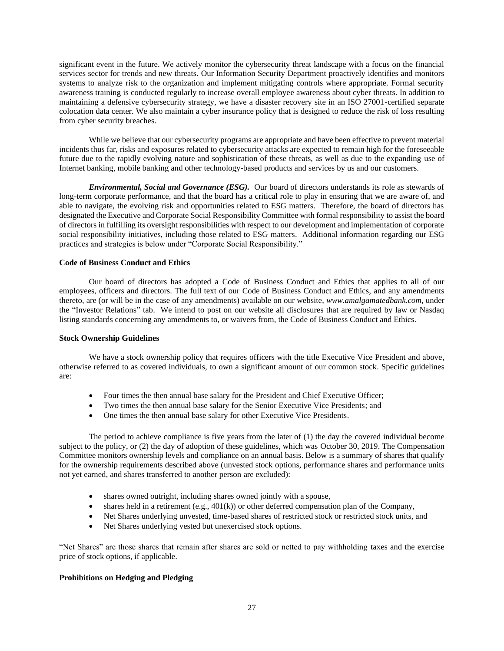significant event in the future. We actively monitor the cybersecurity threat landscape with a focus on the financial services sector for trends and new threats. Our Information Security Department proactively identifies and monitors systems to analyze risk to the organization and implement mitigating controls where appropriate. Formal security awareness training is conducted regularly to increase overall employee awareness about cyber threats. In addition to maintaining a defensive cybersecurity strategy, we have a disaster recovery site in an ISO 27001-certified separate colocation data center. We also maintain a cyber insurance policy that is designed to reduce the risk of loss resulting from cyber security breaches.

While we believe that our cybersecurity programs are appropriate and have been effective to prevent material incidents thus far, risks and exposures related to cybersecurity attacks are expected to remain high for the foreseeable future due to the rapidly evolving nature and sophistication of these threats, as well as due to the expanding use of Internet banking, mobile banking and other technology-based products and services by us and our customers.

*Environmental, Social and Governance (ESG).* Our board of directors understands its role as stewards of long-term corporate performance, and that the board has a critical role to play in ensuring that we are aware of, and able to navigate, the evolving risk and opportunities related to ESG matters. Therefore, the board of directors has designated the Executive and Corporate Social Responsibility Committee with formal responsibility to assist the board of directors in fulfilling its oversight responsibilities with respect to our development and implementation of corporate social responsibility initiatives, including those related to ESG matters. Additional information regarding our ESG practices and strategies is below under "Corporate Social Responsibility."

# **Code of Business Conduct and Ethics**

Our board of directors has adopted a Code of Business Conduct and Ethics that applies to all of our employees, officers and directors. The full text of our Code of Business Conduct and Ethics, and any amendments thereto, are (or will be in the case of any amendments) available on our website, *www.amalgamatedbank.com*, under the "Investor Relations" tab. We intend to post on our website all disclosures that are required by law or Nasdaq listing standards concerning any amendments to, or waivers from, the Code of Business Conduct and Ethics.

# **Stock Ownership Guidelines**

We have a stock ownership policy that requires officers with the title Executive Vice President and above, otherwise referred to as covered individuals, to own a significant amount of our common stock. Specific guidelines are:

- Four times the then annual base salary for the President and Chief Executive Officer;
- Two times the then annual base salary for the Senior Executive Vice Presidents; and
- One times the then annual base salary for other Executive Vice Presidents.

The period to achieve compliance is five years from the later of (1) the day the covered individual become subject to the policy, or (2) the day of adoption of these guidelines, which was October 30, 2019. The Compensation Committee monitors ownership levels and compliance on an annual basis. Below is a summary of shares that qualify for the ownership requirements described above (unvested stock options, performance shares and performance units not yet earned, and shares transferred to another person are excluded):

- shares owned outright, including shares owned jointly with a spouse,
- shares held in a retirement (e.g.,  $401(k)$ ) or other deferred compensation plan of the Company,
- Net Shares underlying unvested, time-based shares of restricted stock or restricted stock units, and
- Net Shares underlying vested but unexercised stock options.

"Net Shares" are those shares that remain after shares are sold or netted to pay withholding taxes and the exercise price of stock options, if applicable.

# **Prohibitions on Hedging and Pledging**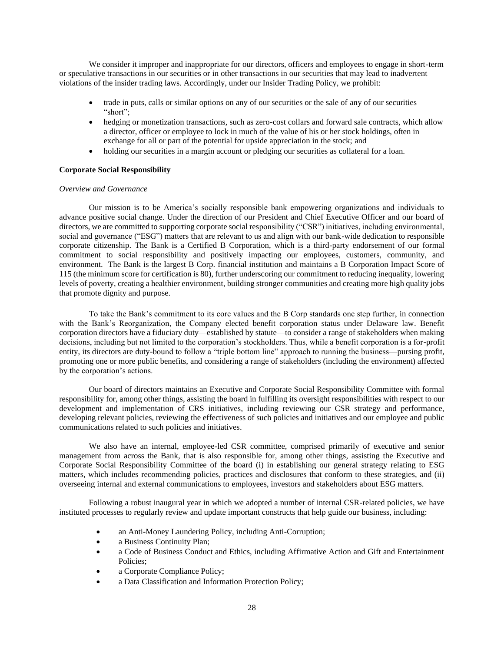We consider it improper and inappropriate for our directors, officers and employees to engage in short-term or speculative transactions in our securities or in other transactions in our securities that may lead to inadvertent violations of the insider trading laws. Accordingly, under our Insider Trading Policy, we prohibit:

- trade in puts, calls or similar options on any of our securities or the sale of any of our securities "short";
- hedging or monetization transactions, such as zero-cost collars and forward sale contracts, which allow a director, officer or employee to lock in much of the value of his or her stock holdings, often in exchange for all or part of the potential for upside appreciation in the stock; and
- holding our securities in a margin account or pledging our securities as collateral for a loan.

# **Corporate Social Responsibility**

# *Overview and Governance*

Our mission is to be America's socially responsible bank empowering organizations and individuals to advance positive social change. Under the direction of our President and Chief Executive Officer and our board of directors, we are committed to supporting corporate social responsibility ("CSR") initiatives, including environmental, social and governance ("ESG") matters that are relevant to us and align with our bank-wide dedication to responsible corporate citizenship. The Bank is a Certified B Corporation, which is a third-party endorsement of our formal commitment to social responsibility and positively impacting our employees, customers, community, and environment. The Bank is the largest B Corp. financial institution and maintains a B Corporation Impact Score of 115 (the minimum score for certification is 80), further underscoring our commitment to reducing inequality, lowering levels of poverty, creating a healthier environment, building stronger communities and creating more high quality jobs that promote dignity and purpose.

To take the Bank's commitment to its core values and the B Corp standards one step further, in connection with the Bank's Reorganization, the Company elected benefit corporation status under Delaware law. Benefit corporation directors have a fiduciary duty—established by statute—to consider a range of stakeholders when making decisions, including but not limited to the corporation's stockholders. Thus, while a benefit corporation is a for-profit entity, its directors are duty-bound to follow a "triple bottom line" approach to running the business—pursing profit, promoting one or more public benefits, and considering a range of stakeholders (including the environment) affected by the corporation's actions.

Our board of directors maintains an Executive and Corporate Social Responsibility Committee with formal responsibility for, among other things, assisting the board in fulfilling its oversight responsibilities with respect to our development and implementation of CRS initiatives, including reviewing our CSR strategy and performance, developing relevant policies, reviewing the effectiveness of such policies and initiatives and our employee and public communications related to such policies and initiatives.

We also have an internal, employee-led CSR committee, comprised primarily of executive and senior management from across the Bank, that is also responsible for, among other things, assisting the Executive and Corporate Social Responsibility Committee of the board (i) in establishing our general strategy relating to ESG matters, which includes recommending policies, practices and disclosures that conform to these strategies, and (ii) overseeing internal and external communications to employees, investors and stakeholders about ESG matters.

Following a robust inaugural year in which we adopted a number of internal CSR-related policies, we have instituted processes to regularly review and update important constructs that help guide our business, including:

- an Anti-Money Laundering Policy, including Anti-Corruption;
- a Business Continuity Plan;
- a Code of Business Conduct and Ethics, including Affirmative Action and Gift and Entertainment Policies;
- a Corporate Compliance Policy;
- a Data Classification and Information Protection Policy;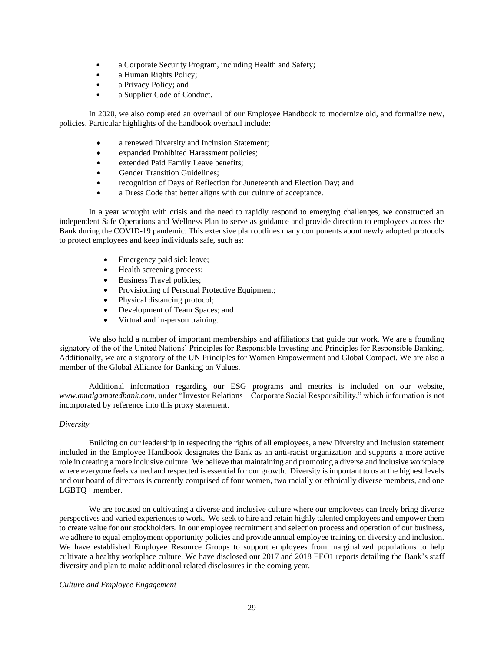- a Corporate Security Program, including Health and Safety;
- a Human Rights Policy;
- a Privacy Policy; and
- a Supplier Code of Conduct.

In 2020, we also completed an overhaul of our Employee Handbook to modernize old, and formalize new, policies. Particular highlights of the handbook overhaul include:

- a renewed Diversity and Inclusion Statement;
- expanded Prohibited Harassment policies;
- extended Paid Family Leave benefits;
- Gender Transition Guidelines;
- recognition of Days of Reflection for Juneteenth and Election Day; and
- a Dress Code that better aligns with our culture of acceptance.

In a year wrought with crisis and the need to rapidly respond to emerging challenges, we constructed an independent Safe Operations and Wellness Plan to serve as guidance and provide direction to employees across the Bank during the COVID-19 pandemic. This extensive plan outlines many components about newly adopted protocols to protect employees and keep individuals safe, such as:

- Emergency paid sick leave;
- Health screening process;
- Business Travel policies;
- Provisioning of Personal Protective Equipment;
- Physical distancing protocol;
- Development of Team Spaces; and
- Virtual and in-person training.

We also hold a number of important memberships and affiliations that guide our work. We are a founding signatory of the of the United Nations' Principles for Responsible Investing and Principles for Responsible Banking. Additionally, we are a signatory of the UN Principles for Women Empowerment and Global Compact. We are also a member of the Global Alliance for Banking on Values.

Additional information regarding our ESG programs and metrics is included on our website, *www.amalgamatedbank.com*, under "Investor Relations—Corporate Social Responsibility," which information is not incorporated by reference into this proxy statement.

# *Diversity*

Building on our leadership in respecting the rights of all employees, a new Diversity and Inclusion statement included in the Employee Handbook designates the Bank as an anti-racist organization and supports a more active role in creating a more inclusive culture. We believe that maintaining and promoting a diverse and inclusive workplace where everyone feels valued and respected is essential for our growth. Diversity is important to us at the highest levels and our board of directors is currently comprised of four women, two racially or ethnically diverse members, and one LGBTQ+ member.

We are focused on cultivating a diverse and inclusive culture where our employees can freely bring diverse perspectives and varied experiences to work. We seek to hire and retain highly talented employees and empower them to create value for our stockholders. In our employee recruitment and selection process and operation of our business, we adhere to equal employment opportunity policies and provide annual employee training on diversity and inclusion. We have established Employee Resource Groups to support employees from marginalized populations to help cultivate a healthy workplace culture. We have disclosed our 2017 and 2018 EEO1 reports detailing the Bank's staff diversity and plan to make additional related disclosures in the coming year.

# *Culture and Employee Engagement*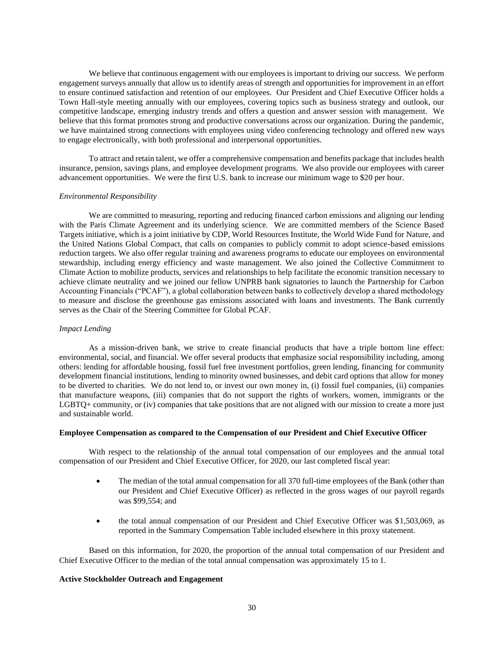We believe that continuous engagement with our employees is important to driving our success. We perform engagement surveys annually that allow us to identify areas of strength and opportunities for improvement in an effort to ensure continued satisfaction and retention of our employees. Our President and Chief Executive Officer holds a Town Hall-style meeting annually with our employees, covering topics such as business strategy and outlook, our competitive landscape, emerging industry trends and offers a question and answer session with management. We believe that this format promotes strong and productive conversations across our organization. During the pandemic, we have maintained strong connections with employees using video conferencing technology and offered new ways to engage electronically, with both professional and interpersonal opportunities.

To attract and retain talent, we offer a comprehensive compensation and benefits package that includes health insurance, pension, savings plans, and employee development programs. We also provide our employees with career advancement opportunities. We were the first U.S. bank to increase our minimum wage to \$20 per hour.

### *Environmental Responsibility*

We are committed to measuring, reporting and reducing financed carbon emissions and aligning our lending with the Paris Climate Agreement and its underlying science. We are committed members of the Science Based Targets initiative, which is a joint initiative by CDP, World Resources Institute, the World Wide Fund for Nature, and the United Nations Global Compact, that calls on companies to publicly commit to adopt science-based emissions reduction targets. We also offer regular training and awareness programs to educate our employees on environmental stewardship, including energy efficiency and waste management. We also joined the Collective Commitment to Climate Action to mobilize products, services and relationships to help facilitate the economic transition necessary to achieve climate neutrality and we joined our fellow UNPRB bank signatories to launch the Partnership for Carbon Accounting Financials ("PCAF"), a global collaboration between banks to collectively develop a shared methodology to measure and disclose the greenhouse gas emissions associated with loans and investments. The Bank currently serves as the Chair of the Steering Committee for Global PCAF.

### *Impact Lending*

As a mission-driven bank, we strive to create financial products that have a triple bottom line effect: environmental, social, and financial. We offer several products that emphasize social responsibility including, among others: lending for affordable housing, fossil fuel free investment portfolios, green lending, financing for community development financial institutions, lending to minority owned businesses, and debit card options that allow for money to be diverted to charities. We do not lend to, or invest our own money in, (i) fossil fuel companies, (ii) companies that manufacture weapons, (iii) companies that do not support the rights of workers, women, immigrants or the LGBTQ+ community, or (iv) companies that take positions that are not aligned with our mission to create a more just and sustainable world.

### **Employee Compensation as compared to the Compensation of our President and Chief Executive Officer**

With respect to the relationship of the annual total compensation of our employees and the annual total compensation of our President and Chief Executive Officer, for 2020, our last completed fiscal year:

- The median of the total annual compensation for all 370 full-time employees of the Bank (other than our President and Chief Executive Officer) as reflected in the gross wages of our payroll regards was \$99,554; and
- the total annual compensation of our President and Chief Executive Officer was \$1,503,069, as reported in the Summary Compensation Table included elsewhere in this proxy statement.

Based on this information, for 2020, the proportion of the annual total compensation of our President and Chief Executive Officer to the median of the total annual compensation was approximately 15 to 1.

# **Active Stockholder Outreach and Engagement**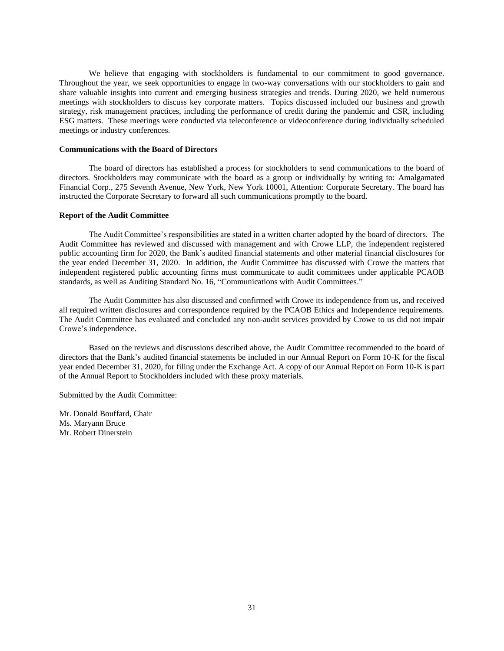We believe that engaging with stockholders is fundamental to our commitment to good governance. Throughout the year, we seek opportunities to engage in two-way conversations with our stockholders to gain and share valuable insights into current and emerging business strategies and trends. During 2020, we held numerous meetings with stockholders to discuss key corporate matters. Topics discussed included our business and growth strategy, risk management practices, including the performance of credit during the pandemic and CSR, including ESG matters. These meetings were conducted via teleconference or videoconference during individually scheduled meetings or industry conferences.

# **Communications with the Board of Directors**

 The board of directors has established a process for stockholders to send communications to the board of directors. Stockholders may communicate with the board as a group or individually by writing to: Amalgamated Financial Corp., 275 Seventh Avenue, New York, New York 10001, Attention: Corporate Secretary. The board has instructed the Corporate Secretary to forward all such communications promptly to the board.

### **Report of the Audit Committee**

The Audit Committee's responsibilities are stated in a written charter adopted by the board of directors. The Audit Committee has reviewed and discussed with management and with Crowe LLP, the independent registered public accounting firm for 2020, the Bank's audited financial statements and other material financial disclosures for the year ended December 31, 2020. In addition, the Audit Committee has discussed with Crowe the matters that independent registered public accounting firms must communicate to audit committees under applicable PCAOB standards, as well as Auditing Standard No. 16, "Communications with Audit Committees."

The Audit Committee has also discussed and confirmed with Crowe its independence from us, and received all required written disclosures and correspondence required by the PCAOB Ethics and Independence requirements. The Audit Committee has evaluated and concluded any non-audit services provided by Crowe to us did not impair Crowe's independence.

Based on the reviews and discussions described above, the Audit Committee recommended to the board of directors that the Bank's audited financial statements be included in our Annual Report on Form 10-K for the fiscal year ended December 31, 2020, for filing under the Exchange Act. A copy of our Annual Report on Form 10-K is part of the Annual Report to Stockholders included with these proxy materials.

Submitted by the Audit Committee:

Mr. Donald Bouffard, Chair Ms. Maryann Bruce Mr. Robert Dinerstein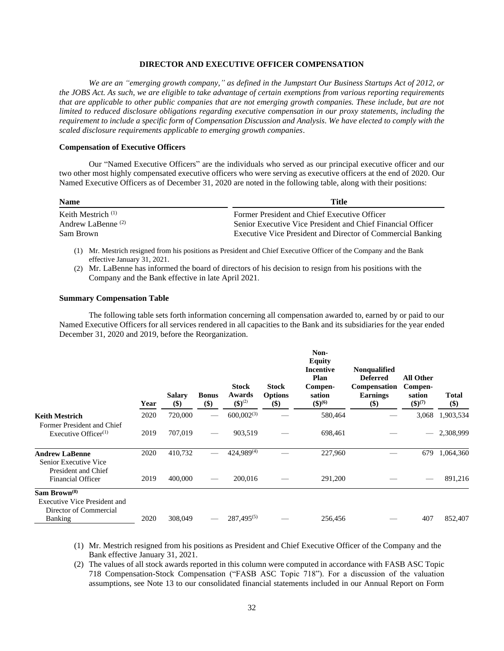# **DIRECTOR AND EXECUTIVE OFFICER COMPENSATION**

*We are an "emerging growth company," as defined in the Jumpstart Our Business Startups Act of 2012, or the JOBS Act. As such, we are eligible to take advantage of certain exemptions from various reporting requirements that are applicable to other public companies that are not emerging growth companies. These include, but are not limited to reduced disclosure obligations regarding executive compensation in our proxy statements, including the requirement to include a specific form of Compensation Discussion and Analysis. We have elected to comply with the scaled disclosure requirements applicable to emerging growth companies*.

### **Compensation of Executive Officers**

Our "Named Executive Officers" are the individuals who served as our principal executive officer and our two other most highly compensated executive officers who were serving as executive officers at the end of 2020. Our Named Executive Officers as of December 31, 2020 are noted in the following table, along with their positions:

| <b>Name</b>                   | Title                                                       |  |  |  |
|-------------------------------|-------------------------------------------------------------|--|--|--|
| Keith Mestrich <sup>(1)</sup> | Former President and Chief Executive Officer                |  |  |  |
| Andrew LaBenne $(2)$          | Senior Executive Vice President and Chief Financial Officer |  |  |  |
| Sam Brown                     | Executive Vice President and Director of Commercial Banking |  |  |  |

- (1) Mr. Mestrich resigned from his positions as President and Chief Executive Officer of the Company and the Bank effective January 31, 2021.
- (2) Mr. LaBenne has informed the board of directors of his decision to resign from his positions with the Company and the Bank effective in late April 2021.

# **Summary Compensation Table**

The following table sets forth information concerning all compensation awarded to, earned by or paid to our Named Executive Officers for all services rendered in all capacities to the Bank and its subsidiaries for the year ended December 31, 2020 and 2019, before the Reorganization.

|                                                                                           | Year | <b>Salary</b><br>$($)$ | <b>Bonus</b><br>\$) | <b>Stock</b><br>Awards<br>$({\bf S})^{(2)}$ | <b>Stock</b><br><b>Options</b><br>\$) | Non-<br><b>Equity</b><br><b>Incentive</b><br>Plan<br>Compen-<br>sation<br>$($ \$ $)$ <sup>(6)</sup> | <b>Nonqualified</b><br><b>Deferred</b><br><b>Compensation</b><br><b>Earnings</b><br>\$) | <b>All Other</b><br>Compen-<br>sation<br>$({\$})^{(7)}$ | Total<br>\$) |
|-------------------------------------------------------------------------------------------|------|------------------------|---------------------|---------------------------------------------|---------------------------------------|-----------------------------------------------------------------------------------------------------|-----------------------------------------------------------------------------------------|---------------------------------------------------------|--------------|
| Keith Mestrich                                                                            | 2020 | 720,000                |                     | $600,002^{(3)}$                             |                                       | 580,464                                                                                             |                                                                                         | 3,068                                                   | 1,903,534    |
| Former President and Chief<br>Executive Officer <sup>(1)</sup>                            | 2019 | 707,019                |                     | 903,519                                     |                                       | 698,461                                                                                             |                                                                                         |                                                         | 2,308,999    |
| Andrew LaBenne<br>Senior Executive Vice                                                   | 2020 | 410,732                |                     | 424,989(4)                                  |                                       | 227,960                                                                                             |                                                                                         | 679                                                     | 1,064,360    |
| President and Chief<br><b>Financial Officer</b>                                           | 2019 | 400,000                |                     | 200,016                                     |                                       | 291,200                                                                                             |                                                                                         |                                                         | 891,216      |
| Sam Brown <sup>(8)</sup><br><b>Executive Vice President and</b><br>Director of Commercial |      |                        |                     |                                             |                                       |                                                                                                     |                                                                                         |                                                         |              |
| <b>Banking</b>                                                                            | 2020 | 308,049                |                     | $287,495^{(5)}$                             |                                       | 256,456                                                                                             |                                                                                         | 407                                                     | 852,407      |

- (1) Mr. Mestrich resigned from his positions as President and Chief Executive Officer of the Company and the Bank effective January 31, 2021.
- (2) The values of all stock awards reported in this column were computed in accordance with FASB ASC Topic 718 Compensation-Stock Compensation ("FASB ASC Topic 718"). For a discussion of the valuation assumptions, see Note 13 to our consolidated financial statements included in our Annual Report on Form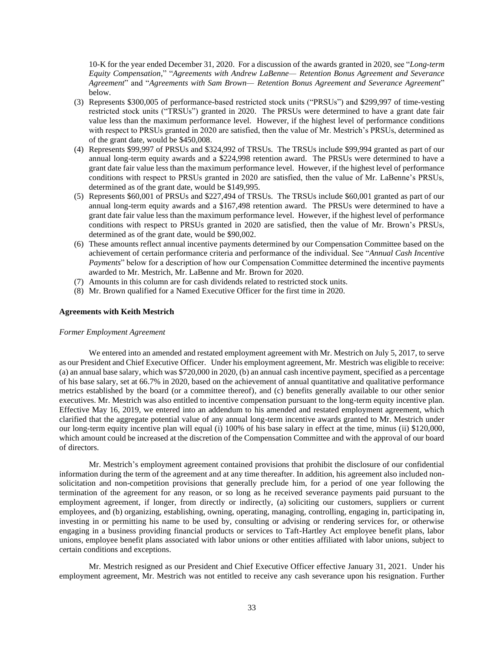10-K for the year ended December 31, 2020. For a discussion of the awards granted in 2020, see "*Long-term Equity Compensation*," "*Agreements with Andrew LaBenne— Retention Bonus Agreement and Severance Agreement*" and "*Agreements with Sam Brown— Retention Bonus Agreement and Severance Agreement*" below.

- (3) Represents \$300,005 of performance-based restricted stock units ("PRSUs") and \$299,997 of time-vesting restricted stock units ("TRSUs") granted in 2020. The PRSUs were determined to have a grant date fair value less than the maximum performance level. However, if the highest level of performance conditions with respect to PRSUs granted in 2020 are satisfied, then the value of Mr. Mestrich's PRSUs, determined as of the grant date, would be \$450,008.
- (4) Represents \$99,997 of PRSUs and \$324,992 of TRSUs. The TRSUs include \$99,994 granted as part of our annual long-term equity awards and a \$224,998 retention award. The PRSUs were determined to have a grant date fair value less than the maximum performance level. However, if the highest level of performance conditions with respect to PRSUs granted in 2020 are satisfied, then the value of Mr. LaBenne's PRSUs, determined as of the grant date, would be \$149,995.
- (5) Represents \$60,001 of PRSUs and \$227,494 of TRSUs. The TRSUs include \$60,001 granted as part of our annual long-term equity awards and a \$167,498 retention award. The PRSUs were determined to have a grant date fair value less than the maximum performance level. However, if the highest level of performance conditions with respect to PRSUs granted in 2020 are satisfied, then the value of Mr. Brown's PRSUs, determined as of the grant date, would be \$90,002.
- (6) These amounts reflect annual incentive payments determined by our Compensation Committee based on the achievement of certain performance criteria and performance of the individual. See "*Annual Cash Incentive Payments*" below for a description of how our Compensation Committee determined the incentive payments awarded to Mr. Mestrich, Mr. LaBenne and Mr. Brown for 2020.
- (7) Amounts in this column are for cash dividends related to restricted stock units.
- (8) Mr. Brown qualified for a Named Executive Officer for the first time in 2020.

#### **Agreements with Keith Mestrich**

#### *Former Employment Agreement*

We entered into an amended and restated employment agreement with Mr. Mestrich on July 5, 2017, to serve as our President and Chief Executive Officer. Under his employment agreement, Mr. Mestrich was eligible to receive: (a) an annual base salary, which was \$720,000 in 2020, (b) an annual cash incentive payment, specified as a percentage of his base salary, set at 66.7% in 2020, based on the achievement of annual quantitative and qualitative performance metrics established by the board (or a committee thereof), and (c) benefits generally available to our other senior executives. Mr. Mestrich was also entitled to incentive compensation pursuant to the long-term equity incentive plan. Effective May 16, 2019, we entered into an addendum to his amended and restated employment agreement, which clarified that the aggregate potential value of any annual long-term incentive awards granted to Mr. Mestrich under our long-term equity incentive plan will equal (i) 100% of his base salary in effect at the time, minus (ii) \$120,000, which amount could be increased at the discretion of the Compensation Committee and with the approval of our board of directors.

Mr. Mestrich's employment agreement contained provisions that prohibit the disclosure of our confidential information during the term of the agreement and at any time thereafter. In addition, his agreement also included nonsolicitation and non-competition provisions that generally preclude him, for a period of one year following the termination of the agreement for any reason, or so long as he received severance payments paid pursuant to the employment agreement, if longer, from directly or indirectly, (a) soliciting our customers, suppliers or current employees, and (b) organizing, establishing, owning, operating, managing, controlling, engaging in, participating in, investing in or permitting his name to be used by, consulting or advising or rendering services for, or otherwise engaging in a business providing financial products or services to Taft-Hartley Act employee benefit plans, labor unions, employee benefit plans associated with labor unions or other entities affiliated with labor unions, subject to certain conditions and exceptions.

Mr. Mestrich resigned as our President and Chief Executive Officer effective January 31, 2021. Under his employment agreement, Mr. Mestrich was not entitled to receive any cash severance upon his resignation. Further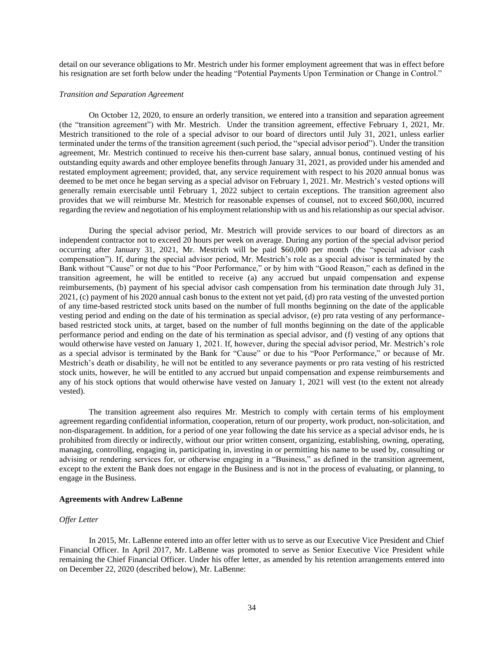detail on our severance obligations to Mr. Mestrich under his former employment agreement that was in effect before his resignation are set forth below under the heading "Potential Payments Upon Termination or Change in Control."

### *Transition and Separation Agreement*

On October 12, 2020, to ensure an orderly transition, we entered into a transition and separation agreement (the "transition agreement") with Mr. Mestrich. Under the transition agreement, effective February 1, 2021, Mr. Mestrich transitioned to the role of a special advisor to our board of directors until July 31, 2021, unless earlier terminated under the terms of the transition agreement (such period, the "special advisor period"). Under the transition agreement, Mr. Mestrich continued to receive his then-current base salary, annual bonus, continued vesting of his outstanding equity awards and other employee benefits through January 31, 2021, as provided under his amended and restated employment agreement; provided, that, any service requirement with respect to his 2020 annual bonus was deemed to be met once he began serving as a special advisor on February 1, 2021. Mr. Mestrich's vested options will generally remain exercisable until February 1, 2022 subject to certain exceptions. The transition agreement also provides that we will reimburse Mr. Mestrich for reasonable expenses of counsel, not to exceed \$60,000, incurred regarding the review and negotiation of his employment relationship with us and his relationship as our special advisor.

During the special advisor period, Mr. Mestrich will provide services to our board of directors as an independent contractor not to exceed 20 hours per week on average. During any portion of the special advisor period occurring after January 31, 2021, Mr. Mestrich will be paid \$60,000 per month (the "special advisor cash compensation"). If, during the special advisor period, Mr. Mestrich's role as a special advisor is terminated by the Bank without "Cause" or not due to his "Poor Performance," or by him with "Good Reason," each as defined in the transition agreement, he will be entitled to receive (a) any accrued but unpaid compensation and expense reimbursements, (b) payment of his special advisor cash compensation from his termination date through July 31, 2021, (c) payment of his 2020 annual cash bonus to the extent not yet paid, (d) pro rata vesting of the unvested portion of any time-based restricted stock units based on the number of full months beginning on the date of the applicable vesting period and ending on the date of his termination as special advisor, (e) pro rata vesting of any performancebased restricted stock units, at target, based on the number of full months beginning on the date of the applicable performance period and ending on the date of his termination as special advisor, and (f) vesting of any options that would otherwise have vested on January 1, 2021. If, however, during the special advisor period, Mr. Mestrich's role as a special advisor is terminated by the Bank for "Cause" or due to his "Poor Performance," or because of Mr. Mestrich's death or disability, he will not be entitled to any severance payments or pro rata vesting of his restricted stock units, however, he will be entitled to any accrued but unpaid compensation and expense reimbursements and any of his stock options that would otherwise have vested on January 1, 2021 will vest (to the extent not already vested).

The transition agreement also requires Mr. Mestrich to comply with certain terms of his employment agreement regarding confidential information, cooperation, return of our property, work product, non-solicitation, and non-disparagement. In addition, for a period of one year following the date his service as a special advisor ends, he is prohibited from directly or indirectly, without our prior written consent, organizing, establishing, owning, operating, managing, controlling, engaging in, participating in, investing in or permitting his name to be used by, consulting or advising or rendering services for, or otherwise engaging in a "Business," as defined in the transition agreement, except to the extent the Bank does not engage in the Business and is not in the process of evaluating, or planning, to engage in the Business.

#### **Agreements with Andrew LaBenne**

#### *Offer Letter*

In 2015, Mr. LaBenne entered into an offer letter with us to serve as our Executive Vice President and Chief Financial Officer. In April 2017, Mr. LaBenne was promoted to serve as Senior Executive Vice President while remaining the Chief Financial Officer. Under his offer letter, as amended by his retention arrangements entered into on December 22, 2020 (described below), Mr. LaBenne: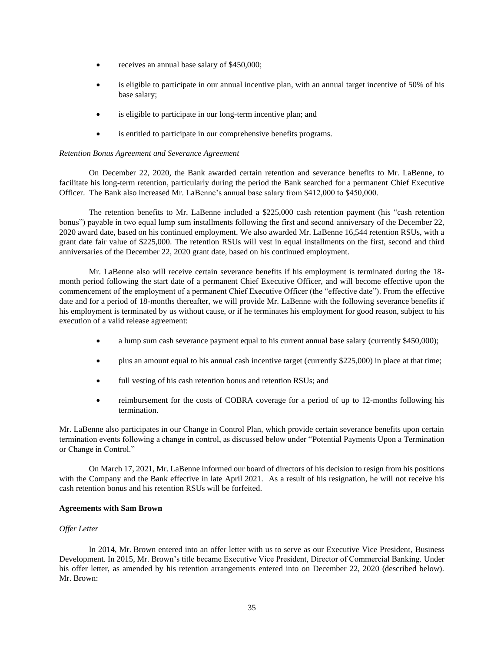- receives an annual base salary of \$450,000;
- is eligible to participate in our annual incentive plan, with an annual target incentive of 50% of his base salary;
- is eligible to participate in our long-term incentive plan; and
- is entitled to participate in our comprehensive benefits programs.

### *Retention Bonus Agreement and Severance Agreement*

On December 22, 2020, the Bank awarded certain retention and severance benefits to Mr. LaBenne, to facilitate his long-term retention, particularly during the period the Bank searched for a permanent Chief Executive Officer. The Bank also increased Mr. LaBenne's annual base salary from \$412,000 to \$450,000.

The retention benefits to Mr. LaBenne included a \$225,000 cash retention payment (his "cash retention bonus") payable in two equal lump sum installments following the first and second anniversary of the December 22, 2020 award date, based on his continued employment. We also awarded Mr. LaBenne 16,544 retention RSUs, with a grant date fair value of \$225,000. The retention RSUs will vest in equal installments on the first, second and third anniversaries of the December 22, 2020 grant date, based on his continued employment.

Mr. LaBenne also will receive certain severance benefits if his employment is terminated during the 18 month period following the start date of a permanent Chief Executive Officer, and will become effective upon the commencement of the employment of a permanent Chief Executive Officer (the "effective date"). From the effective date and for a period of 18-months thereafter, we will provide Mr. LaBenne with the following severance benefits if his employment is terminated by us without cause, or if he terminates his employment for good reason, subject to his execution of a valid release agreement:

- a lump sum cash severance payment equal to his current annual base salary (currently \$450,000);
- plus an amount equal to his annual cash incentive target (currently \$225,000) in place at that time;
- full vesting of his cash retention bonus and retention RSUs; and
- reimbursement for the costs of COBRA coverage for a period of up to 12-months following his termination.

Mr. LaBenne also participates in our Change in Control Plan, which provide certain severance benefits upon certain termination events following a change in control, as discussed below under "Potential Payments Upon a Termination or Change in Control."

On March 17, 2021, Mr. LaBenne informed our board of directors of his decision to resign from his positions with the Company and the Bank effective in late April 2021. As a result of his resignation, he will not receive his cash retention bonus and his retention RSUs will be forfeited.

### **Agreements with Sam Brown**

## *Offer Letter*

In 2014, Mr. Brown entered into an offer letter with us to serve as our Executive Vice President, Business Development. In 2015, Mr. Brown's title became Executive Vice President, Director of Commercial Banking. Under his offer letter, as amended by his retention arrangements entered into on December 22, 2020 (described below). Mr. Brown: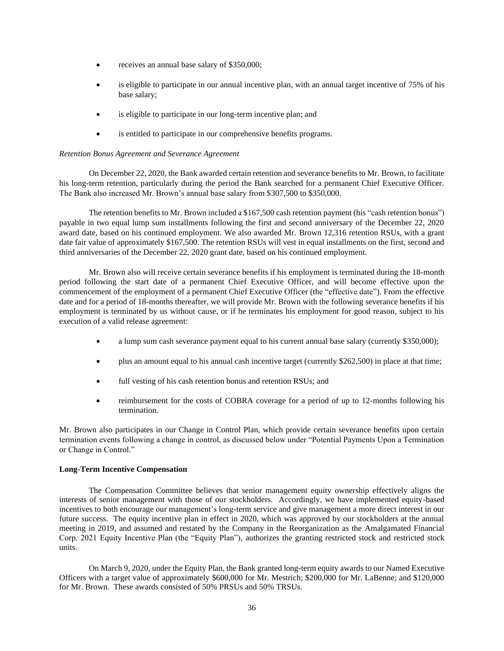- receives an annual base salary of \$350,000;
- is eligible to participate in our annual incentive plan, with an annual target incentive of 75% of his base salary;
- is eligible to participate in our long-term incentive plan; and
- is entitled to participate in our comprehensive benefits programs.

### *Retention Bonus Agreement and Severance Agreement*

On December 22, 2020, the Bank awarded certain retention and severance benefits to Mr. Brown, to facilitate his long-term retention, particularly during the period the Bank searched for a permanent Chief Executive Officer. The Bank also increased Mr. Brown's annual base salary from \$307,500 to \$350,000.

The retention benefits to Mr. Brown included a \$167,500 cash retention payment (his "cash retention bonus") payable in two equal lump sum installments following the first and second anniversary of the December 22, 2020 award date, based on his continued employment. We also awarded Mr. Brown 12,316 retention RSUs, with a grant date fair value of approximately \$167,500. The retention RSUs will vest in equal installments on the first, second and third anniversaries of the December 22, 2020 grant date, based on his continued employment.

Mr. Brown also will receive certain severance benefits if his employment is terminated during the 18-month period following the start date of a permanent Chief Executive Officer, and will become effective upon the commencement of the employment of a permanent Chief Executive Officer (the "effective date"). From the effective date and for a period of 18-months thereafter, we will provide Mr. Brown with the following severance benefits if his employment is terminated by us without cause, or if he terminates his employment for good reason, subject to his execution of a valid release agreement:

- a lump sum cash severance payment equal to his current annual base salary (currently \$350,000);
- plus an amount equal to his annual cash incentive target (currently \$262,500) in place at that time;
- full vesting of his cash retention bonus and retention RSUs; and
- reimbursement for the costs of COBRA coverage for a period of up to 12-months following his termination.

Mr. Brown also participates in our Change in Control Plan, which provide certain severance benefits upon certain termination events following a change in control, as discussed below under "Potential Payments Upon a Termination or Change in Control."

## **Long-Term Incentive Compensation**

The Compensation Committee believes that senior management equity ownership effectively aligns the interests of senior management with those of our stockholders. Accordingly, we have implemented equity-based incentives to both encourage our management's long-term service and give management a more direct interest in our future success. The equity incentive plan in effect in 2020, which was approved by our stockholders at the annual meeting in 2019, and assumed and restated by the Company in the Reorganization as the Amalgamated Financial Corp. 2021 Equity Incentive Plan (the "Equity Plan"), authorizes the granting restricted stock and restricted stock units.

On March 9, 2020, under the Equity Plan, the Bank granted long-term equity awards to our Named Executive Officers with a target value of approximately \$600,000 for Mr. Mestrich; \$200,000 for Mr. LaBenne; and \$120,000 for Mr. Brown. These awards consisted of 50% PRSUs and 50% TRSUs.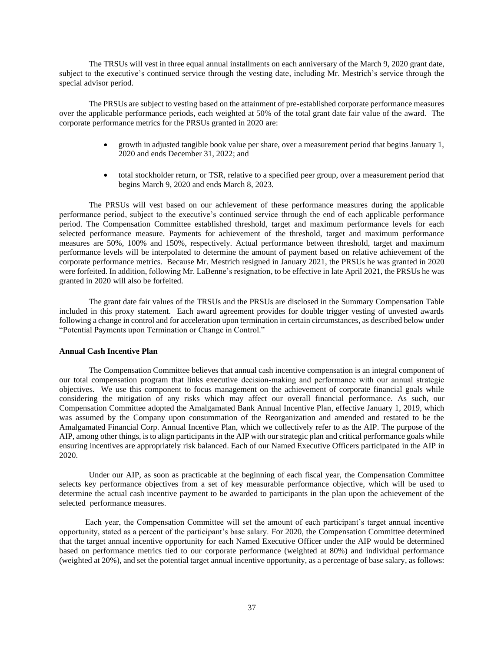The TRSUs will vest in three equal annual installments on each anniversary of the March 9, 2020 grant date, subject to the executive's continued service through the vesting date, including Mr. Mestrich's service through the special advisor period.

The PRSUs are subject to vesting based on the attainment of pre-established corporate performance measures over the applicable performance periods, each weighted at 50% of the total grant date fair value of the award. The corporate performance metrics for the PRSUs granted in 2020 are:

- growth in adjusted tangible book value per share, over a measurement period that begins January 1, 2020 and ends December 31, 2022; and
- total stockholder return, or TSR, relative to a specified peer group, over a measurement period that begins March 9, 2020 and ends March 8, 2023.

The PRSUs will vest based on our achievement of these performance measures during the applicable performance period, subject to the executive's continued service through the end of each applicable performance period. The Compensation Committee established threshold, target and maximum performance levels for each selected performance measure. Payments for achievement of the threshold, target and maximum performance measures are 50%, 100% and 150%, respectively. Actual performance between threshold, target and maximum performance levels will be interpolated to determine the amount of payment based on relative achievement of the corporate performance metrics. Because Mr. Mestrich resigned in January 2021, the PRSUs he was granted in 2020 were forfeited. In addition, following Mr. LaBenne's resignation, to be effective in late April 2021, the PRSUs he was granted in 2020 will also be forfeited.

The grant date fair values of the TRSUs and the PRSUs are disclosed in the Summary Compensation Table included in this proxy statement. Each award agreement provides for double trigger vesting of unvested awards following a change in control and for acceleration upon termination in certain circumstances, as described below under "Potential Payments upon Termination or Change in Control."

### **Annual Cash Incentive Plan**

The Compensation Committee believes that annual cash incentive compensation is an integral component of our total compensation program that links executive decision-making and performance with our annual strategic objectives. We use this component to focus management on the achievement of corporate financial goals while considering the mitigation of any risks which may affect our overall financial performance. As such, our Compensation Committee adopted the Amalgamated Bank Annual Incentive Plan, effective January 1, 2019, which was assumed by the Company upon consummation of the Reorganization and amended and restated to be the Amalgamated Financial Corp. Annual Incentive Plan, which we collectively refer to as the AIP. The purpose of the AIP, among other things, is to align participants in the AIP with our strategic plan and critical performance goals while ensuring incentives are appropriately risk balanced. Each of our Named Executive Officers participated in the AIP in 2020.

Under our AIP, as soon as practicable at the beginning of each fiscal year, the Compensation Committee selects key performance objectives from a set of key measurable performance objective, which will be used to determine the actual cash incentive payment to be awarded to participants in the plan upon the achievement of the selected performance measures.

Each year, the Compensation Committee will set the amount of each participant's target annual incentive opportunity, stated as a percent of the participant's base salary. For 2020, the Compensation Committee determined that the target annual incentive opportunity for each Named Executive Officer under the AIP would be determined based on performance metrics tied to our corporate performance (weighted at 80%) and individual performance (weighted at 20%), and set the potential target annual incentive opportunity, as a percentage of base salary, as follows: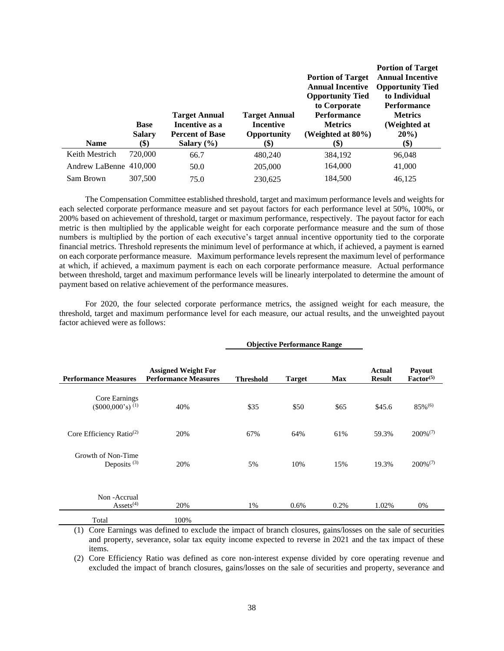| <b>Name</b>            | <b>Base</b><br><b>Salary</b><br>(\$) | <b>Target Annual</b><br>Incentive as a<br><b>Percent of Base</b><br>Salary $(\% )$ | <b>Target Annual</b><br><b>Incentive</b><br>Opportunity<br>(\$) | <b>Portion of Target</b><br><b>Annual Incentive</b><br><b>Opportunity Tied</b><br>to Corporate<br><b>Performance</b><br><b>Metrics</b><br>(Weighted at $80\%$ )<br>(\$) | <b>Portion of Target</b><br><b>Annual Incentive</b><br><b>Opportunity Tied</b><br>to Individual<br><b>Performance</b><br><b>Metrics</b><br>(Weighted at<br>$20\%$ )<br>\$) |
|------------------------|--------------------------------------|------------------------------------------------------------------------------------|-----------------------------------------------------------------|-------------------------------------------------------------------------------------------------------------------------------------------------------------------------|----------------------------------------------------------------------------------------------------------------------------------------------------------------------------|
| Keith Mestrich         | 720,000                              | 66.7                                                                               | 480,240                                                         | 384,192                                                                                                                                                                 | 96,048                                                                                                                                                                     |
| Andrew LaBenne 410,000 |                                      | 50.0                                                                               | 205,000                                                         | 164,000                                                                                                                                                                 | 41,000                                                                                                                                                                     |
| Sam Brown              | 307,500                              | 75.0                                                                               | 230,625                                                         | 184,500                                                                                                                                                                 | 46,125                                                                                                                                                                     |

The Compensation Committee established threshold, target and maximum performance levels and weights for each selected corporate performance measure and set payout factors for each performance level at 50%, 100%, or 200% based on achievement of threshold, target or maximum performance, respectively. The payout factor for each metric is then multiplied by the applicable weight for each corporate performance measure and the sum of those numbers is multiplied by the portion of each executive's target annual incentive opportunity tied to the corporate financial metrics. Threshold represents the minimum level of performance at which, if achieved, a payment is earned on each corporate performance measure. Maximum performance levels represent the maximum level of performance at which, if achieved, a maximum payment is each on each corporate performance measure. Actual performance between threshold, target and maximum performance levels will be linearly interpolated to determine the amount of payment based on relative achievement of the performance measures.

For 2020, the four selected corporate performance metrics, the assigned weight for each measure, the threshold, target and maximum performance level for each measure, our actual results, and the unweighted payout factor achieved were as follows:

**Objective Performance Range**

|                                                 |                                                           | ODJecuve Periormance Range |               |            |                         |                                 |
|-------------------------------------------------|-----------------------------------------------------------|----------------------------|---------------|------------|-------------------------|---------------------------------|
| <b>Performance Measures</b>                     | <b>Assigned Weight For</b><br><b>Performance Measures</b> | <b>Threshold</b>           | <b>Target</b> | <b>Max</b> | Actual<br><b>Result</b> | Payout<br>Factor <sup>(5)</sup> |
| Core Earnings<br>$(\$000,000's)$ <sup>(1)</sup> | 40%                                                       | \$35                       | \$50          | \$65       | \$45.6                  | $85\%$ <sup>(6)</sup>           |
| Core Efficiency Ratio <sup>(2)</sup>            | 20%                                                       | 67%                        | 64%           | 61%        | 59.3%                   | $200\%$ <sup>(7)</sup>          |
| Growth of Non-Time<br>Deposits <sup>(3)</sup>   | 20%                                                       | 5%                         | 10%           | 15%        | 19.3%                   | $200\%^{(7)}$                   |
| Non-Accrual<br>$\text{Assets}^{(4)}$            | 20%                                                       | 1%                         | 0.6%          | 0.2%       | 1.02%                   | 0%                              |
| Total                                           | 100%                                                      |                            |               |            |                         |                                 |

(1) Core Earnings was defined to exclude the impact of branch closures, gains/losses on the sale of securities and property, severance, solar tax equity income expected to reverse in 2021 and the tax impact of these items.

(2) Core Efficiency Ratio was defined as core non-interest expense divided by core operating revenue and excluded the impact of branch closures, gains/losses on the sale of securities and property, severance and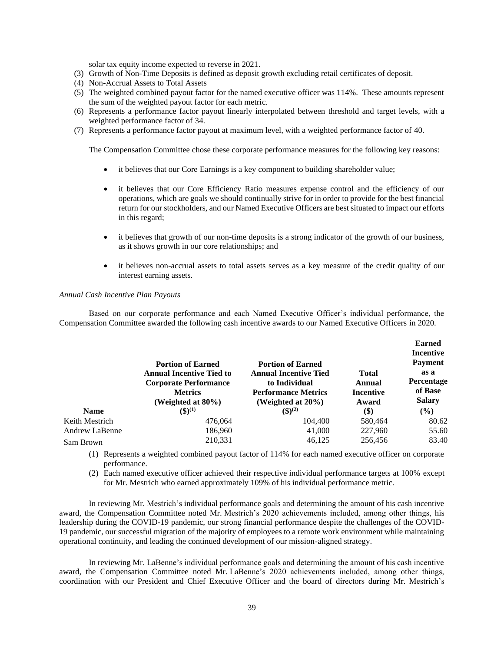solar tax equity income expected to reverse in 2021.

- (3) Growth of Non-Time Deposits is defined as deposit growth excluding retail certificates of deposit.
- (4) Non-Accrual Assets to Total Assets
- (5) The weighted combined payout factor for the named executive officer was 114%. These amounts represent the sum of the weighted payout factor for each metric.
- (6) Represents a performance factor payout linearly interpolated between threshold and target levels, with a weighted performance factor of 34.
- (7) Represents a performance factor payout at maximum level, with a weighted performance factor of 40.

The Compensation Committee chose these corporate performance measures for the following key reasons:

- it believes that our Core Earnings is a key component to building shareholder value;
- it believes that our Core Efficiency Ratio measures expense control and the efficiency of our operations, which are goals we should continually strive for in order to provide for the best financial return for our stockholders, and our Named Executive Officers are best situated to impact our efforts in this regard;
- it believes that growth of our non-time deposits is a strong indicator of the growth of our business, as it shows growth in our core relationships; and
- it believes non-accrual assets to total assets serves as a key measure of the credit quality of our interest earning assets.

#### *Annual Cash Incentive Plan Payouts*

Based on our corporate performance and each Named Executive Officer's individual performance, the Compensation Committee awarded the following cash incentive awards to our Named Executive Officers in 2020.

|                       |                                                                                             |                                                                           |                           | <b>Earned</b><br><b>Incentive</b>           |
|-----------------------|---------------------------------------------------------------------------------------------|---------------------------------------------------------------------------|---------------------------|---------------------------------------------|
|                       | <b>Portion of Earned</b><br><b>Annual Incentive Tied to</b><br><b>Corporate Performance</b> | <b>Portion of Earned</b><br><b>Annual Incentive Tied</b><br>to Individual | <b>Total</b><br>Annual    | <b>Payment</b><br>as a<br><b>Percentage</b> |
|                       | <b>Metrics</b><br>(Weighted at 80%)                                                         | <b>Performance Metrics</b><br>(Weighted at 20%)                           | <b>Incentive</b><br>Award | of Base<br><b>Salary</b>                    |
| <b>Name</b>           | $($ \$ $)^{(1)}$                                                                            | $(\$)^{(2)}$                                                              | $\left( \text{\$}\right)$ | (%)                                         |
| Keith Mestrich        | 476,064                                                                                     | 104,400                                                                   | 580,464                   | 80.62                                       |
| <b>Andrew LaBenne</b> | 186,960                                                                                     | 41,000                                                                    | 227,960                   | 55.60                                       |
| Sam Brown             | 210,331                                                                                     | 46,125                                                                    | 256,456                   | 83.40                                       |

(1) Represents a weighted combined payout factor of 114% for each named executive officer on corporate performance.

(2) Each named executive officer achieved their respective individual performance targets at 100% except for Mr. Mestrich who earned approximately 109% of his individual performance metric.

In reviewing Mr. Mestrich's individual performance goals and determining the amount of his cash incentive award, the Compensation Committee noted Mr. Mestrich's 2020 achievements included, among other things, his leadership during the COVID-19 pandemic, our strong financial performance despite the challenges of the COVID-19 pandemic, our successful migration of the majority of employees to a remote work environment while maintaining operational continuity, and leading the continued development of our mission-aligned strategy.

In reviewing Mr. LaBenne's individual performance goals and determining the amount of his cash incentive award, the Compensation Committee noted Mr. LaBenne's 2020 achievements included, among other things, coordination with our President and Chief Executive Officer and the board of directors during Mr. Mestrich's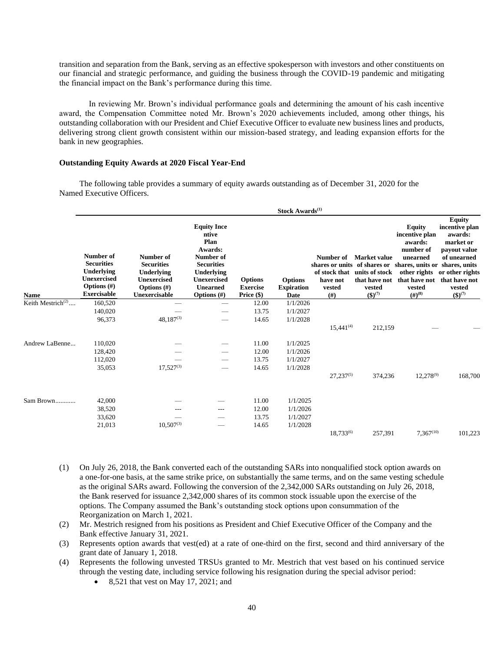transition and separation from the Bank, serving as an effective spokesperson with investors and other constituents on our financial and strategic performance, and guiding the business through the COVID-19 pandemic and mitigating the financial impact on the Bank's performance during this time.

In reviewing Mr. Brown's individual performance goals and determining the amount of his cash incentive award, the Compensation Committee noted Mr. Brown's 2020 achievements included, among other things, his outstanding collaboration with our President and Chief Executive Officer to evaluate new business lines and products, delivering strong client growth consistent within our mission-based strategy, and leading expansion efforts for the bank in new geographies.

## **Outstanding Equity Awards at 2020 Fiscal Year-End**

The following table provides a summary of equity awards outstanding as of December 31, 2020 for the Named Executive Officers.

|                               |                                                                                                            |                                                                                                       |                                                                                                                                                                         |                                                   | Stock Awards <sup>(1)</sup>                 |                                                                                                         |                                                           |                                                                                                                                                 |                                                                                                                                                                     |
|-------------------------------|------------------------------------------------------------------------------------------------------------|-------------------------------------------------------------------------------------------------------|-------------------------------------------------------------------------------------------------------------------------------------------------------------------------|---------------------------------------------------|---------------------------------------------|---------------------------------------------------------------------------------------------------------|-----------------------------------------------------------|-------------------------------------------------------------------------------------------------------------------------------------------------|---------------------------------------------------------------------------------------------------------------------------------------------------------------------|
| <b>Name</b>                   | Number of<br><b>Securities</b><br>Underlying<br><b>Unexercised</b><br>Options $(\#)$<br><b>Exercisable</b> | Number of<br><b>Securities</b><br>Underlying<br><b>Unexercised</b><br>Options $(\#)$<br>Unexercisable | <b>Equity Ince</b><br>ntive<br>Plan<br>Awards:<br><b>Number of</b><br><b>Securities</b><br><b>Underlying</b><br><b>Unexercised</b><br><b>Unearned</b><br>Options $(\#)$ | <b>Options</b><br><b>Exercise</b><br>Price $(\$)$ | <b>Options</b><br><b>Expiration</b><br>Date | Number of<br>shares or units of shares or<br>of stock that units of stock<br>have not<br>vested<br>(f#) | Market value<br>that have not<br>vested<br>$({\$})^{(7)}$ | <b>Equity</b><br>incentive plan<br>awards:<br>number of<br>unearned<br>shares, units or shares, units<br>that have not<br>vested<br>$(#)^{(8)}$ | <b>Equity</b><br>incentive plan<br>awards:<br>market or<br>payout value<br>of unearned<br>other rights or other rights<br>that have not<br>vested<br>$({\$})^{(7)}$ |
| Keith Mestrich <sup>(2)</sup> | 160,520                                                                                                    |                                                                                                       |                                                                                                                                                                         | 12.00                                             | 1/1/2026                                    |                                                                                                         |                                                           |                                                                                                                                                 |                                                                                                                                                                     |
|                               | 140,020                                                                                                    |                                                                                                       |                                                                                                                                                                         | 13.75                                             | 1/1/2027                                    |                                                                                                         |                                                           |                                                                                                                                                 |                                                                                                                                                                     |
|                               | 96,373                                                                                                     | $48,187^{(3)}$                                                                                        |                                                                                                                                                                         | 14.65                                             | 1/1/2028                                    | $15,441^{(4)}$                                                                                          | 212,159                                                   |                                                                                                                                                 |                                                                                                                                                                     |
| Andrew LaBenne                | 110,020                                                                                                    |                                                                                                       |                                                                                                                                                                         | 11.00                                             | 1/1/2025                                    |                                                                                                         |                                                           |                                                                                                                                                 |                                                                                                                                                                     |
|                               | 128,420                                                                                                    |                                                                                                       |                                                                                                                                                                         | 12.00                                             | 1/1/2026                                    |                                                                                                         |                                                           |                                                                                                                                                 |                                                                                                                                                                     |
|                               | 112,020                                                                                                    |                                                                                                       |                                                                                                                                                                         | 13.75                                             | 1/1/2027                                    |                                                                                                         |                                                           |                                                                                                                                                 |                                                                                                                                                                     |
|                               | 35,053                                                                                                     | $17,527^{(3)}$                                                                                        |                                                                                                                                                                         | 14.65                                             | 1/1/2028                                    | $27,237^{(5)}$                                                                                          | 374,236                                                   | $12,278^{(9)}$                                                                                                                                  | 168,700                                                                                                                                                             |
| Sam Brown                     | 42,000                                                                                                     |                                                                                                       |                                                                                                                                                                         | 11.00                                             | 1/1/2025                                    |                                                                                                         |                                                           |                                                                                                                                                 |                                                                                                                                                                     |
|                               | 38,520                                                                                                     |                                                                                                       | ---                                                                                                                                                                     | 12.00                                             | 1/1/2026                                    |                                                                                                         |                                                           |                                                                                                                                                 |                                                                                                                                                                     |
|                               | 33,620                                                                                                     |                                                                                                       |                                                                                                                                                                         | 13.75                                             | 1/1/2027                                    |                                                                                                         |                                                           |                                                                                                                                                 |                                                                                                                                                                     |
|                               | 21,013                                                                                                     | $10,507^{(3)}$                                                                                        | -                                                                                                                                                                       | 14.65                                             | 1/1/2028                                    |                                                                                                         |                                                           |                                                                                                                                                 |                                                                                                                                                                     |
|                               |                                                                                                            |                                                                                                       |                                                                                                                                                                         |                                                   |                                             | $18,733^{(6)}$                                                                                          | 257,391                                                   | $7,367^{(10)}$                                                                                                                                  | 101,223                                                                                                                                                             |

- (1) On July 26, 2018, the Bank converted each of the outstanding SARs into nonqualified stock option awards on a one-for-one basis, at the same strike price, on substantially the same terms, and on the same vesting schedule as the original SARs award. Following the conversion of the 2,342,000 SARs outstanding on July 26, 2018, the Bank reserved for issuance 2,342,000 shares of its common stock issuable upon the exercise of the options. The Company assumed the Bank's outstanding stock options upon consummation of the Reorganization on March 1, 2021.
- (2) Mr. Mestrich resigned from his positions as President and Chief Executive Officer of the Company and the Bank effective January 31, 2021.
- (3) Represents option awards that vest(ed) at a rate of one-third on the first, second and third anniversary of the grant date of January 1, 2018.
- (4) Represents the following unvested TRSUs granted to Mr. Mestrich that vest based on his continued service through the vesting date, including service following his resignation during the special advisor period:
	- 8,521 that vest on May 17, 2021; and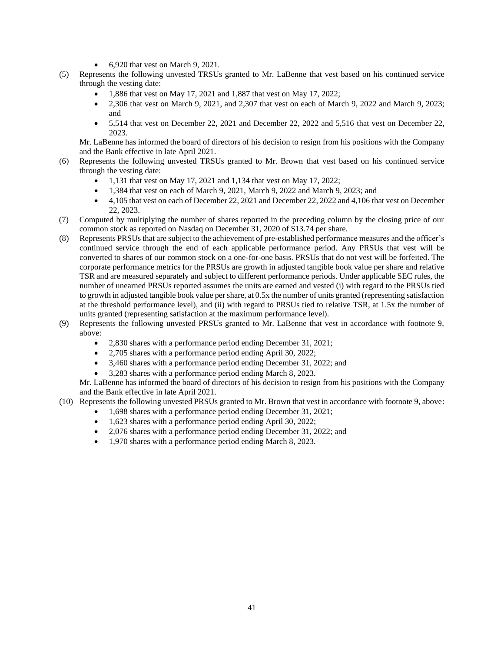- 6,920 that vest on March 9, 2021.
- (5) Represents the following unvested TRSUs granted to Mr. LaBenne that vest based on his continued service through the vesting date:
	- 1,886 that vest on May 17, 2021 and 1,887 that vest on May 17, 2022;
	- 2,306 that vest on March 9, 2021, and 2,307 that vest on each of March 9, 2022 and March 9, 2023; and
	- 5,514 that vest on December 22, 2021 and December 22, 2022 and 5,516 that vest on December 22, 2023.

Mr. LaBenne has informed the board of directors of his decision to resign from his positions with the Company and the Bank effective in late April 2021.

- (6) Represents the following unvested TRSUs granted to Mr. Brown that vest based on his continued service through the vesting date:
	- 1,131 that vest on May 17, 2021 and 1,134 that vest on May 17, 2022;
	- 1,384 that vest on each of March 9, 2021, March 9, 2022 and March 9, 2023; and
	- 4,105 that vest on each of December 22, 2021 and December 22, 2022 and 4,106 that vest on December 22, 2023.
- (7) Computed by multiplying the number of shares reported in the preceding column by the closing price of our common stock as reported on Nasdaq on December 31, 2020 of \$13.74 per share.
- (8) Represents PRSUs that are subject to the achievement of pre-established performance measures and the officer's continued service through the end of each applicable performance period. Any PRSUs that vest will be converted to shares of our common stock on a one-for-one basis. PRSUs that do not vest will be forfeited. The corporate performance metrics for the PRSUs are growth in adjusted tangible book value per share and relative TSR and are measured separately and subject to different performance periods. Under applicable SEC rules, the number of unearned PRSUs reported assumes the units are earned and vested (i) with regard to the PRSUs tied to growth in adjusted tangible book value per share, at 0.5x the number of units granted (representing satisfaction at the threshold performance level), and (ii) with regard to PRSUs tied to relative TSR, at 1.5x the number of units granted (representing satisfaction at the maximum performance level).
- (9) Represents the following unvested PRSUs granted to Mr. LaBenne that vest in accordance with footnote 9, above:
	- 2,830 shares with a performance period ending December 31, 2021;
	- 2,705 shares with a performance period ending April 30, 2022;
	- 3,460 shares with a performance period ending December 31, 2022; and
	- 3,283 shares with a performance period ending March 8, 2023.

Mr. LaBenne has informed the board of directors of his decision to resign from his positions with the Company and the Bank effective in late April 2021.

- (10) Represents the following unvested PRSUs granted to Mr. Brown that vest in accordance with footnote 9, above:
	- 1,698 shares with a performance period ending December 31, 2021;
	- 1,623 shares with a performance period ending April 30, 2022;
	- 2,076 shares with a performance period ending December 31, 2022; and
	- 1,970 shares with a performance period ending March 8, 2023.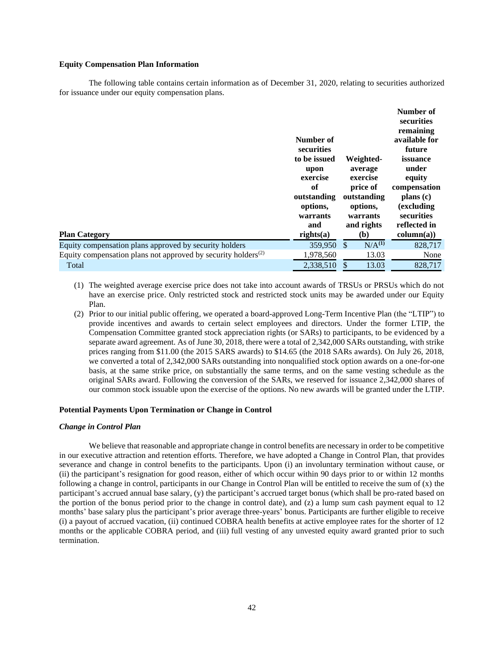#### **Equity Compensation Plan Information**

The following table contains certain information as of December 31, 2020, relating to securities authorized for issuance under our equity compensation plans.

| <b>Plan Category</b>                                                                   | Number of<br>securities<br>to be issued<br>upon<br>exercise<br>of<br>outstanding<br>options,<br>warrants<br>and<br>$rights(a)$ |               | Weighted-<br>average<br>exercise<br>price of<br>outstanding<br>options,<br>warrants<br>and rights<br>(b) | Number of<br>securities<br>remaining<br>available for<br>future<br>issuance<br>under<br>equity<br>compensation<br>plans (c)<br>(excluding)<br>securities<br>reflected in<br>column(a)) |
|----------------------------------------------------------------------------------------|--------------------------------------------------------------------------------------------------------------------------------|---------------|----------------------------------------------------------------------------------------------------------|----------------------------------------------------------------------------------------------------------------------------------------------------------------------------------------|
| Equity compensation plans approved by security holders                                 | 359,950                                                                                                                        | <sup>\$</sup> | N/A <sup>(1)</sup>                                                                                       | 828,717                                                                                                                                                                                |
| Equity compensation plans not approved by security holders <sup><math>(2)</math></sup> | 1,978,560                                                                                                                      |               | 13.03                                                                                                    | None                                                                                                                                                                                   |
| Total                                                                                  | 2,338,510                                                                                                                      | \$            | 13.03                                                                                                    | 828,717                                                                                                                                                                                |

- (1) The weighted average exercise price does not take into account awards of TRSUs or PRSUs which do not have an exercise price. Only restricted stock and restricted stock units may be awarded under our Equity Plan.
- (2) Prior to our initial public offering, we operated a board-approved Long-Term Incentive Plan (the "LTIP") to provide incentives and awards to certain select employees and directors. Under the former LTIP, the Compensation Committee granted stock appreciation rights (or SARs) to participants, to be evidenced by a separate award agreement. As of June 30, 2018, there were a total of 2,342,000 SARs outstanding, with strike prices ranging from \$11.00 (the 2015 SARS awards) to \$14.65 (the 2018 SARs awards). On July 26, 2018, we converted a total of 2,342,000 SARs outstanding into nonqualified stock option awards on a one-for-one basis, at the same strike price, on substantially the same terms, and on the same vesting schedule as the original SARs award. Following the conversion of the SARs, we reserved for issuance 2,342,000 shares of our common stock issuable upon the exercise of the options. No new awards will be granted under the LTIP.

### **Potential Payments Upon Termination or Change in Control**

#### *Change in Control Plan*

We believe that reasonable and appropriate change in control benefits are necessary in order to be competitive in our executive attraction and retention efforts. Therefore, we have adopted a Change in Control Plan, that provides severance and change in control benefits to the participants. Upon (i) an involuntary termination without cause, or (ii) the participant's resignation for good reason, either of which occur within 90 days prior to or within 12 months following a change in control, participants in our Change in Control Plan will be entitled to receive the sum of (x) the participant's accrued annual base salary, (y) the participant's accrued target bonus (which shall be pro-rated based on the portion of the bonus period prior to the change in control date), and  $(z)$  a lump sum cash payment equal to 12 months' base salary plus the participant's prior average three-years' bonus. Participants are further eligible to receive (i) a payout of accrued vacation, (ii) continued COBRA health benefits at active employee rates for the shorter of 12 months or the applicable COBRA period, and (iii) full vesting of any unvested equity award granted prior to such termination.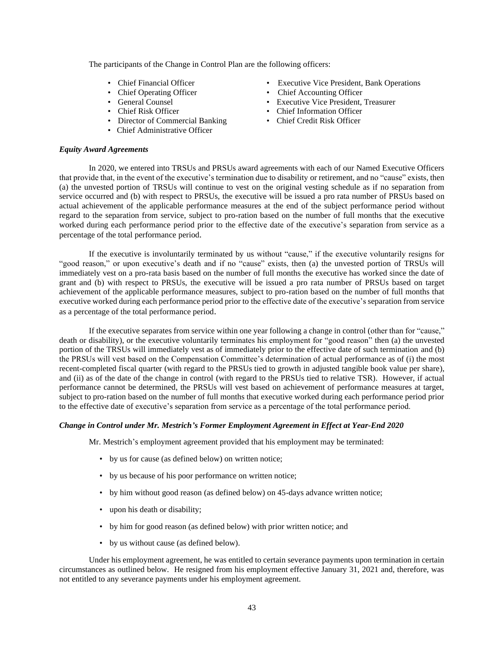The participants of the Change in Control Plan are the following officers:

- Chief Financial Officer
- Chief Operating Officer
- General Counsel
- Chief Risk Officer
- Director of Commercial Banking
- Chief Administrative Officer

### *Equity Award Agreements*

- Executive Vice President, Bank Operations
- Chief Accounting Officer
- Executive Vice President, Treasurer
- Chief Information Officer
- Chief Credit Risk Officer

In 2020, we entered into TRSUs and PRSUs award agreements with each of our Named Executive Officers that provide that, in the event of the executive's termination due to disability or retirement, and no "cause" exists, then (a) the unvested portion of TRSUs will continue to vest on the original vesting schedule as if no separation from service occurred and (b) with respect to PRSUs, the executive will be issued a pro rata number of PRSUs based on actual achievement of the applicable performance measures at the end of the subject performance period without regard to the separation from service, subject to pro-ration based on the number of full months that the executive worked during each performance period prior to the effective date of the executive's separation from service as a percentage of the total performance period.

If the executive is involuntarily terminated by us without "cause," if the executive voluntarily resigns for "good reason," or upon executive's death and if no "cause" exists, then (a) the unvested portion of TRSUs will immediately vest on a pro-rata basis based on the number of full months the executive has worked since the date of grant and (b) with respect to PRSUs, the executive will be issued a pro rata number of PRSUs based on target achievement of the applicable performance measures, subject to pro-ration based on the number of full months that executive worked during each performance period prior to the effective date of the executive's separation from service as a percentage of the total performance period.

If the executive separates from service within one year following a change in control (other than for "cause," death or disability), or the executive voluntarily terminates his employment for "good reason" then (a) the unvested portion of the TRSUs will immediately vest as of immediately prior to the effective date of such termination and (b) the PRSUs will vest based on the Compensation Committee's determination of actual performance as of (i) the most recent-completed fiscal quarter (with regard to the PRSUs tied to growth in adjusted tangible book value per share), and (ii) as of the date of the change in control (with regard to the PRSUs tied to relative TSR). However, if actual performance cannot be determined, the PRSUs will vest based on achievement of performance measures at target, subject to pro-ration based on the number of full months that executive worked during each performance period prior to the effective date of executive's separation from service as a percentage of the total performance period.

## *Change in Control under Mr. Mestrich's Former Employment Agreement in Effect at Year-End 2020*

Mr. Mestrich's employment agreement provided that his employment may be terminated:

- by us for cause (as defined below) on written notice;
- by us because of his poor performance on written notice;
- by him without good reason (as defined below) on 45-days advance written notice;
- upon his death or disability;
- by him for good reason (as defined below) with prior written notice; and
- by us without cause (as defined below).

Under his employment agreement, he was entitled to certain severance payments upon termination in certain circumstances as outlined below. He resigned from his employment effective January 31, 2021 and, therefore, was not entitled to any severance payments under his employment agreement.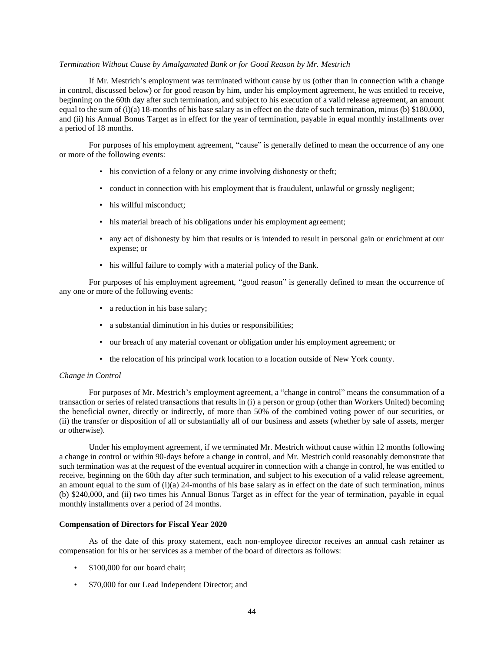#### *Termination Without Cause by Amalgamated Bank or for Good Reason by Mr. Mestrich*

If Mr. Mestrich's employment was terminated without cause by us (other than in connection with a change in control, discussed below) or for good reason by him, under his employment agreement, he was entitled to receive, beginning on the 60th day after such termination, and subject to his execution of a valid release agreement, an amount equal to the sum of  $(i)$ (a) 18-months of his base salary as in effect on the date of such termination, minus (b) \$180,000, and (ii) his Annual Bonus Target as in effect for the year of termination, payable in equal monthly installments over a period of 18 months.

For purposes of his employment agreement, "cause" is generally defined to mean the occurrence of any one or more of the following events:

- his conviction of a felony or any crime involving dishonesty or theft;
- conduct in connection with his employment that is fraudulent, unlawful or grossly negligent;
- his willful misconduct:
- his material breach of his obligations under his employment agreement;
- any act of dishonesty by him that results or is intended to result in personal gain or enrichment at our expense; or
- his willful failure to comply with a material policy of the Bank.

For purposes of his employment agreement, "good reason" is generally defined to mean the occurrence of any one or more of the following events:

- a reduction in his base salary;
- a substantial diminution in his duties or responsibilities;
- our breach of any material covenant or obligation under his employment agreement; or
- the relocation of his principal work location to a location outside of New York county.

#### *Change in Control*

For purposes of Mr. Mestrich's employment agreement, a "change in control" means the consummation of a transaction or series of related transactions that results in (i) a person or group (other than Workers United) becoming the beneficial owner, directly or indirectly, of more than 50% of the combined voting power of our securities, or (ii) the transfer or disposition of all or substantially all of our business and assets (whether by sale of assets, merger or otherwise).

Under his employment agreement, if we terminated Mr. Mestrich without cause within 12 months following a change in control or within 90-days before a change in control, and Mr. Mestrich could reasonably demonstrate that such termination was at the request of the eventual acquirer in connection with a change in control, he was entitled to receive, beginning on the 60th day after such termination, and subject to his execution of a valid release agreement, an amount equal to the sum of  $(i)(a)$  24-months of his base salary as in effect on the date of such termination, minus (b) \$240,000, and (ii) two times his Annual Bonus Target as in effect for the year of termination, payable in equal monthly installments over a period of 24 months.

#### **Compensation of Directors for Fiscal Year 2020**

As of the date of this proxy statement, each non-employee director receives an annual cash retainer as compensation for his or her services as a member of the board of directors as follows:

- \$100,000 for our board chair;
- \$70,000 for our Lead Independent Director; and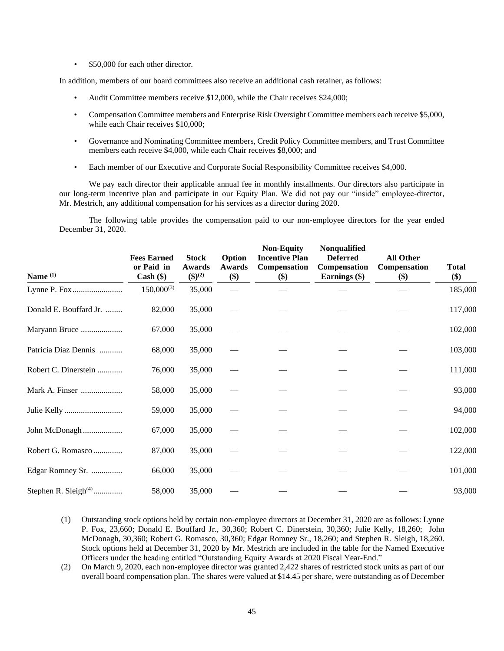• \$50,000 for each other director.

In addition, members of our board committees also receive an additional cash retainer, as follows:

- Audit Committee members receive \$12,000, while the Chair receives \$24,000;
- Compensation Committee members and Enterprise Risk Oversight Committee members each receive \$5,000, while each Chair receives \$10,000;
- Governance and Nominating Committee members, Credit Policy Committee members, and Trust Committee members each receive \$4,000, while each Chair receives \$8,000; and
- Each member of our Executive and Corporate Social Responsibility Committee receives \$4,000.

We pay each director their applicable annual fee in monthly installments. Our directors also participate in our long-term incentive plan and participate in our Equity Plan. We did not pay our "inside" employee-director, Mr. Mestrich, any additional compensation for his services as a director during 2020.

The following table provides the compensation paid to our non-employee directors for the year ended December 31, 2020.

| Name $(1)$              | <b>Fees Earned</b><br>or Paid in<br>$Cash (\$))$ | <b>Stock</b><br>Awards<br>$({\bf 1})^{(2)}$ | Option<br>Awards<br>\$) | <b>Non-Equity</b><br><b>Incentive Plan</b><br>Compensation<br>\$) | Nonqualified<br><b>Deferred</b><br>Compensation<br>Earnings (\$) | <b>All Other</b><br>Compensation<br>\$) | <b>Total</b><br>\$) |
|-------------------------|--------------------------------------------------|---------------------------------------------|-------------------------|-------------------------------------------------------------------|------------------------------------------------------------------|-----------------------------------------|---------------------|
|                         | $150,000^{(3)}$                                  | 35,000                                      |                         |                                                                   |                                                                  |                                         | 185,000             |
| Donald E. Bouffard Jr.  | 82,000                                           | 35,000                                      |                         |                                                                   |                                                                  |                                         | 117,000             |
| Maryann Bruce           | 67,000                                           | 35,000                                      |                         |                                                                   |                                                                  |                                         | 102,000             |
| Patricia Diaz Dennis    | 68,000                                           | 35,000                                      |                         |                                                                   |                                                                  |                                         | 103,000             |
| Robert C. Dinerstein    | 76,000                                           | 35,000                                      |                         |                                                                   |                                                                  |                                         | 111,000             |
| Mark A. Finser          | 58,000                                           | 35,000                                      |                         |                                                                   |                                                                  |                                         | 93,000              |
|                         | 59,000                                           | 35,000                                      |                         |                                                                   |                                                                  |                                         | 94,000              |
| John McDonagh           | 67,000                                           | 35,000                                      |                         |                                                                   |                                                                  |                                         | 102,000             |
| Robert G. Romasco       | 87,000                                           | 35,000                                      |                         |                                                                   |                                                                  |                                         | 122,000             |
| Edgar Romney Sr.        | 66,000                                           | 35,000                                      |                         |                                                                   |                                                                  |                                         | 101,000             |
| Stephen R. Sleigh $(4)$ | 58,000                                           | 35,000                                      |                         |                                                                   |                                                                  |                                         | 93,000              |

- (1) Outstanding stock options held by certain non-employee directors at December 31, 2020 are as follows: Lynne P. Fox, 23,660; Donald E. Bouffard Jr., 30,360; Robert C. Dinerstein, 30,360; Julie Kelly, 18,260; John McDonagh, 30,360; Robert G. Romasco, 30,360; Edgar Romney Sr., 18,260; and Stephen R. Sleigh, 18,260. Stock options held at December 31, 2020 by Mr. Mestrich are included in the table for the Named Executive Officers under the heading entitled "Outstanding Equity Awards at 2020 Fiscal Year-End."
- (2) On March 9, 2020, each non-employee director was granted 2,422 shares of restricted stock units as part of our overall board compensation plan. The shares were valued at \$14.45 per share, were outstanding as of December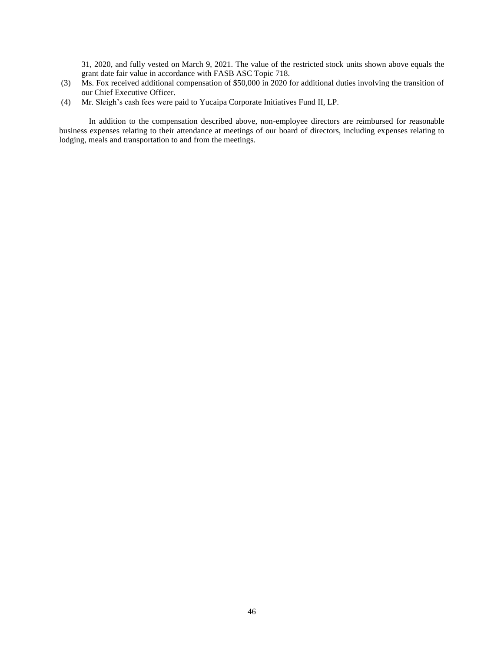31, 2020, and fully vested on March 9, 2021. The value of the restricted stock units shown above equals the grant date fair value in accordance with FASB ASC Topic 718.

- (3) Ms. Fox received additional compensation of \$50,000 in 2020 for additional duties involving the transition of our Chief Executive Officer.
- (4) Mr. Sleigh's cash fees were paid to Yucaipa Corporate Initiatives Fund II, LP.

In addition to the compensation described above, non-employee directors are reimbursed for reasonable business expenses relating to their attendance at meetings of our board of directors, including expenses relating to lodging, meals and transportation to and from the meetings.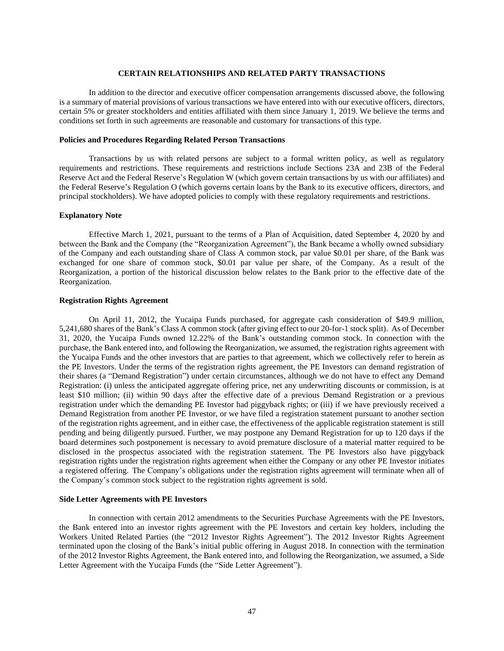#### **CERTAIN RELATIONSHIPS AND RELATED PARTY TRANSACTIONS**

In addition to the director and executive officer compensation arrangements discussed above, the following is a summary of material provisions of various transactions we have entered into with our executive officers, directors, certain 5% or greater stockholders and entities affiliated with them since January 1, 2019. We believe the terms and conditions set forth in such agreements are reasonable and customary for transactions of this type.

### **Policies and Procedures Regarding Related Person Transactions**

Transactions by us with related persons are subject to a formal written policy, as well as regulatory requirements and restrictions. These requirements and restrictions include Sections 23A and 23B of the Federal Reserve Act and the Federal Reserve's Regulation W (which govern certain transactions by us with our affiliates) and the Federal Reserve's Regulation O (which governs certain loans by the Bank to its executive officers, directors, and principal stockholders). We have adopted policies to comply with these regulatory requirements and restrictions.

#### **Explanatory Note**

Effective March 1, 2021, pursuant to the terms of a Plan of Acquisition, dated September 4, 2020 by and between the Bank and the Company (the "Reorganization Agreement"), the Bank became a wholly owned subsidiary of the Company and each outstanding share of Class A common stock, par value \$0.01 per share, of the Bank was exchanged for one share of common stock, \$0.01 par value per share, of the Company. As a result of the Reorganization, a portion of the historical discussion below relates to the Bank prior to the effective date of the Reorganization.

#### **Registration Rights Agreement**

On April 11, 2012, the Yucaipa Funds purchased, for aggregate cash consideration of \$49.9 million, 5,241,680 shares of the Bank's Class A common stock (after giving effect to our 20-for-1 stock split). As of December 31, 2020, the Yucaipa Funds owned 12.22% of the Bank's outstanding common stock. In connection with the purchase, the Bank entered into, and following the Reorganization, we assumed, the registration rights agreement with the Yucaipa Funds and the other investors that are parties to that agreement, which we collectively refer to herein as the PE Investors. Under the terms of the registration rights agreement, the PE Investors can demand registration of their shares (a "Demand Registration") under certain circumstances, although we do not have to effect any Demand Registration: (i) unless the anticipated aggregate offering price, net any underwriting discounts or commission, is at least \$10 million; (ii) within 90 days after the effective date of a previous Demand Registration or a previous registration under which the demanding PE Investor had piggyback rights; or (iii) if we have previously received a Demand Registration from another PE Investor, or we have filed a registration statement pursuant to another section of the registration rights agreement, and in either case, the effectiveness of the applicable registration statement is still pending and being diligently pursued. Further, we may postpone any Demand Registration for up to 120 days if the board determines such postponement is necessary to avoid premature disclosure of a material matter required to be disclosed in the prospectus associated with the registration statement. The PE Investors also have piggyback registration rights under the registration rights agreement when either the Company or any other PE Investor initiates a registered offering. The Company's obligations under the registration rights agreement will terminate when all of the Company's common stock subject to the registration rights agreement is sold.

#### **Side Letter Agreements with PE Investors**

In connection with certain 2012 amendments to the Securities Purchase Agreements with the PE Investors, the Bank entered into an investor rights agreement with the PE Investors and certain key holders, including the Workers United Related Parties (the "2012 Investor Rights Agreement"). The 2012 Investor Rights Agreement terminated upon the closing of the Bank's initial public offering in August 2018. In connection with the termination of the 2012 Investor Rights Agreement, the Bank entered into, and following the Reorganization, we assumed, a Side Letter Agreement with the Yucaipa Funds (the "Side Letter Agreement").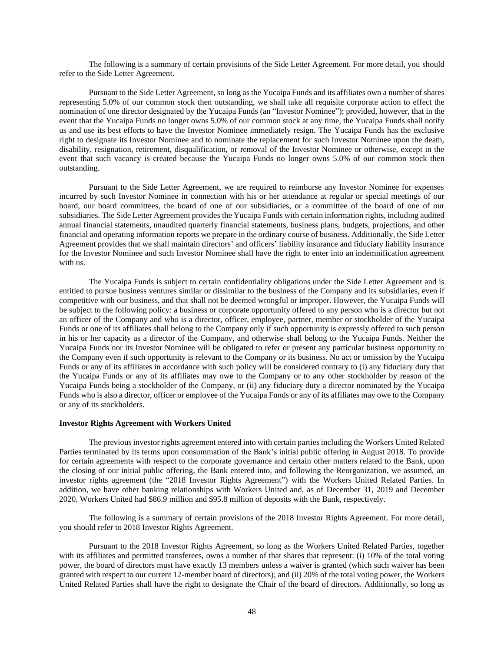The following is a summary of certain provisions of the Side Letter Agreement. For more detail, you should refer to the Side Letter Agreement.

Pursuant to the Side Letter Agreement, so long as the Yucaipa Funds and its affiliates own a number of shares representing 5.0% of our common stock then outstanding, we shall take all requisite corporate action to effect the nomination of one director designated by the Yucaipa Funds (an "Investor Nominee"); provided, however, that in the event that the Yucaipa Funds no longer owns 5.0% of our common stock at any time, the Yucaipa Funds shall notify us and use its best efforts to have the Investor Nominee immediately resign. The Yucaipa Funds has the exclusive right to designate its Investor Nominee and to nominate the replacement for such Investor Nominee upon the death, disability, resignation, retirement, disqualification, or removal of the Investor Nominee or otherwise, except in the event that such vacancy is created because the Yucaipa Funds no longer owns 5.0% of our common stock then outstanding.

Pursuant to the Side Letter Agreement, we are required to reimburse any Investor Nominee for expenses incurred by such Investor Nominee in connection with his or her attendance at regular or special meetings of our board, our board committees, the board of one of our subsidiaries, or a committee of the board of one of our subsidiaries. The Side Letter Agreement provides the Yucaipa Funds with certain information rights, including audited annual financial statements, unaudited quarterly financial statements, business plans, budgets, projections, and other financial and operating information reports we prepare in the ordinary course of business. Additionally, the Side Letter Agreement provides that we shall maintain directors' and officers' liability insurance and fiduciary liability insurance for the Investor Nominee and such Investor Nominee shall have the right to enter into an indemnification agreement with us.

The Yucaipa Funds is subject to certain confidentiality obligations under the Side Letter Agreement and is entitled to pursue business ventures similar or dissimilar to the business of the Company and its subsidiaries, even if competitive with our business, and that shall not be deemed wrongful or improper. However, the Yucaipa Funds will be subject to the following policy: a business or corporate opportunity offered to any person who is a director but not an officer of the Company and who is a director, officer, employee, partner, member or stockholder of the Yucaipa Funds or one of its affiliates shall belong to the Company only if such opportunity is expressly offered to such person in his or her capacity as a director of the Company, and otherwise shall belong to the Yucaipa Funds. Neither the Yucaipa Funds nor its Investor Nominee will be obligated to refer or present any particular business opportunity to the Company even if such opportunity is relevant to the Company or its business. No act or omission by the Yucaipa Funds or any of its affiliates in accordance with such policy will be considered contrary to (i) any fiduciary duty that the Yucaipa Funds or any of its affiliates may owe to the Company or to any other stockholder by reason of the Yucaipa Funds being a stockholder of the Company, or (ii) any fiduciary duty a director nominated by the Yucaipa Funds who is also a director, officer or employee of the Yucaipa Funds or any of its affiliates may owe to the Company or any of its stockholders.

#### **Investor Rights Agreement with Workers United**

The previous investor rights agreement entered into with certain parties including the Workers United Related Parties terminated by its terms upon consummation of the Bank's initial public offering in August 2018. To provide for certain agreements with respect to the corporate governance and certain other matters related to the Bank, upon the closing of our initial public offering, the Bank entered into, and following the Reorganization, we assumed, an investor rights agreement (the "2018 Investor Rights Agreement") with the Workers United Related Parties. In addition, we have other banking relationships with Workers United and, as of December 31, 2019 and December 2020, Workers United had \$86.9 million and \$95.8 million of deposits with the Bank, respectively.

The following is a summary of certain provisions of the 2018 Investor Rights Agreement. For more detail, you should refer to 2018 Investor Rights Agreement.

Pursuant to the 2018 Investor Rights Agreement, so long as the Workers United Related Parties, together with its affiliates and permitted transferees, owns a number of that shares that represent: (i) 10% of the total voting power, the board of directors must have exactly 13 members unless a waiver is granted (which such waiver has been granted with respect to our current 12-member board of directors); and (ii) 20% of the total voting power, the Workers United Related Parties shall have the right to designate the Chair of the board of directors. Additionally, so long as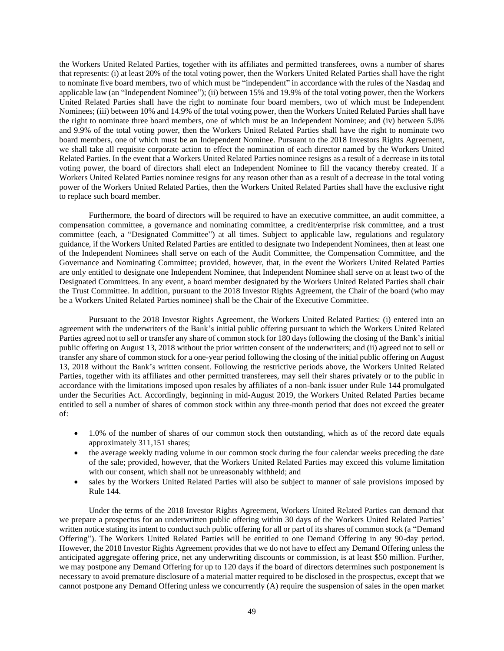the Workers United Related Parties, together with its affiliates and permitted transferees, owns a number of shares that represents: (i) at least 20% of the total voting power, then the Workers United Related Parties shall have the right to nominate five board members, two of which must be "independent" in accordance with the rules of the Nasdaq and applicable law (an "Independent Nominee"); (ii) between 15% and 19.9% of the total voting power, then the Workers United Related Parties shall have the right to nominate four board members, two of which must be Independent Nominees; (iii) between 10% and 14.9% of the total voting power, then the Workers United Related Parties shall have the right to nominate three board members, one of which must be an Independent Nominee; and (iv) between 5.0% and 9.9% of the total voting power, then the Workers United Related Parties shall have the right to nominate two board members, one of which must be an Independent Nominee. Pursuant to the 2018 Investors Rights Agreement, we shall take all requisite corporate action to effect the nomination of each director named by the Workers United Related Parties. In the event that a Workers United Related Parties nominee resigns as a result of a decrease in its total voting power, the board of directors shall elect an Independent Nominee to fill the vacancy thereby created. If a Workers United Related Parties nominee resigns for any reason other than as a result of a decrease in the total voting power of the Workers United Related Parties, then the Workers United Related Parties shall have the exclusive right to replace such board member.

Furthermore, the board of directors will be required to have an executive committee, an audit committee, a compensation committee, a governance and nominating committee, a credit/enterprise risk committee, and a trust committee (each, a "Designated Committee") at all times. Subject to applicable law, regulations and regulatory guidance, if the Workers United Related Parties are entitled to designate two Independent Nominees, then at least one of the Independent Nominees shall serve on each of the Audit Committee, the Compensation Committee, and the Governance and Nominating Committee; provided, however, that, in the event the Workers United Related Parties are only entitled to designate one Independent Nominee, that Independent Nominee shall serve on at least two of the Designated Committees. In any event, a board member designated by the Workers United Related Parties shall chair the Trust Committee. In addition, pursuant to the 2018 Investor Rights Agreement, the Chair of the board (who may be a Workers United Related Parties nominee) shall be the Chair of the Executive Committee.

Pursuant to the 2018 Investor Rights Agreement, the Workers United Related Parties: (i) entered into an agreement with the underwriters of the Bank's initial public offering pursuant to which the Workers United Related Parties agreed not to sell or transfer any share of common stock for 180 days following the closing of the Bank's initial public offering on August 13, 2018 without the prior written consent of the underwriters; and (ii) agreed not to sell or transfer any share of common stock for a one-year period following the closing of the initial public offering on August 13, 2018 without the Bank's written consent. Following the restrictive periods above, the Workers United Related Parties, together with its affiliates and other permitted transferees, may sell their shares privately or to the public in accordance with the limitations imposed upon resales by affiliates of a non-bank issuer under Rule 144 promulgated under the Securities Act. Accordingly, beginning in mid-August 2019, the Workers United Related Parties became entitled to sell a number of shares of common stock within any three-month period that does not exceed the greater of:

- 1.0% of the number of shares of our common stock then outstanding, which as of the record date equals approximately 311,151 shares;
- the average weekly trading volume in our common stock during the four calendar weeks preceding the date of the sale; provided, however, that the Workers United Related Parties may exceed this volume limitation with our consent, which shall not be unreasonably withheld; and
- sales by the Workers United Related Parties will also be subject to manner of sale provisions imposed by Rule 144.

Under the terms of the 2018 Investor Rights Agreement, Workers United Related Parties can demand that we prepare a prospectus for an underwritten public offering within 30 days of the Workers United Related Parties' written notice stating its intent to conduct such public offering for all or part of its shares of common stock (a "Demand Offering"). The Workers United Related Parties will be entitled to one Demand Offering in any 90-day period. However, the 2018 Investor Rights Agreement provides that we do not have to effect any Demand Offering unless the anticipated aggregate offering price, net any underwriting discounts or commission, is at least \$50 million. Further, we may postpone any Demand Offering for up to 120 days if the board of directors determines such postponement is necessary to avoid premature disclosure of a material matter required to be disclosed in the prospectus, except that we cannot postpone any Demand Offering unless we concurrently (A) require the suspension of sales in the open market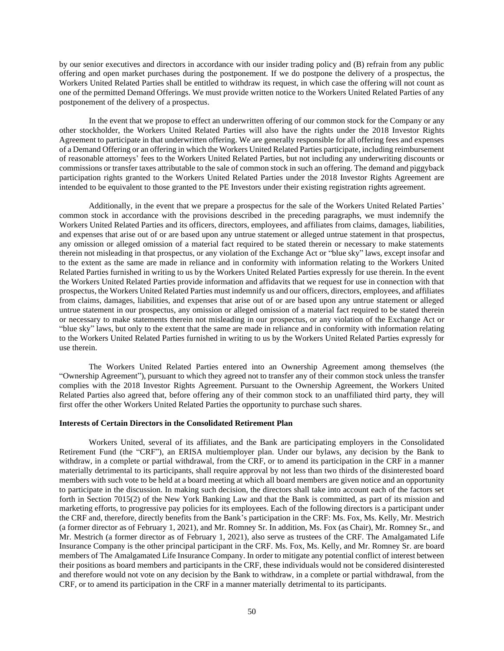by our senior executives and directors in accordance with our insider trading policy and (B) refrain from any public offering and open market purchases during the postponement. If we do postpone the delivery of a prospectus, the Workers United Related Parties shall be entitled to withdraw its request, in which case the offering will not count as one of the permitted Demand Offerings. We must provide written notice to the Workers United Related Parties of any postponement of the delivery of a prospectus.

In the event that we propose to effect an underwritten offering of our common stock for the Company or any other stockholder, the Workers United Related Parties will also have the rights under the 2018 Investor Rights Agreement to participate in that underwritten offering. We are generally responsible for all offering fees and expenses of a Demand Offering or an offering in which the Workers United Related Parties participate, including reimbursement of reasonable attorneys' fees to the Workers United Related Parties, but not including any underwriting discounts or commissions or transfer taxes attributable to the sale of common stock in such an offering. The demand and piggyback participation rights granted to the Workers United Related Parties under the 2018 Investor Rights Agreement are intended to be equivalent to those granted to the PE Investors under their existing registration rights agreement.

Additionally, in the event that we prepare a prospectus for the sale of the Workers United Related Parties' common stock in accordance with the provisions described in the preceding paragraphs, we must indemnify the Workers United Related Parties and its officers, directors, employees, and affiliates from claims, damages, liabilities, and expenses that arise out of or are based upon any untrue statement or alleged untrue statement in that prospectus, any omission or alleged omission of a material fact required to be stated therein or necessary to make statements therein not misleading in that prospectus, or any violation of the Exchange Act or "blue sky" laws, except insofar and to the extent as the same are made in reliance and in conformity with information relating to the Workers United Related Parties furnished in writing to us by the Workers United Related Parties expressly for use therein. In the event the Workers United Related Parties provide information and affidavits that we request for use in connection with that prospectus, the Workers United Related Parties must indemnify us and our officers, directors, employees, and affiliates from claims, damages, liabilities, and expenses that arise out of or are based upon any untrue statement or alleged untrue statement in our prospectus, any omission or alleged omission of a material fact required to be stated therein or necessary to make statements therein not misleading in our prospectus, or any violation of the Exchange Act or "blue sky" laws, but only to the extent that the same are made in reliance and in conformity with information relating to the Workers United Related Parties furnished in writing to us by the Workers United Related Parties expressly for use therein.

The Workers United Related Parties entered into an Ownership Agreement among themselves (the "Ownership Agreement"), pursuant to which they agreed not to transfer any of their common stock unless the transfer complies with the 2018 Investor Rights Agreement. Pursuant to the Ownership Agreement, the Workers United Related Parties also agreed that, before offering any of their common stock to an unaffiliated third party, they will first offer the other Workers United Related Parties the opportunity to purchase such shares.

#### **Interests of Certain Directors in the Consolidated Retirement Plan**

Workers United, several of its affiliates, and the Bank are participating employers in the Consolidated Retirement Fund (the "CRF"), an ERISA multiemployer plan. Under our bylaws, any decision by the Bank to withdraw, in a complete or partial withdrawal, from the CRF, or to amend its participation in the CRF in a manner materially detrimental to its participants, shall require approval by not less than two thirds of the disinterested board members with such vote to be held at a board meeting at which all board members are given notice and an opportunity to participate in the discussion. In making such decision, the directors shall take into account each of the factors set forth in Section 7015(2) of the New York Banking Law and that the Bank is committed, as part of its mission and marketing efforts, to progressive pay policies for its employees. Each of the following directors is a participant under the CRF and, therefore, directly benefits from the Bank's participation in the CRF: Ms. Fox, Ms. Kelly, Mr. Mestrich (a former director as of February 1, 2021), and Mr. Romney Sr. In addition, Ms. Fox (as Chair), Mr. Romney Sr., and Mr. Mestrich (a former director as of February 1, 2021), also serve as trustees of the CRF. The Amalgamated Life Insurance Company is the other principal participant in the CRF. Ms. Fox, Ms. Kelly, and Mr. Romney Sr. are board members of The Amalgamated Life Insurance Company. In order to mitigate any potential conflict of interest between their positions as board members and participants in the CRF, these individuals would not be considered disinterested and therefore would not vote on any decision by the Bank to withdraw, in a complete or partial withdrawal, from the CRF, or to amend its participation in the CRF in a manner materially detrimental to its participants.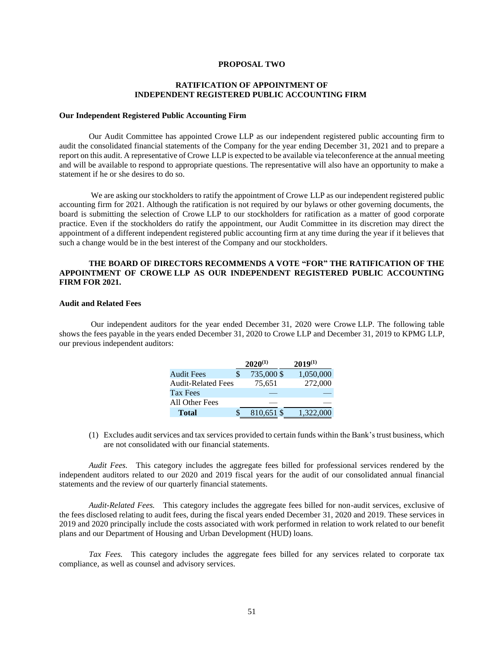## **PROPOSAL TWO**

## **RATIFICATION OF APPOINTMENT OF INDEPENDENT REGISTERED PUBLIC ACCOUNTING FIRM**

#### **Our Independent Registered Public Accounting Firm**

Our Audit Committee has appointed Crowe LLP as our independent registered public accounting firm to audit the consolidated financial statements of the Company for the year ending December 31, 2021 and to prepare a report on this audit. A representative of Crowe LLP is expected to be available via teleconference at the annual meeting and will be available to respond to appropriate questions. The representative will also have an opportunity to make a statement if he or she desires to do so.

We are asking our stockholders to ratify the appointment of Crowe LLP as our independent registered public accounting firm for 2021. Although the ratification is not required by our bylaws or other governing documents, the board is submitting the selection of Crowe LLP to our stockholders for ratification as a matter of good corporate practice. Even if the stockholders do ratify the appointment, our Audit Committee in its discretion may direct the appointment of a different independent registered public accounting firm at any time during the year if it believes that such a change would be in the best interest of the Company and our stockholders.

## **THE BOARD OF DIRECTORS RECOMMENDS A VOTE "FOR" THE RATIFICATION OF THE APPOINTMENT OF CROWE LLP AS OUR INDEPENDENT REGISTERED PUBLIC ACCOUNTING FIRM FOR 2021.**

#### **Audit and Related Fees**

 Our independent auditors for the year ended December 31, 2020 were Crowe LLP. The following table shows the fees payable in the years ended December 31, 2020 to Crowe LLP and December 31, 2019 to KPMG LLP, our previous independent auditors:

|                           | $2020^{(1)}$ | $2019^{(1)}$ |
|---------------------------|--------------|--------------|
| <b>Audit Fees</b>         | 735,000 \$   | 1,050,000    |
| <b>Audit-Related Fees</b> | 75.651       | 272,000      |
| <b>Tax Fees</b>           |              |              |
| All Other Fees            |              |              |
| <b>Total</b>              | 810,651 \$   | 1,322,000    |

(1) Excludes audit services and tax services provided to certain funds within the Bank'strust business, which are not consolidated with our financial statements.

*Audit Fees.* This category includes the aggregate fees billed for professional services rendered by the independent auditors related to our 2020 and 2019 fiscal years for the audit of our consolidated annual financial statements and the review of our quarterly financial statements.

*Audit-Related Fees.* This category includes the aggregate fees billed for non-audit services, exclusive of the fees disclosed relating to audit fees, during the fiscal years ended December 31, 2020 and 2019. These services in 2019 and 2020 principally include the costs associated with work performed in relation to work related to our benefit plans and our Department of Housing and Urban Development (HUD) loans.

 *Tax Fees.* This category includes the aggregate fees billed for any services related to corporate tax compliance, as well as counsel and advisory services.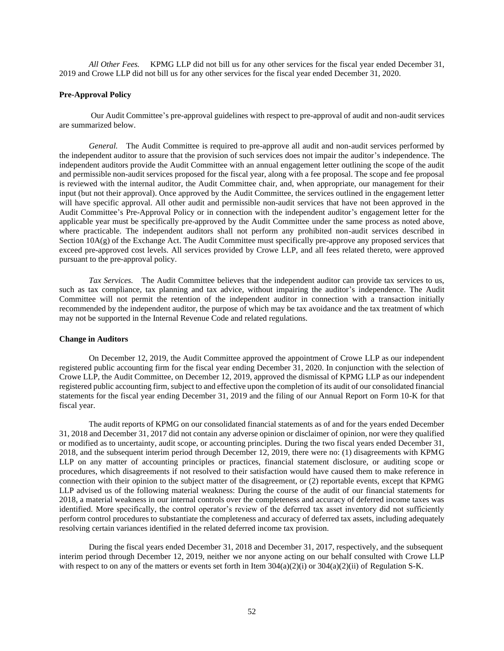*All Other Fees.* KPMG LLP did not bill us for any other services for the fiscal year ended December 31, 2019 and Crowe LLP did not bill us for any other services for the fiscal year ended December 31, 2020.

### **Pre-Approval Policy**

 Our Audit Committee's pre-approval guidelines with respect to pre-approval of audit and non-audit services are summarized below.

 *General.* The Audit Committee is required to pre-approve all audit and non-audit services performed by the independent auditor to assure that the provision of such services does not impair the auditor's independence. The independent auditors provide the Audit Committee with an annual engagement letter outlining the scope of the audit and permissible non-audit services proposed for the fiscal year, along with a fee proposal. The scope and fee proposal is reviewed with the internal auditor, the Audit Committee chair, and, when appropriate, our management for their input (but not their approval). Once approved by the Audit Committee, the services outlined in the engagement letter will have specific approval. All other audit and permissible non-audit services that have not been approved in the Audit Committee's Pre-Approval Policy or in connection with the independent auditor's engagement letter for the applicable year must be specifically pre-approved by the Audit Committee under the same process as noted above, where practicable. The independent auditors shall not perform any prohibited non-audit services described in Section 10A(g) of the Exchange Act. The Audit Committee must specifically pre-approve any proposed services that exceed pre-approved cost levels. All services provided by Crowe LLP, and all fees related thereto, were approved pursuant to the pre-approval policy.

 *Tax Services.* The Audit Committee believes that the independent auditor can provide tax services to us, such as tax compliance, tax planning and tax advice, without impairing the auditor's independence. The Audit Committee will not permit the retention of the independent auditor in connection with a transaction initially recommended by the independent auditor, the purpose of which may be tax avoidance and the tax treatment of which may not be supported in the Internal Revenue Code and related regulations.

### **Change in Auditors**

On December 12, 2019, the Audit Committee approved the appointment of Crowe LLP as our independent registered public accounting firm for the fiscal year ending December 31, 2020. In conjunction with the selection of Crowe LLP, the Audit Committee, on December 12, 2019, approved the dismissal of KPMG LLP as our independent registered public accounting firm, subject to and effective upon the completion of its audit of our consolidated financial statements for the fiscal year ending December 31, 2019 and the filing of our Annual Report on Form 10-K for that fiscal year.

The audit reports of KPMG on our consolidated financial statements as of and for the years ended December 31, 2018 and December 31, 2017 did not contain any adverse opinion or disclaimer of opinion, nor were they qualified or modified as to uncertainty, audit scope, or accounting principles. During the two fiscal years ended December 31, 2018, and the subsequent interim period through December 12, 2019, there were no: (1) disagreements with KPMG LLP on any matter of accounting principles or practices, financial statement disclosure, or auditing scope or procedures, which disagreements if not resolved to their satisfaction would have caused them to make reference in connection with their opinion to the subject matter of the disagreement, or (2) reportable events, except that KPMG LLP advised us of the following material weakness: During the course of the audit of our financial statements for 2018, a material weakness in our internal controls over the completeness and accuracy of deferred income taxes was identified. More specifically, the control operator's review of the deferred tax asset inventory did not sufficiently perform control procedures to substantiate the completeness and accuracy of deferred tax assets, including adequately resolving certain variances identified in the related deferred income tax provision.

During the fiscal years ended December 31, 2018 and December 31, 2017, respectively, and the subsequent interim period through December 12, 2019, neither we nor anyone acting on our behalf consulted with Crowe LLP with respect to on any of the matters or events set forth in Item 304(a)(2)(i) or 304(a)(2)(ii) of Regulation S-K.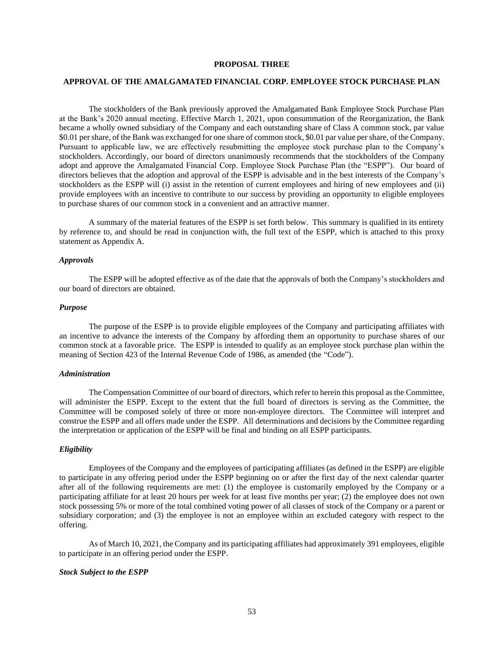### **PROPOSAL THREE**

### **APPROVAL OF THE AMALGAMATED FINANCIAL CORP. EMPLOYEE STOCK PURCHASE PLAN**

The stockholders of the Bank previously approved the Amalgamated Bank Employee Stock Purchase Plan at the Bank's 2020 annual meeting. Effective March 1, 2021, upon consummation of the Reorganization, the Bank became a wholly owned subsidiary of the Company and each outstanding share of Class A common stock, par value \$0.01 per share, of the Bank was exchanged for one share of common stock, \$0.01 par value per share, of the Company. Pursuant to applicable law, we are effectively resubmitting the employee stock purchase plan to the Company's stockholders. Accordingly, our board of directors unanimously recommends that the stockholders of the Company adopt and approve the Amalgamated Financial Corp. Employee Stock Purchase Plan (the "ESPP"). Our board of directors believes that the adoption and approval of the ESPP is advisable and in the best interests of the Company's stockholders as the ESPP will (i) assist in the retention of current employees and hiring of new employees and (ii) provide employees with an incentive to contribute to our success by providing an opportunity to eligible employees to purchase shares of our common stock in a convenient and an attractive manner.

A summary of the material features of the ESPP is set forth below. This summary is qualified in its entirety by reference to, and should be read in conjunction with, the full text of the ESPP, which is attached to this proxy statement as Appendix A.

#### *Approvals*

The ESPP will be adopted effective as of the date that the approvals of both the Company's stockholders and our board of directors are obtained.

#### *Purpose*

The purpose of the ESPP is to provide eligible employees of the Company and participating affiliates with an incentive to advance the interests of the Company by affording them an opportunity to purchase shares of our common stock at a favorable price. The ESPP is intended to qualify as an employee stock purchase plan within the meaning of Section 423 of the Internal Revenue Code of 1986, as amended (the "Code").

#### *Administration*

The Compensation Committee of our board of directors, which refer to herein this proposal as the Committee, will administer the ESPP. Except to the extent that the full board of directors is serving as the Committee, the Committee will be composed solely of three or more non-employee directors. The Committee will interpret and construe the ESPP and all offers made under the ESPP. All determinations and decisions by the Committee regarding the interpretation or application of the ESPP will be final and binding on all ESPP participants.

#### *Eligibility*

Employees of the Company and the employees of participating affiliates (as defined in the ESPP) are eligible to participate in any offering period under the ESPP beginning on or after the first day of the next calendar quarter after all of the following requirements are met: (1) the employee is customarily employed by the Company or a participating affiliate for at least 20 hours per week for at least five months per year; (2) the employee does not own stock possessing 5% or more of the total combined voting power of all classes of stock of the Company or a parent or subsidiary corporation; and (3) the employee is not an employee within an excluded category with respect to the offering.

As of March 10, 2021, the Company and its participating affiliates had approximately 391 employees, eligible to participate in an offering period under the ESPP.

#### *Stock Subject to the ESPP*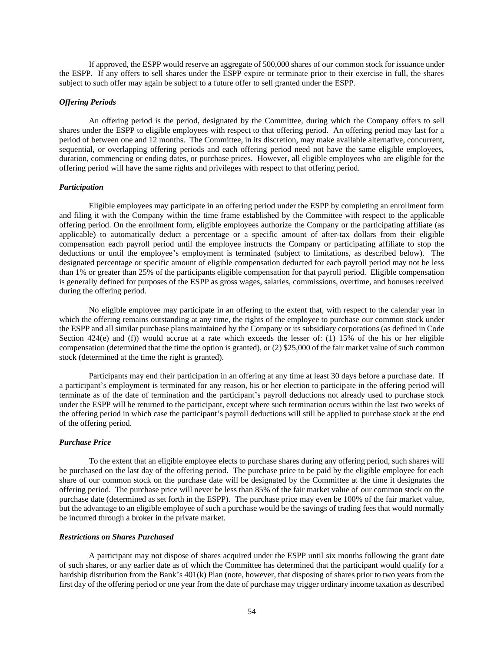If approved, the ESPP would reserve an aggregate of 500,000 shares of our common stock for issuance under the ESPP. If any offers to sell shares under the ESPP expire or terminate prior to their exercise in full, the shares subject to such offer may again be subject to a future offer to sell granted under the ESPP.

#### *Offering Periods*

An offering period is the period, designated by the Committee, during which the Company offers to sell shares under the ESPP to eligible employees with respect to that offering period. An offering period may last for a period of between one and 12 months. The Committee, in its discretion, may make available alternative, concurrent, sequential, or overlapping offering periods and each offering period need not have the same eligible employees, duration, commencing or ending dates, or purchase prices. However, all eligible employees who are eligible for the offering period will have the same rights and privileges with respect to that offering period.

#### *Participation*

Eligible employees may participate in an offering period under the ESPP by completing an enrollment form and filing it with the Company within the time frame established by the Committee with respect to the applicable offering period. On the enrollment form, eligible employees authorize the Company or the participating affiliate (as applicable) to automatically deduct a percentage or a specific amount of after-tax dollars from their eligible compensation each payroll period until the employee instructs the Company or participating affiliate to stop the deductions or until the employee's employment is terminated (subject to limitations, as described below). The designated percentage or specific amount of eligible compensation deducted for each payroll period may not be less than 1% or greater than 25% of the participants eligible compensation for that payroll period. Eligible compensation is generally defined for purposes of the ESPP as gross wages, salaries, commissions, overtime, and bonuses received during the offering period.

No eligible employee may participate in an offering to the extent that, with respect to the calendar year in which the offering remains outstanding at any time, the rights of the employee to purchase our common stock under the ESPP and all similar purchase plans maintained by the Company or its subsidiary corporations (as defined in Code Section 424(e) and (f)) would accrue at a rate which exceeds the lesser of: (1) 15% of the his or her eligible compensation (determined that the time the option is granted), or (2) \$25,000 of the fair market value of such common stock (determined at the time the right is granted).

Participants may end their participation in an offering at any time at least 30 days before a purchase date. If a participant's employment is terminated for any reason, his or her election to participate in the offering period will terminate as of the date of termination and the participant's payroll deductions not already used to purchase stock under the ESPP will be returned to the participant, except where such termination occurs within the last two weeks of the offering period in which case the participant's payroll deductions will still be applied to purchase stock at the end of the offering period.

### *Purchase Price*

To the extent that an eligible employee elects to purchase shares during any offering period, such shares will be purchased on the last day of the offering period. The purchase price to be paid by the eligible employee for each share of our common stock on the purchase date will be designated by the Committee at the time it designates the offering period. The purchase price will never be less than 85% of the fair market value of our common stock on the purchase date (determined as set forth in the ESPP). The purchase price may even be 100% of the fair market value, but the advantage to an eligible employee of such a purchase would be the savings of trading fees that would normally be incurred through a broker in the private market.

#### *Restrictions on Shares Purchased*

A participant may not dispose of shares acquired under the ESPP until six months following the grant date of such shares, or any earlier date as of which the Committee has determined that the participant would qualify for a hardship distribution from the Bank's 401(k) Plan (note, however, that disposing of shares prior to two years from the first day of the offering period or one year from the date of purchase may trigger ordinary income taxation as described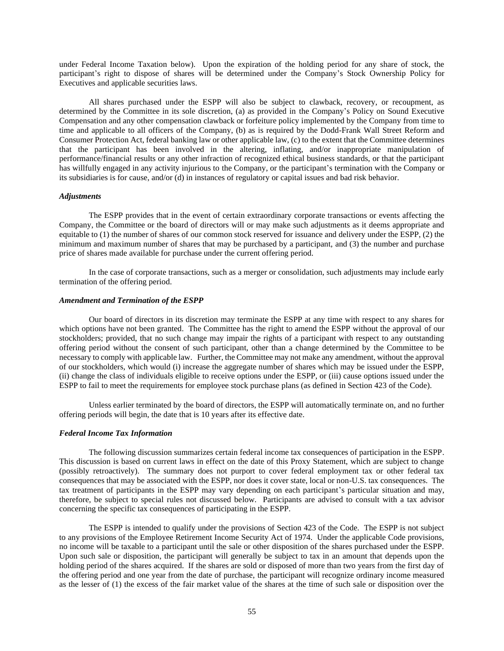under Federal Income Taxation below). Upon the expiration of the holding period for any share of stock, the participant's right to dispose of shares will be determined under the Company's Stock Ownership Policy for Executives and applicable securities laws.

All shares purchased under the ESPP will also be subject to clawback, recovery, or recoupment, as determined by the Committee in its sole discretion, (a) as provided in the Company's Policy on Sound Executive Compensation and any other compensation clawback or forfeiture policy implemented by the Company from time to time and applicable to all officers of the Company, (b) as is required by the Dodd-Frank Wall Street Reform and Consumer Protection Act, federal banking law or other applicable law, (c) to the extent that the Committee determines that the participant has been involved in the altering, inflating, and/or inappropriate manipulation of performance/financial results or any other infraction of recognized ethical business standards, or that the participant has willfully engaged in any activity injurious to the Company, or the participant's termination with the Company or its subsidiaries is for cause, and/or (d) in instances of regulatory or capital issues and bad risk behavior.

#### *Adjustments*

The ESPP provides that in the event of certain extraordinary corporate transactions or events affecting the Company, the Committee or the board of directors will or may make such adjustments as it deems appropriate and equitable to (1) the number of shares of our common stock reserved for issuance and delivery under the ESPP, (2) the minimum and maximum number of shares that may be purchased by a participant, and (3) the number and purchase price of shares made available for purchase under the current offering period.

In the case of corporate transactions, such as a merger or consolidation, such adjustments may include early termination of the offering period.

#### *Amendment and Termination of the ESPP*

Our board of directors in its discretion may terminate the ESPP at any time with respect to any shares for which options have not been granted. The Committee has the right to amend the ESPP without the approval of our stockholders; provided, that no such change may impair the rights of a participant with respect to any outstanding offering period without the consent of such participant, other than a change determined by the Committee to be necessary to comply with applicable law. Further, the Committee may not make any amendment, without the approval of our stockholders, which would (i) increase the aggregate number of shares which may be issued under the ESPP, (ii) change the class of individuals eligible to receive options under the ESPP, or (iii) cause options issued under the ESPP to fail to meet the requirements for employee stock purchase plans (as defined in Section 423 of the Code).

Unless earlier terminated by the board of directors, the ESPP will automatically terminate on, and no further offering periods will begin, the date that is 10 years after its effective date.

#### *Federal Income Tax Information*

The following discussion summarizes certain federal income tax consequences of participation in the ESPP. This discussion is based on current laws in effect on the date of this Proxy Statement, which are subject to change (possibly retroactively). The summary does not purport to cover federal employment tax or other federal tax consequences that may be associated with the ESPP, nor does it cover state, local or non-U.S. tax consequences. The tax treatment of participants in the ESPP may vary depending on each participant's particular situation and may, therefore, be subject to special rules not discussed below. Participants are advised to consult with a tax advisor concerning the specific tax consequences of participating in the ESPP.

The ESPP is intended to qualify under the provisions of Section 423 of the Code. The ESPP is not subject to any provisions of the Employee Retirement Income Security Act of 1974. Under the applicable Code provisions, no income will be taxable to a participant until the sale or other disposition of the shares purchased under the ESPP. Upon such sale or disposition, the participant will generally be subject to tax in an amount that depends upon the holding period of the shares acquired. If the shares are sold or disposed of more than two years from the first day of the offering period and one year from the date of purchase, the participant will recognize ordinary income measured as the lesser of (1) the excess of the fair market value of the shares at the time of such sale or disposition over the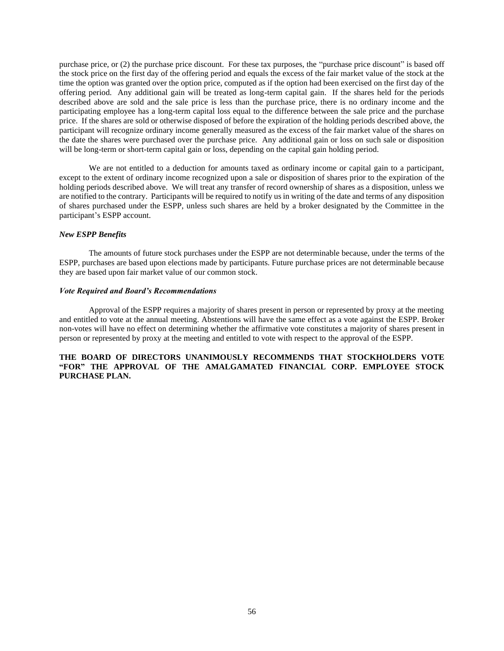purchase price, or (2) the purchase price discount. For these tax purposes, the "purchase price discount" is based off the stock price on the first day of the offering period and equals the excess of the fair market value of the stock at the time the option was granted over the option price, computed as if the option had been exercised on the first day of the offering period. Any additional gain will be treated as long-term capital gain. If the shares held for the periods described above are sold and the sale price is less than the purchase price, there is no ordinary income and the participating employee has a long-term capital loss equal to the difference between the sale price and the purchase price. If the shares are sold or otherwise disposed of before the expiration of the holding periods described above, the participant will recognize ordinary income generally measured as the excess of the fair market value of the shares on the date the shares were purchased over the purchase price. Any additional gain or loss on such sale or disposition will be long-term or short-term capital gain or loss, depending on the capital gain holding period.

We are not entitled to a deduction for amounts taxed as ordinary income or capital gain to a participant, except to the extent of ordinary income recognized upon a sale or disposition of shares prior to the expiration of the holding periods described above. We will treat any transfer of record ownership of shares as a disposition, unless we are notified to the contrary. Participants will be required to notify us in writing of the date and terms of any disposition of shares purchased under the ESPP, unless such shares are held by a broker designated by the Committee in the participant's ESPP account.

### *New ESPP Benefits*

The amounts of future stock purchases under the ESPP are not determinable because, under the terms of the ESPP, purchases are based upon elections made by participants. Future purchase prices are not determinable because they are based upon fair market value of our common stock.

### *Vote Required and Board's Recommendations*

Approval of the ESPP requires a majority of shares present in person or represented by proxy at the meeting and entitled to vote at the annual meeting. Abstentions will have the same effect as a vote against the ESPP. Broker non-votes will have no effect on determining whether the affirmative vote constitutes a majority of shares present in person or represented by proxy at the meeting and entitled to vote with respect to the approval of the ESPP.

## **THE BOARD OF DIRECTORS UNANIMOUSLY RECOMMENDS THAT STOCKHOLDERS VOTE "FOR" THE APPROVAL OF THE AMALGAMATED FINANCIAL CORP. EMPLOYEE STOCK PURCHASE PLAN.**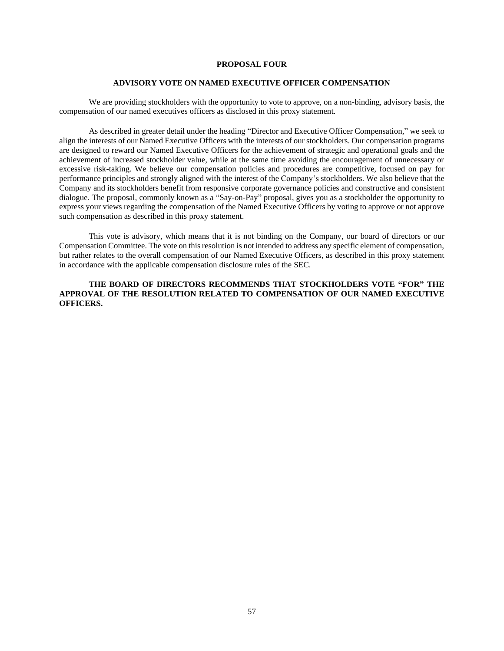## **PROPOSAL FOUR**

#### **ADVISORY VOTE ON NAMED EXECUTIVE OFFICER COMPENSATION**

We are providing stockholders with the opportunity to vote to approve, on a non-binding, advisory basis, the compensation of our named executives officers as disclosed in this proxy statement.

As described in greater detail under the heading "Director and Executive Officer Compensation," we seek to align the interests of our Named Executive Officers with the interests of our stockholders. Our compensation programs are designed to reward our Named Executive Officers for the achievement of strategic and operational goals and the achievement of increased stockholder value, while at the same time avoiding the encouragement of unnecessary or excessive risk-taking. We believe our compensation policies and procedures are competitive, focused on pay for performance principles and strongly aligned with the interest of the Company's stockholders. We also believe that the Company and its stockholders benefit from responsive corporate governance policies and constructive and consistent dialogue. The proposal, commonly known as a "Say-on-Pay" proposal, gives you as a stockholder the opportunity to express your views regarding the compensation of the Named Executive Officers by voting to approve or not approve such compensation as described in this proxy statement.

This vote is advisory, which means that it is not binding on the Company, our board of directors or our Compensation Committee. The vote on this resolution is not intended to address any specific element of compensation, but rather relates to the overall compensation of our Named Executive Officers, as described in this proxy statement in accordance with the applicable compensation disclosure rules of the SEC.

## **THE BOARD OF DIRECTORS RECOMMENDS THAT STOCKHOLDERS VOTE "FOR" THE APPROVAL OF THE RESOLUTION RELATED TO COMPENSATION OF OUR NAMED EXECUTIVE OFFICERS.**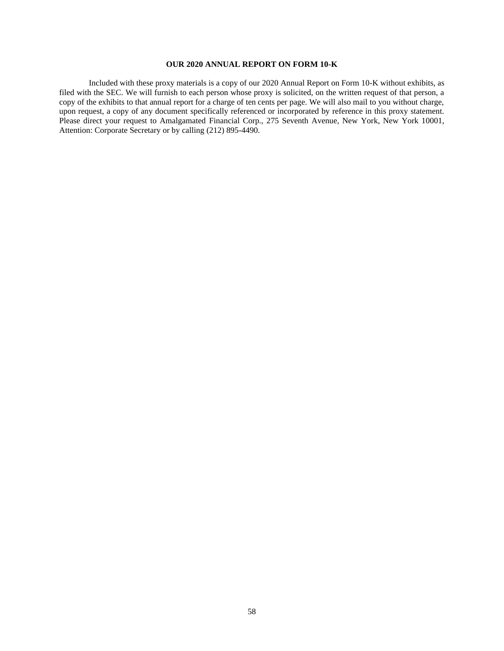## **OUR 2020 ANNUAL REPORT ON FORM 10-K**

Included with these proxy materials is a copy of our 2020 Annual Report on Form 10-K without exhibits, as filed with the SEC. We will furnish to each person whose proxy is solicited, on the written request of that person, a copy of the exhibits to that annual report for a charge of ten cents per page. We will also mail to you without charge, upon request, a copy of any document specifically referenced or incorporated by reference in this proxy statement. Please direct your request to Amalgamated Financial Corp., 275 Seventh Avenue, New York, New York 10001, Attention: Corporate Secretary or by calling (212) 895-4490.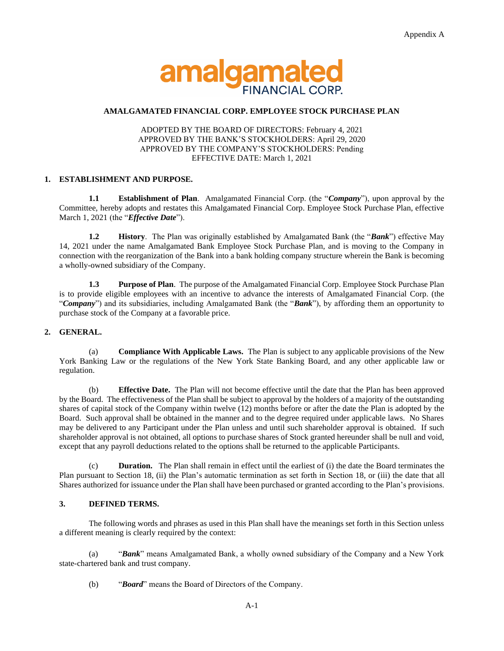

## **AMALGAMATED FINANCIAL CORP. EMPLOYEE STOCK PURCHASE PLAN**

## ADOPTED BY THE BOARD OF DIRECTORS: February 4, 2021 APPROVED BY THE BANK'S STOCKHOLDERS: April 29, 2020 APPROVED BY THE COMPANY'S STOCKHOLDERS: Pending EFFECTIVE DATE: March 1, 2021

## **1. ESTABLISHMENT AND PURPOSE.**

**1.1 Establishment of Plan**. Amalgamated Financial Corp. (the "*Company*"), upon approval by the Committee, hereby adopts and restates this Amalgamated Financial Corp. Employee Stock Purchase Plan, effective March 1, 2021 (the "*Effective Date*").

**1.2 History**. The Plan was originally established by Amalgamated Bank (the "*Bank*") effective May 14, 2021 under the name Amalgamated Bank Employee Stock Purchase Plan, and is moving to the Company in connection with the reorganization of the Bank into a bank holding company structure wherein the Bank is becoming a wholly-owned subsidiary of the Company.

**1.3 Purpose of Plan**. The purpose of the Amalgamated Financial Corp. Employee Stock Purchase Plan is to provide eligible employees with an incentive to advance the interests of Amalgamated Financial Corp. (the "*Company*") and its subsidiaries, including Amalgamated Bank (the "*Bank*"), by affording them an opportunity to purchase stock of the Company at a favorable price.

## **2. GENERAL.**

(a) **Compliance With Applicable Laws.** The Plan is subject to any applicable provisions of the New York Banking Law or the regulations of the New York State Banking Board, and any other applicable law or regulation.

(b) **Effective Date.** The Plan will not become effective until the date that the Plan has been approved by the Board. The effectiveness of the Plan shall be subject to approval by the holders of a majority of the outstanding shares of capital stock of the Company within twelve (12) months before or after the date the Plan is adopted by the Board. Such approval shall be obtained in the manner and to the degree required under applicable laws. No Shares may be delivered to any Participant under the Plan unless and until such shareholder approval is obtained. If such shareholder approval is not obtained, all options to purchase shares of Stock granted hereunder shall be null and void, except that any payroll deductions related to the options shall be returned to the applicable Participants.

**Duration.** The Plan shall remain in effect until the earliest of (i) the date the Board terminates the Plan pursuant to Section 18, (ii) the Plan's automatic termination as set forth in Section 18, or (iii) the date that all Shares authorized for issuance under the Plan shall have been purchased or granted according to the Plan's provisions.

## **3. DEFINED TERMS.**

The following words and phrases as used in this Plan shall have the meanings set forth in this Section unless a different meaning is clearly required by the context:

(a) "*Bank*" means Amalgamated Bank, a wholly owned subsidiary of the Company and a New York state-chartered bank and trust company.

(b) "*Board*" means the Board of Directors of the Company.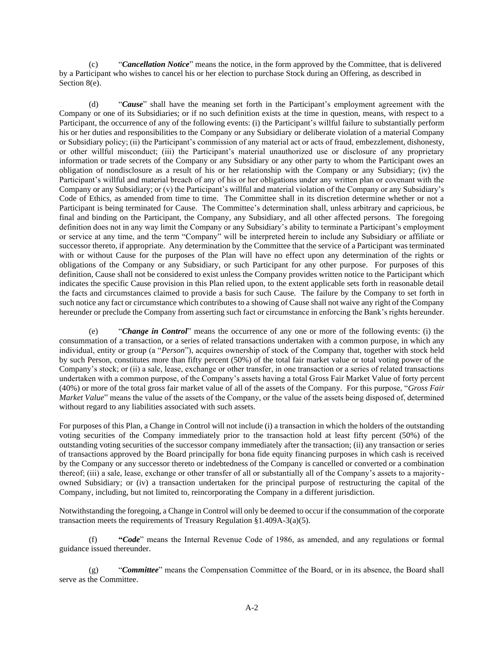(c) "*Cancellation Notice*" means the notice, in the form approved by the Committee, that is delivered by a Participant who wishes to cancel his or her election to purchase Stock during an Offering, as described in Section 8(e).

(d) "*Cause*" shall have the meaning set forth in the Participant's employment agreement with the Company or one of its Subsidiaries; or if no such definition exists at the time in question, means, with respect to a Participant, the occurrence of any of the following events: (i) the Participant's willful failure to substantially perform his or her duties and responsibilities to the Company or any Subsidiary or deliberate violation of a material Company or Subsidiary policy; (ii) the Participant's commission of any material act or acts of fraud, embezzlement, dishonesty, or other willful misconduct; (iii) the Participant's material unauthorized use or disclosure of any proprietary information or trade secrets of the Company or any Subsidiary or any other party to whom the Participant owes an obligation of nondisclosure as a result of his or her relationship with the Company or any Subsidiary; (iv) the Participant's willful and material breach of any of his or her obligations under any written plan or covenant with the Company or any Subsidiary; or (v) the Participant's willful and material violation of the Company or any Subsidiary's Code of Ethics, as amended from time to time. The Committee shall in its discretion determine whether or not a Participant is being terminated for Cause. The Committee's determination shall, unless arbitrary and capricious, be final and binding on the Participant, the Company, any Subsidiary, and all other affected persons. The foregoing definition does not in any way limit the Company or any Subsidiary's ability to terminate a Participant's employment or service at any time, and the term "Company" will be interpreted herein to include any Subsidiary or affiliate or successor thereto, if appropriate. Any determination by the Committee that the service of a Participant was terminated with or without Cause for the purposes of the Plan will have no effect upon any determination of the rights or obligations of the Company or any Subsidiary, or such Participant for any other purpose. For purposes of this definition, Cause shall not be considered to exist unless the Company provides written notice to the Participant which indicates the specific Cause provision in this Plan relied upon, to the extent applicable sets forth in reasonable detail the facts and circumstances claimed to provide a basis for such Cause. The failure by the Company to set forth in such notice any fact or circumstance which contributes to a showing of Cause shall not waive any right of the Company hereunder or preclude the Company from asserting such fact or circumstance in enforcing the Bank's rights hereunder.

(e) "*Change in Control*" means the occurrence of any one or more of the following events: (i) the consummation of a transaction, or a series of related transactions undertaken with a common purpose, in which any individual, entity or group (a "*Person*"), acquires ownership of stock of the Company that, together with stock held by such Person, constitutes more than fifty percent (50%) of the total fair market value or total voting power of the Company's stock; or (ii) a sale, lease, exchange or other transfer, in one transaction or a series of related transactions undertaken with a common purpose, of the Company's assets having a total Gross Fair Market Value of forty percent (40%) or more of the total gross fair market value of all of the assets of the Company. For this purpose, "*Gross Fair Market Value*" means the value of the assets of the Company, or the value of the assets being disposed of, determined without regard to any liabilities associated with such assets.

For purposes of this Plan, a Change in Control will not include (i) a transaction in which the holders of the outstanding voting securities of the Company immediately prior to the transaction hold at least fifty percent (50%) of the outstanding voting securities of the successor company immediately after the transaction; (ii) any transaction or series of transactions approved by the Board principally for bona fide equity financing purposes in which cash is received by the Company or any successor thereto or indebtedness of the Company is cancelled or converted or a combination thereof; (iii) a sale, lease, exchange or other transfer of all or substantially all of the Company's assets to a majorityowned Subsidiary; or (iv) a transaction undertaken for the principal purpose of restructuring the capital of the Company, including, but not limited to, reincorporating the Company in a different jurisdiction.

Notwithstanding the foregoing, a Change in Control will only be deemed to occur if the consummation of the corporate transaction meets the requirements of Treasury Regulation §1.409A-3(a)(5).

(f) **"***Code*" means the Internal Revenue Code of 1986, as amended, and any regulations or formal guidance issued thereunder.

(g) "*Committee*" means the Compensation Committee of the Board, or in its absence, the Board shall serve as the Committee.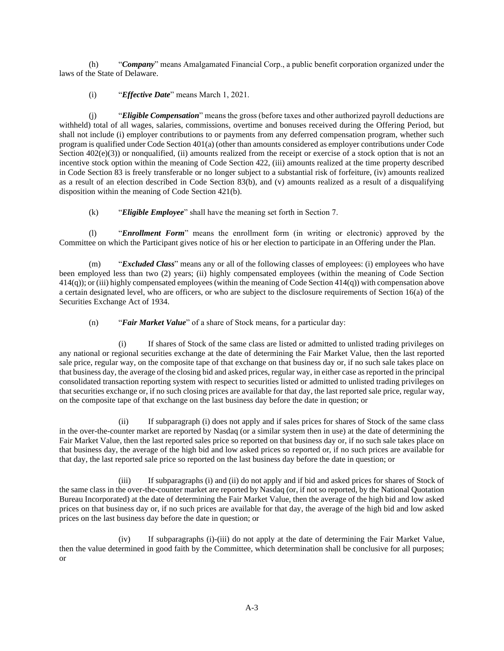(h) "*Company*" means Amalgamated Financial Corp., a public benefit corporation organized under the laws of the State of Delaware.

(i) "*Effective Date*" means March 1, 2021.

(j) "*Eligible Compensation*" means the gross (before taxes and other authorized payroll deductions are withheld) total of all wages, salaries, commissions, overtime and bonuses received during the Offering Period, but shall not include (i) employer contributions to or payments from any deferred compensation program, whether such program is qualified under Code Section 401(a) (other than amounts considered as employer contributions under Code Section  $402(e)(3)$ ) or nonqualified, (ii) amounts realized from the receipt or exercise of a stock option that is not an incentive stock option within the meaning of Code Section 422, (iii) amounts realized at the time property described in Code Section 83 is freely transferable or no longer subject to a substantial risk of forfeiture, (iv) amounts realized as a result of an election described in Code Section 83(b), and (v) amounts realized as a result of a disqualifying disposition within the meaning of Code Section 421(b).

(k) "*Eligible Employee*" shall have the meaning set forth in Section 7.

(l) "*Enrollment Form*" means the enrollment form (in writing or electronic) approved by the Committee on which the Participant gives notice of his or her election to participate in an Offering under the Plan.

(m) "*Excluded Class*" means any or all of the following classes of employees: (i) employees who have been employed less than two (2) years; (ii) highly compensated employees (within the meaning of Code Section 414(q)); or (iii) highly compensated employees (within the meaning of Code Section 414(q)) with compensation above a certain designated level, who are officers, or who are subject to the disclosure requirements of Section 16(a) of the Securities Exchange Act of 1934.

(n) "*Fair Market Value*" of a share of Stock means, for a particular day:

If shares of Stock of the same class are listed or admitted to unlisted trading privileges on any national or regional securities exchange at the date of determining the Fair Market Value, then the last reported sale price, regular way, on the composite tape of that exchange on that business day or, if no such sale takes place on that business day, the average of the closing bid and asked prices, regular way, in either case as reported in the principal consolidated transaction reporting system with respect to securities listed or admitted to unlisted trading privileges on that securities exchange or, if no such closing prices are available for that day, the last reported sale price, regular way, on the composite tape of that exchange on the last business day before the date in question; or

(ii) If subparagraph (i) does not apply and if sales prices for shares of Stock of the same class in the over-the-counter market are reported by Nasdaq (or a similar system then in use) at the date of determining the Fair Market Value, then the last reported sales price so reported on that business day or, if no such sale takes place on that business day, the average of the high bid and low asked prices so reported or, if no such prices are available for that day, the last reported sale price so reported on the last business day before the date in question; or

(iii) If subparagraphs (i) and (ii) do not apply and if bid and asked prices for shares of Stock of the same class in the over-the-counter market are reported by Nasdaq (or, if not so reported, by the National Quotation Bureau Incorporated) at the date of determining the Fair Market Value, then the average of the high bid and low asked prices on that business day or, if no such prices are available for that day, the average of the high bid and low asked prices on the last business day before the date in question; or

(iv) If subparagraphs (i)-(iii) do not apply at the date of determining the Fair Market Value, then the value determined in good faith by the Committee, which determination shall be conclusive for all purposes; or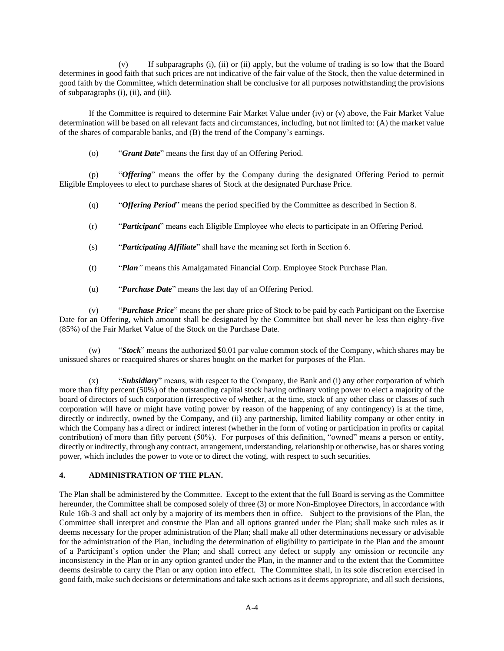(v) If subparagraphs (i), (ii) or (ii) apply, but the volume of trading is so low that the Board determines in good faith that such prices are not indicative of the fair value of the Stock, then the value determined in good faith by the Committee, which determination shall be conclusive for all purposes notwithstanding the provisions of subparagraphs (i), (ii), and (iii).

If the Committee is required to determine Fair Market Value under (iv) or (v) above, the Fair Market Value determination will be based on all relevant facts and circumstances, including, but not limited to: (A) the market value of the shares of comparable banks, and (B) the trend of the Company's earnings.

(o) "*Grant Date*" means the first day of an Offering Period.

(p) "*Offering*" means the offer by the Company during the designated Offering Period to permit Eligible Employees to elect to purchase shares of Stock at the designated Purchase Price.

- (q) "*Offering Period*" means the period specified by the Committee as described in Section 8.
- (r) "*Participant*" means each Eligible Employee who elects to participate in an Offering Period.
- (s) "*Participating Affiliate*" shall have the meaning set forth in Section 6.
- (t) "*Plan"* means this Amalgamated Financial Corp. Employee Stock Purchase Plan.
- (u) "*Purchase Date*" means the last day of an Offering Period.

(v) "*Purchase Price*" means the per share price of Stock to be paid by each Participant on the Exercise Date for an Offering, which amount shall be designated by the Committee but shall never be less than eighty-five (85%) of the Fair Market Value of the Stock on the Purchase Date.

(w) "*Stock*" means the authorized \$0.01 par value common stock of the Company, which shares may be unissued shares or reacquired shares or shares bought on the market for purposes of the Plan.

(x) "*Subsidiary*" means, with respect to the Company, the Bank and (i) any other corporation of which more than fifty percent (50%) of the outstanding capital stock having ordinary voting power to elect a majority of the board of directors of such corporation (irrespective of whether, at the time, stock of any other class or classes of such corporation will have or might have voting power by reason of the happening of any contingency) is at the time, directly or indirectly, owned by the Company, and (ii) any partnership, limited liability company or other entity in which the Company has a direct or indirect interest (whether in the form of voting or participation in profits or capital contribution) of more than fifty percent (50%). For purposes of this definition, "owned" means a person or entity, directly or indirectly, through any contract, arrangement, understanding, relationship or otherwise, has or shares voting power, which includes the power to vote or to direct the voting, with respect to such securities.

# **4. ADMINISTRATION OF THE PLAN.**

The Plan shall be administered by the Committee. Except to the extent that the full Board is serving as the Committee hereunder, the Committee shall be composed solely of three (3) or more Non-Employee Directors, in accordance with Rule 16b-3 and shall act only by a majority of its members then in office. Subject to the provisions of the Plan, the Committee shall interpret and construe the Plan and all options granted under the Plan; shall make such rules as it deems necessary for the proper administration of the Plan; shall make all other determinations necessary or advisable for the administration of the Plan, including the determination of eligibility to participate in the Plan and the amount of a Participant's option under the Plan; and shall correct any defect or supply any omission or reconcile any inconsistency in the Plan or in any option granted under the Plan, in the manner and to the extent that the Committee deems desirable to carry the Plan or any option into effect. The Committee shall, in its sole discretion exercised in good faith, make such decisions or determinations and take such actions as it deems appropriate, and all such decisions,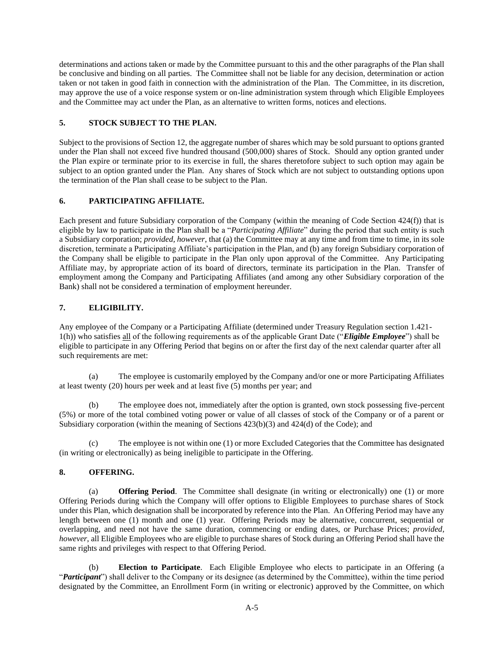determinations and actions taken or made by the Committee pursuant to this and the other paragraphs of the Plan shall be conclusive and binding on all parties. The Committee shall not be liable for any decision, determination or action taken or not taken in good faith in connection with the administration of the Plan. The Committee, in its discretion, may approve the use of a voice response system or on-line administration system through which Eligible Employees and the Committee may act under the Plan, as an alternative to written forms, notices and elections.

# **5. STOCK SUBJECT TO THE PLAN.**

Subject to the provisions of Section 12, the aggregate number of shares which may be sold pursuant to options granted under the Plan shall not exceed five hundred thousand (500,000) shares of Stock. Should any option granted under the Plan expire or terminate prior to its exercise in full, the shares theretofore subject to such option may again be subject to an option granted under the Plan. Any shares of Stock which are not subject to outstanding options upon the termination of the Plan shall cease to be subject to the Plan.

# **6. PARTICIPATING AFFILIATE.**

Each present and future Subsidiary corporation of the Company (within the meaning of Code Section 424(f)) that is eligible by law to participate in the Plan shall be a "*Participating Affiliate*" during the period that such entity is such a Subsidiary corporation; *provided, however*, that (a) the Committee may at any time and from time to time, in its sole discretion, terminate a Participating Affiliate's participation in the Plan, and (b) any foreign Subsidiary corporation of the Company shall be eligible to participate in the Plan only upon approval of the Committee. Any Participating Affiliate may, by appropriate action of its board of directors, terminate its participation in the Plan. Transfer of employment among the Company and Participating Affiliates (and among any other Subsidiary corporation of the Bank) shall not be considered a termination of employment hereunder.

# **7. ELIGIBILITY.**

Any employee of the Company or a Participating Affiliate (determined under Treasury Regulation section 1.421- 1(h)) who satisfies all of the following requirements as of the applicable Grant Date ("*Eligible Employee*") shall be eligible to participate in any Offering Period that begins on or after the first day of the next calendar quarter after all such requirements are met:

(a) The employee is customarily employed by the Company and/or one or more Participating Affiliates at least twenty (20) hours per week and at least five (5) months per year; and

(b) The employee does not, immediately after the option is granted, own stock possessing five-percent (5%) or more of the total combined voting power or value of all classes of stock of the Company or of a parent or Subsidiary corporation (within the meaning of Sections 423(b)(3) and 424(d) of the Code); and

(c) The employee is not within one (1) or more Excluded Categories that the Committee has designated (in writing or electronically) as being ineligible to participate in the Offering.

# **8. OFFERING.**

(a) **Offering Period**. The Committee shall designate (in writing or electronically) one (1) or more Offering Periods during which the Company will offer options to Eligible Employees to purchase shares of Stock under this Plan, which designation shall be incorporated by reference into the Plan. An Offering Period may have any length between one (1) month and one (1) year. Offering Periods may be alternative, concurrent, sequential or overlapping, and need not have the same duration, commencing or ending dates, or Purchase Prices; *provided, however*, all Eligible Employees who are eligible to purchase shares of Stock during an Offering Period shall have the same rights and privileges with respect to that Offering Period.

(b) **Election to Participate**. Each Eligible Employee who elects to participate in an Offering (a "*Participant*") shall deliver to the Company or its designee (as determined by the Committee), within the time period designated by the Committee, an Enrollment Form (in writing or electronic) approved by the Committee, on which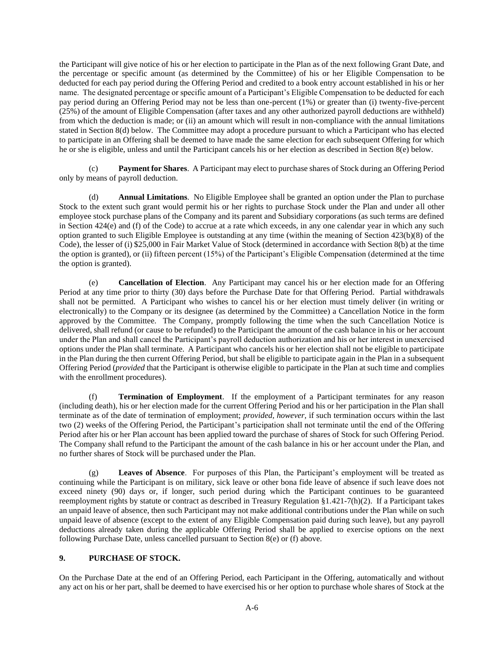the Participant will give notice of his or her election to participate in the Plan as of the next following Grant Date, and the percentage or specific amount (as determined by the Committee) of his or her Eligible Compensation to be deducted for each pay period during the Offering Period and credited to a book entry account established in his or her name. The designated percentage or specific amount of a Participant's Eligible Compensation to be deducted for each pay period during an Offering Period may not be less than one-percent (1%) or greater than (i) twenty-five-percent (25%) of the amount of Eligible Compensation (after taxes and any other authorized payroll deductions are withheld) from which the deduction is made; or (ii) an amount which will result in non-compliance with the annual limitations stated in Section 8(d) below. The Committee may adopt a procedure pursuant to which a Participant who has elected to participate in an Offering shall be deemed to have made the same election for each subsequent Offering for which he or she is eligible, unless and until the Participant cancels his or her election as described in Section 8(e) below.

(c) **Payment for Shares**. A Participant may elect to purchase shares of Stock during an Offering Period only by means of payroll deduction.

(d) **Annual Limitations**. No Eligible Employee shall be granted an option under the Plan to purchase Stock to the extent such grant would permit his or her rights to purchase Stock under the Plan and under all other employee stock purchase plans of the Company and its parent and Subsidiary corporations (as such terms are defined in Section 424(e) and (f) of the Code) to accrue at a rate which exceeds, in any one calendar year in which any such option granted to such Eligible Employee is outstanding at any time (within the meaning of Section 423(b)(8) of the Code), the lesser of (i) \$25,000 in Fair Market Value of Stock (determined in accordance with Section 8(b) at the time the option is granted), or (ii) fifteen percent (15%) of the Participant's Eligible Compensation (determined at the time the option is granted).

(e) **Cancellation of Election**. Any Participant may cancel his or her election made for an Offering Period at any time prior to thirty (30) days before the Purchase Date for that Offering Period. Partial withdrawals shall not be permitted. A Participant who wishes to cancel his or her election must timely deliver (in writing or electronically) to the Company or its designee (as determined by the Committee) a Cancellation Notice in the form approved by the Committee. The Company, promptly following the time when the such Cancellation Notice is delivered, shall refund (or cause to be refunded) to the Participant the amount of the cash balance in his or her account under the Plan and shall cancel the Participant's payroll deduction authorization and his or her interest in unexercised options under the Plan shall terminate. A Participant who cancels his or her election shall not be eligible to participate in the Plan during the then current Offering Period, but shall be eligible to participate again in the Plan in a subsequent Offering Period (*provided* that the Participant is otherwise eligible to participate in the Plan at such time and complies with the enrollment procedures).

**Termination of Employment.** If the employment of a Participant terminates for any reason (including death), his or her election made for the current Offering Period and his or her participation in the Plan shall terminate as of the date of termination of employment; *provided, however,* if such termination occurs within the last two (2) weeks of the Offering Period, the Participant's participation shall not terminate until the end of the Offering Period after his or her Plan account has been applied toward the purchase of shares of Stock for such Offering Period. The Company shall refund to the Participant the amount of the cash balance in his or her account under the Plan, and no further shares of Stock will be purchased under the Plan.

(g) **Leaves of Absence**. For purposes of this Plan, the Participant's employment will be treated as continuing while the Participant is on military, sick leave or other bona fide leave of absence if such leave does not exceed ninety (90) days or, if longer, such period during which the Participant continues to be guaranteed reemployment rights by statute or contract as described in Treasury Regulation §1.421-7(h)(2). If a Participant takes an unpaid leave of absence, then such Participant may not make additional contributions under the Plan while on such unpaid leave of absence (except to the extent of any Eligible Compensation paid during such leave), but any payroll deductions already taken during the applicable Offering Period shall be applied to exercise options on the next following Purchase Date, unless cancelled pursuant to Section 8(e) or (f) above.

## **9. PURCHASE OF STOCK.**

On the Purchase Date at the end of an Offering Period, each Participant in the Offering, automatically and without any act on his or her part, shall be deemed to have exercised his or her option to purchase whole shares of Stock at the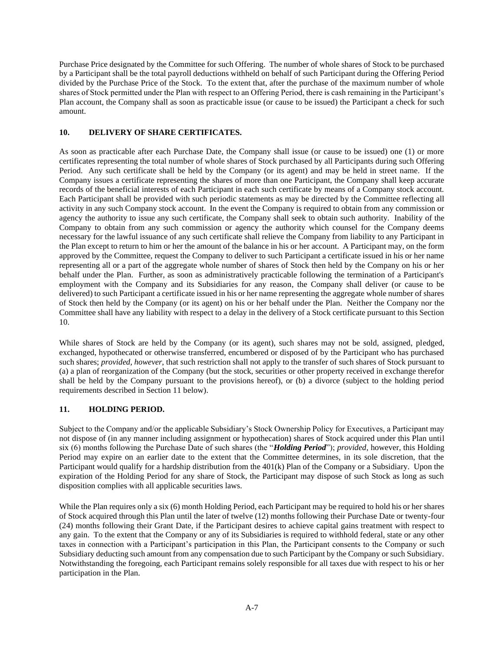Purchase Price designated by the Committee for such Offering. The number of whole shares of Stock to be purchased by a Participant shall be the total payroll deductions withheld on behalf of such Participant during the Offering Period divided by the Purchase Price of the Stock. To the extent that, after the purchase of the maximum number of whole shares of Stock permitted under the Plan with respect to an Offering Period, there is cash remaining in the Participant's Plan account, the Company shall as soon as practicable issue (or cause to be issued) the Participant a check for such amount.

## **10. DELIVERY OF SHARE CERTIFICATES.**

As soon as practicable after each Purchase Date, the Company shall issue (or cause to be issued) one (1) or more certificates representing the total number of whole shares of Stock purchased by all Participants during such Offering Period. Any such certificate shall be held by the Company (or its agent) and may be held in street name. If the Company issues a certificate representing the shares of more than one Participant, the Company shall keep accurate records of the beneficial interests of each Participant in each such certificate by means of a Company stock account. Each Participant shall be provided with such periodic statements as may be directed by the Committee reflecting all activity in any such Company stock account. In the event the Company is required to obtain from any commission or agency the authority to issue any such certificate, the Company shall seek to obtain such authority. Inability of the Company to obtain from any such commission or agency the authority which counsel for the Company deems necessary for the lawful issuance of any such certificate shall relieve the Company from liability to any Participant in the Plan except to return to him or her the amount of the balance in his or her account. A Participant may, on the form approved by the Committee, request the Company to deliver to such Participant a certificate issued in his or her name representing all or a part of the aggregate whole number of shares of Stock then held by the Company on his or her behalf under the Plan. Further, as soon as administratively practicable following the termination of a Participant's employment with the Company and its Subsidiaries for any reason, the Company shall deliver (or cause to be delivered) to such Participant a certificate issued in his or her name representing the aggregate whole number of shares of Stock then held by the Company (or its agent) on his or her behalf under the Plan. Neither the Company nor the Committee shall have any liability with respect to a delay in the delivery of a Stock certificate pursuant to this Section 10.

While shares of Stock are held by the Company (or its agent), such shares may not be sold, assigned, pledged, exchanged, hypothecated or otherwise transferred, encumbered or disposed of by the Participant who has purchased such shares; *provided, however*, that such restriction shall not apply to the transfer of such shares of Stock pursuant to (a) a plan of reorganization of the Company (but the stock, securities or other property received in exchange therefor shall be held by the Company pursuant to the provisions hereof), or (b) a divorce (subject to the holding period requirements described in Section 11 below).

## **11. HOLDING PERIOD.**

Subject to the Company and/or the applicable Subsidiary's Stock Ownership Policy for Executives, a Participant may not dispose of (in any manner including assignment or hypothecation) shares of Stock acquired under this Plan until six (6) months following the Purchase Date of such shares (the "*Holding Period*"); *provided*, however, this Holding Period may expire on an earlier date to the extent that the Committee determines, in its sole discretion, that the Participant would qualify for a hardship distribution from the 401(k) Plan of the Company or a Subsidiary. Upon the expiration of the Holding Period for any share of Stock, the Participant may dispose of such Stock as long as such disposition complies with all applicable securities laws.

While the Plan requires only a six (6) month Holding Period, each Participant may be required to hold his or her shares of Stock acquired through this Plan until the later of twelve (12) months following their Purchase Date or twenty-four (24) months following their Grant Date, if the Participant desires to achieve capital gains treatment with respect to any gain. To the extent that the Company or any of its Subsidiaries is required to withhold federal, state or any other taxes in connection with a Participant's participation in this Plan, the Participant consents to the Company or such Subsidiary deducting such amount from any compensation due to such Participant by the Company or such Subsidiary. Notwithstanding the foregoing, each Participant remains solely responsible for all taxes due with respect to his or her participation in the Plan.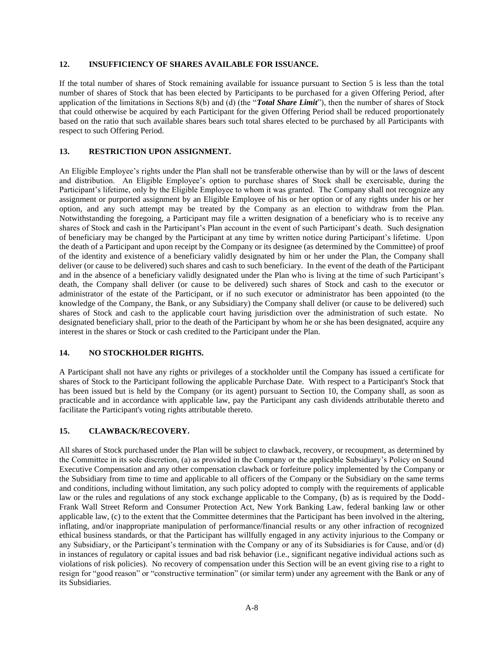## **12. INSUFFICIENCY OF SHARES AVAILABLE FOR ISSUANCE.**

If the total number of shares of Stock remaining available for issuance pursuant to Section 5 is less than the total number of shares of Stock that has been elected by Participants to be purchased for a given Offering Period, after application of the limitations in Sections 8(b) and (d) (the "*Total Share Limit*"), then the number of shares of Stock that could otherwise be acquired by each Participant for the given Offering Period shall be reduced proportionately based on the ratio that such available shares bears such total shares elected to be purchased by all Participants with respect to such Offering Period.

## **13. RESTRICTION UPON ASSIGNMENT.**

An Eligible Employee's rights under the Plan shall not be transferable otherwise than by will or the laws of descent and distribution. An Eligible Employee's option to purchase shares of Stock shall be exercisable, during the Participant's lifetime, only by the Eligible Employee to whom it was granted. The Company shall not recognize any assignment or purported assignment by an Eligible Employee of his or her option or of any rights under his or her option, and any such attempt may be treated by the Company as an election to withdraw from the Plan. Notwithstanding the foregoing, a Participant may file a written designation of a beneficiary who is to receive any shares of Stock and cash in the Participant's Plan account in the event of such Participant's death. Such designation of beneficiary may be changed by the Participant at any time by written notice during Participant's lifetime. Upon the death of a Participant and upon receipt by the Company or its designee (as determined by the Committee) of proof of the identity and existence of a beneficiary validly designated by him or her under the Plan, the Company shall deliver (or cause to be delivered) such shares and cash to such beneficiary. In the event of the death of the Participant and in the absence of a beneficiary validly designated under the Plan who is living at the time of such Participant's death, the Company shall deliver (or cause to be delivered) such shares of Stock and cash to the executor or administrator of the estate of the Participant, or if no such executor or administrator has been appointed (to the knowledge of the Company, the Bank, or any Subsidiary) the Company shall deliver (or cause to be delivered) such shares of Stock and cash to the applicable court having jurisdiction over the administration of such estate. No designated beneficiary shall, prior to the death of the Participant by whom he or she has been designated, acquire any interest in the shares or Stock or cash credited to the Participant under the Plan.

# **14. NO STOCKHOLDER RIGHTS.**

A Participant shall not have any rights or privileges of a stockholder until the Company has issued a certificate for shares of Stock to the Participant following the applicable Purchase Date. With respect to a Participant's Stock that has been issued but is held by the Company (or its agent) pursuant to Section 10, the Company shall, as soon as practicable and in accordance with applicable law, pay the Participant any cash dividends attributable thereto and facilitate the Participant's voting rights attributable thereto.

## **15. CLAWBACK/RECOVERY.**

All shares of Stock purchased under the Plan will be subject to clawback, recovery, or recoupment, as determined by the Committee in its sole discretion, (a) as provided in the Company or the applicable Subsidiary's Policy on Sound Executive Compensation and any other compensation clawback or forfeiture policy implemented by the Company or the Subsidiary from time to time and applicable to all officers of the Company or the Subsidiary on the same terms and conditions, including without limitation, any such policy adopted to comply with the requirements of applicable law or the rules and regulations of any stock exchange applicable to the Company, (b) as is required by the Dodd-Frank Wall Street Reform and Consumer Protection Act, New York Banking Law, federal banking law or other applicable law, (c) to the extent that the Committee determines that the Participant has been involved in the altering, inflating, and/or inappropriate manipulation of performance/financial results or any other infraction of recognized ethical business standards, or that the Participant has willfully engaged in any activity injurious to the Company or any Subsidiary, or the Participant's termination with the Company or any of its Subsidiaries is for Cause, and/or (d) in instances of regulatory or capital issues and bad risk behavior (i.e., significant negative individual actions such as violations of risk policies). No recovery of compensation under this Section will be an event giving rise to a right to resign for "good reason" or "constructive termination" (or similar term) under any agreement with the Bank or any of its Subsidiaries.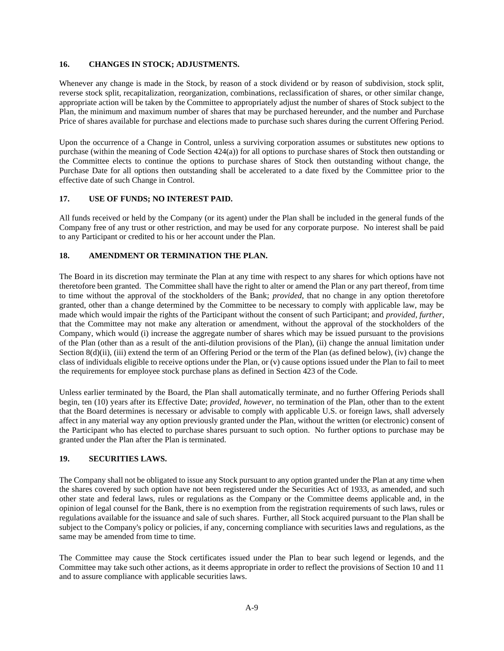## **16. CHANGES IN STOCK; ADJUSTMENTS.**

Whenever any change is made in the Stock, by reason of a stock dividend or by reason of subdivision, stock split, reverse stock split, recapitalization, reorganization, combinations, reclassification of shares, or other similar change, appropriate action will be taken by the Committee to appropriately adjust the number of shares of Stock subject to the Plan, the minimum and maximum number of shares that may be purchased hereunder, and the number and Purchase Price of shares available for purchase and elections made to purchase such shares during the current Offering Period.

Upon the occurrence of a Change in Control, unless a surviving corporation assumes or substitutes new options to purchase (within the meaning of Code Section 424(a)) for all options to purchase shares of Stock then outstanding or the Committee elects to continue the options to purchase shares of Stock then outstanding without change, the Purchase Date for all options then outstanding shall be accelerated to a date fixed by the Committee prior to the effective date of such Change in Control.

## **17. USE OF FUNDS; NO INTEREST PAID.**

All funds received or held by the Company (or its agent) under the Plan shall be included in the general funds of the Company free of any trust or other restriction, and may be used for any corporate purpose. No interest shall be paid to any Participant or credited to his or her account under the Plan.

## **18. AMENDMENT OR TERMINATION THE PLAN.**

The Board in its discretion may terminate the Plan at any time with respect to any shares for which options have not theretofore been granted. The Committee shall have the right to alter or amend the Plan or any part thereof, from time to time without the approval of the stockholders of the Bank; *provided*, that no change in any option theretofore granted, other than a change determined by the Committee to be necessary to comply with applicable law, may be made which would impair the rights of the Participant without the consent of such Participant; and *provided, further*, that the Committee may not make any alteration or amendment, without the approval of the stockholders of the Company, which would (i) increase the aggregate number of shares which may be issued pursuant to the provisions of the Plan (other than as a result of the anti-dilution provisions of the Plan), (ii) change the annual limitation under Section 8(d)(ii), (iii) extend the term of an Offering Period or the term of the Plan (as defined below), (iv) change the class of individuals eligible to receive options under the Plan, or (v) cause options issued under the Plan to fail to meet the requirements for employee stock purchase plans as defined in Section 423 of the Code.

Unless earlier terminated by the Board, the Plan shall automatically terminate, and no further Offering Periods shall begin, ten (10) years after its Effective Date; *provided, however*, no termination of the Plan, other than to the extent that the Board determines is necessary or advisable to comply with applicable U.S. or foreign laws, shall adversely affect in any material way any option previously granted under the Plan, without the written (or electronic) consent of the Participant who has elected to purchase shares pursuant to such option. No further options to purchase may be granted under the Plan after the Plan is terminated.

## **19. SECURITIES LAWS.**

The Company shall not be obligated to issue any Stock pursuant to any option granted under the Plan at any time when the shares covered by such option have not been registered under the Securities Act of 1933, as amended, and such other state and federal laws, rules or regulations as the Company or the Committee deems applicable and, in the opinion of legal counsel for the Bank, there is no exemption from the registration requirements of such laws, rules or regulations available for the issuance and sale of such shares. Further, all Stock acquired pursuant to the Plan shall be subject to the Company's policy or policies, if any, concerning compliance with securities laws and regulations, as the same may be amended from time to time.

The Committee may cause the Stock certificates issued under the Plan to bear such legend or legends, and the Committee may take such other actions, as it deems appropriate in order to reflect the provisions of Section 10 and 11 and to assure compliance with applicable securities laws.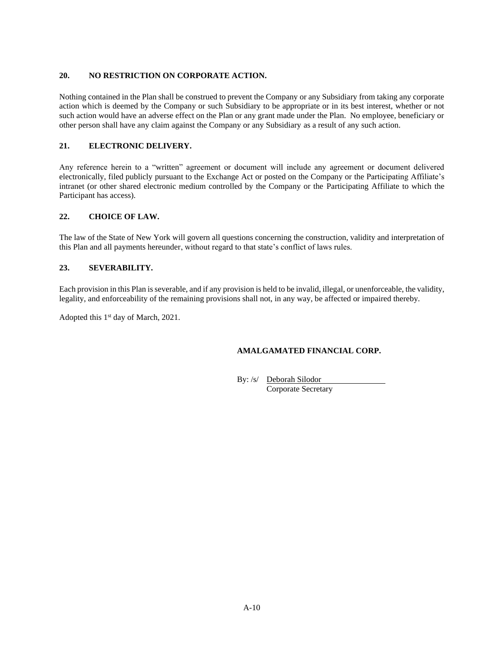# **20. NO RESTRICTION ON CORPORATE ACTION.**

Nothing contained in the Plan shall be construed to prevent the Company or any Subsidiary from taking any corporate action which is deemed by the Company or such Subsidiary to be appropriate or in its best interest, whether or not such action would have an adverse effect on the Plan or any grant made under the Plan. No employee, beneficiary or other person shall have any claim against the Company or any Subsidiary as a result of any such action.

# **21. ELECTRONIC DELIVERY.**

Any reference herein to a "written" agreement or document will include any agreement or document delivered electronically, filed publicly pursuant to the Exchange Act or posted on the Company or the Participating Affiliate's intranet (or other shared electronic medium controlled by the Company or the Participating Affiliate to which the Participant has access).

# **22. CHOICE OF LAW.**

The law of the State of New York will govern all questions concerning the construction, validity and interpretation of this Plan and all payments hereunder, without regard to that state's conflict of laws rules.

# **23. SEVERABILITY.**

Each provision in this Plan is severable, and if any provision is held to be invalid, illegal, or unenforceable, the validity, legality, and enforceability of the remaining provisions shall not, in any way, be affected or impaired thereby.

Adopted this 1<sup>st</sup> day of March, 2021.

# **AMALGAMATED FINANCIAL CORP.**

By: /s/ Deborah Silodor Corporate Secretary